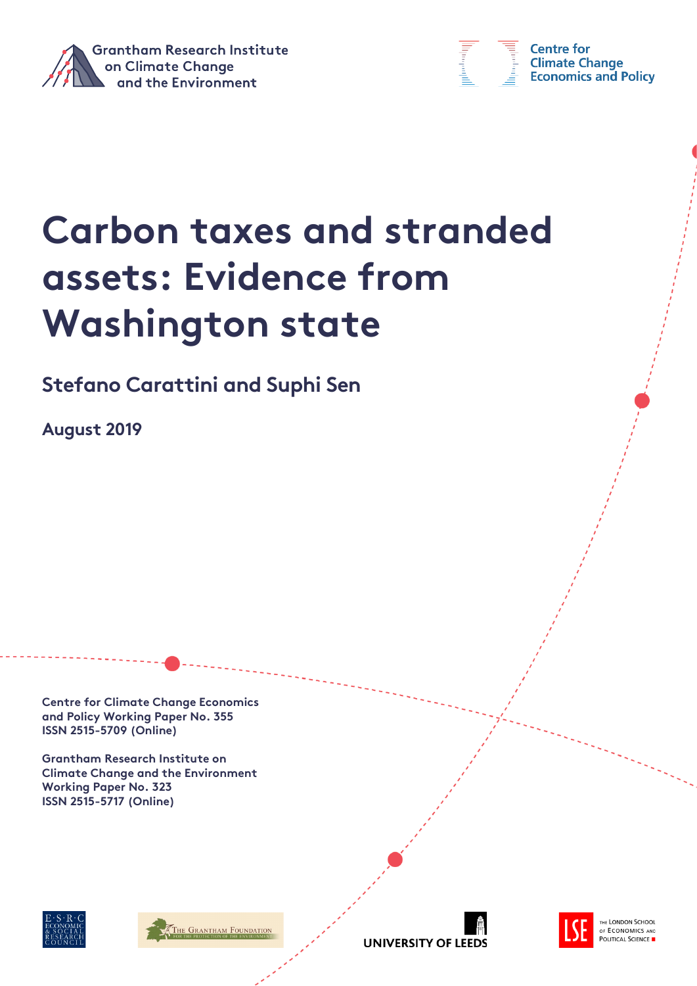



**Centre for Climate Change Economics and Policy** 

# **Carbon taxes and stranded assets: Evidence from Washington state**

**Stefano Carattini and Suphi Sen**

**August 2019**

**Centre for Climate Change Economics and Policy Working Paper No. 355 ISSN 2515-5709 (Online)**

**Grantham Research Institute on Climate Change and the Environment Working Paper No. 323 ISSN 2515-5717 (Online)**







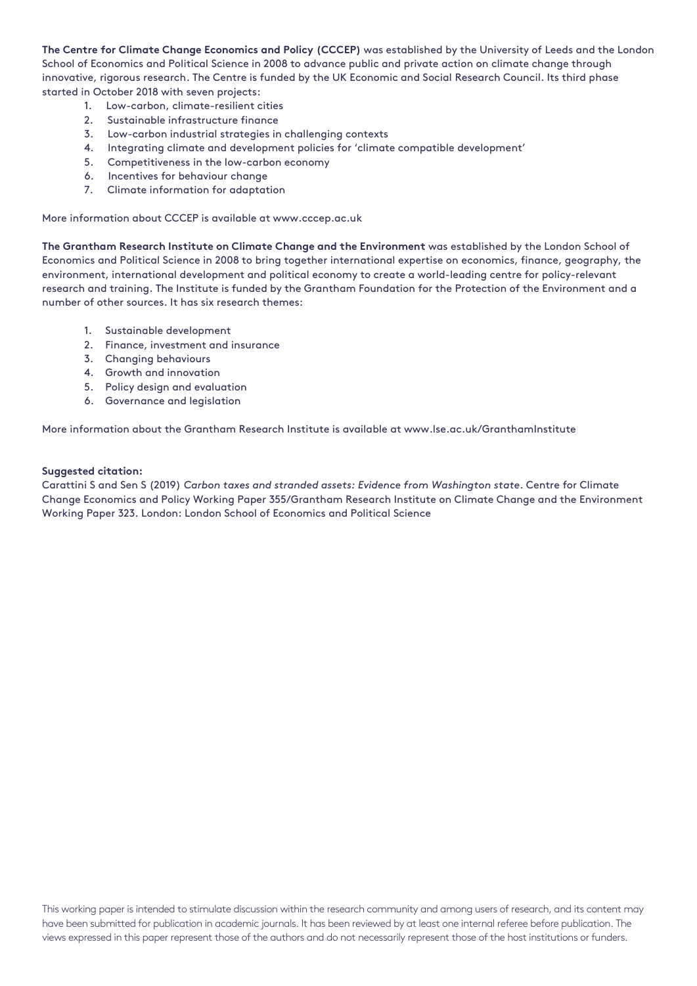**The Centre for Climate Change Economics and Policy (CCCEP)** was established by the University of Leeds and the London School of Economics and Political Science in 2008 to advance public and private action on climate change through innovative, rigorous research. The Centre is funded by the UK Economic and Social Research Council. Its third phase started in October 2018 with seven projects:

- 1. Low-carbon, climate-resilient cities
- 2. Sustainable infrastructure finance
- 3. Low-carbon industrial strategies in challenging contexts
- 4. Integrating climate and development policies for 'climate compatible development'
- 5. Competitiveness in the low-carbon economy
- 6. Incentives for behaviour change
- 7. Climate information for adaptation

More information about CCCEP is available at www.cccep.ac.uk

**The Grantham Research Institute on Climate Change and the Environment** was established by the London School of Economics and Political Science in 2008 to bring together international expertise on economics, finance, geography, the environment, international development and political economy to create a world-leading centre for policy-relevant research and training. The Institute is funded by the Grantham Foundation for the Protection of the Environment and a number of other sources. It has six research themes:

- 1. Sustainable development
- 2. Finance, investment and insurance
- 3. Changing behaviours
- 4. Growth and innovation
- 5. Policy design and evaluation
- 6. Governance and legislation

More information about the Grantham Research Institute is available at www.lse.ac.uk/GranthamInstitute

#### **Suggested citation:**

Carattini S and Sen S (2019) *Carbon taxes and stranded assets: Evidence from Washington state*. Centre for Climate Change Economics and Policy Working Paper 355/Grantham Research Institute on Climate Change and the Environment Working Paper 323. London: London School of Economics and Political Science

This working paper is intended to stimulate discussion within the research community and among users of research, and its content may have been submitted for publication in academic journals. It has been reviewed by at least one internal referee before publication. The views expressed in this paper represent those of the authors and do not necessarily represent those of the host institutions or funders.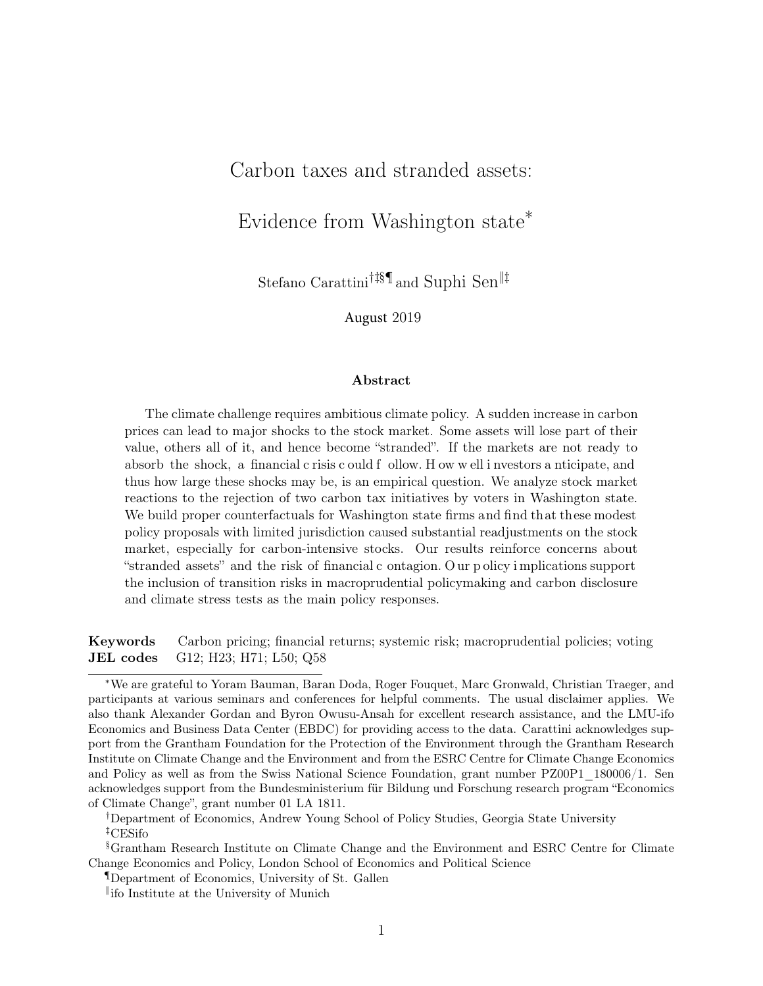### Carbon taxes and stranded assets:

Evidence from Washington state<sup>∗</sup>

Stefano Carattini†‡§¶ and Suphi Sen‖‡

August 2019

#### Abstract

The climate challenge requires ambitious climate policy. A sudden increase in carbon prices can lead to major shocks to the stock market. Some assets will lose part of their value, others all of it, and hence become "stranded". If the markets are not ready to absorb the shock, a financial c risis c ould f ollow. H ow w ell i nvestors a nticipate, and thus how large these shocks may be, is an empirical question. We analyze stock market reactions to the rejection of two carbon tax initiatives by voters in Washington state. We build proper counterfactuals for Washington state firms and find that these modest policy proposals with limited jurisdiction caused substantial readjustments on the stock market, especially for carbon-intensive stocks. Our results reinforce concerns about "stranded assets" and the risk of financial c ontagion. O ur p olicy i mplications support the inclusion of transition risks in macroprudential policymaking and carbon disclosure and climate stress tests as the main policy responses.

Keywords Carbon pricing; financial returns; systemic risk; macroprudential policies; voting JEL codes G12; H23; H71; L50; Q58

<sup>∗</sup>We are grateful to Yoram Bauman, Baran Doda, Roger Fouquet, Marc Gronwald, Christian Traeger, and participants at various seminars and conferences for helpful comments. The usual disclaimer applies. We also thank Alexander Gordan and Byron Owusu-Ansah for excellent research assistance, and the LMU-ifo Economics and Business Data Center (EBDC) for providing access to the data. Carattini acknowledges support from the Grantham Foundation for the Protection of the Environment through the Grantham Research Institute on Climate Change and the Environment and from the ESRC Centre for Climate Change Economics and Policy as well as from the Swiss National Science Foundation, grant number PZ00P1 180006/1. Sen acknowledges support from the Bundesministerium für Bildung und Forschung research program "Economics of Climate Change", grant number 01 LA 1811.

<sup>†</sup>Department of Economics, Andrew Young School of Policy Studies, Georgia State University ‡CESifo

<sup>§</sup>Grantham Research Institute on Climate Change and the Environment and ESRC Centre for Climate Change Economics and Policy, London School of Economics and Political Science

<sup>¶</sup>Department of Economics, University of St. Gallen

<sup>‖</sup> ifo Institute at the University of Munich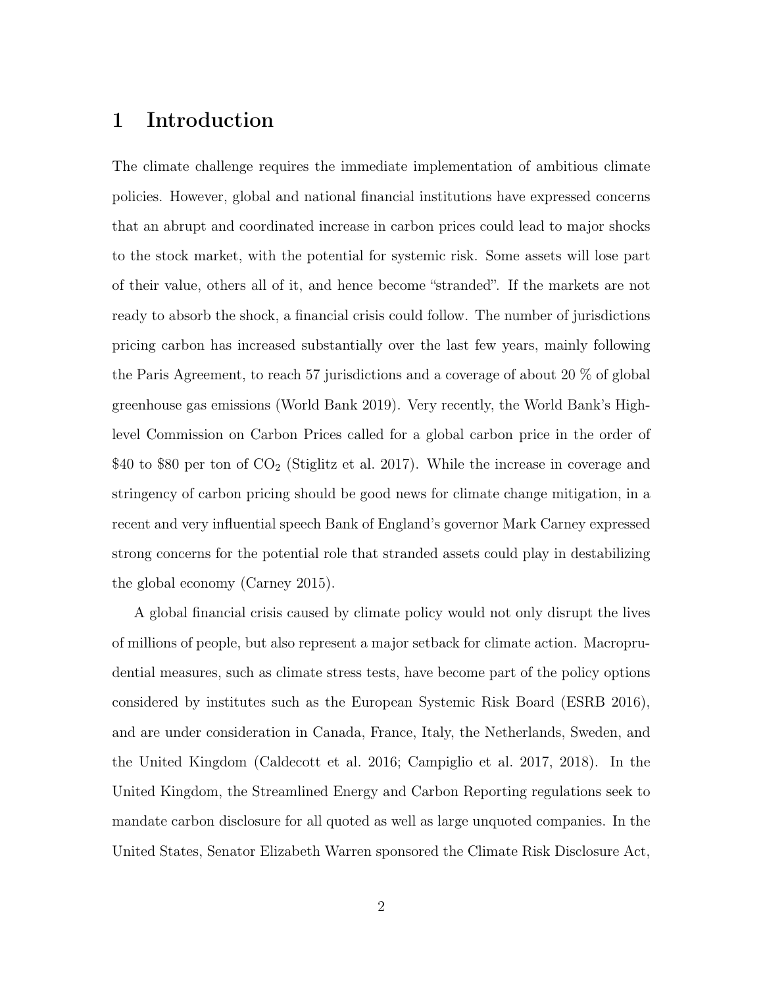## 1 Introduction

The climate challenge requires the immediate implementation of ambitious climate policies. However, global and national financial institutions have expressed concerns that an abrupt and coordinated increase in carbon prices could lead to major shocks to the stock market, with the potential for systemic risk. Some assets will lose part of their value, others all of it, and hence become "stranded". If the markets are not ready to absorb the shock, a financial crisis could follow. The number of jurisdictions pricing carbon has increased substantially over the last few years, mainly following the Paris Agreement, to reach 57 jurisdictions and a coverage of about 20 % of global greenhouse gas emissions (World Bank 2019). Very recently, the World Bank's Highlevel Commission on Carbon Prices called for a global carbon price in the order of \$40 to \$80 per ton of  $CO<sub>2</sub>$  (Stiglitz et al. 2017). While the increase in coverage and stringency of carbon pricing should be good news for climate change mitigation, in a recent and very influential speech Bank of England's governor Mark Carney expressed strong concerns for the potential role that stranded assets could play in destabilizing the global economy (Carney 2015).

A global financial crisis caused by climate policy would not only disrupt the lives of millions of people, but also represent a major setback for climate action. Macroprudential measures, such as climate stress tests, have become part of the policy options considered by institutes such as the European Systemic Risk Board (ESRB 2016), and are under consideration in Canada, France, Italy, the Netherlands, Sweden, and the United Kingdom (Caldecott et al. 2016; Campiglio et al. 2017, 2018). In the United Kingdom, the Streamlined Energy and Carbon Reporting regulations seek to mandate carbon disclosure for all quoted as well as large unquoted companies. In the United States, Senator Elizabeth Warren sponsored the Climate Risk Disclosure Act,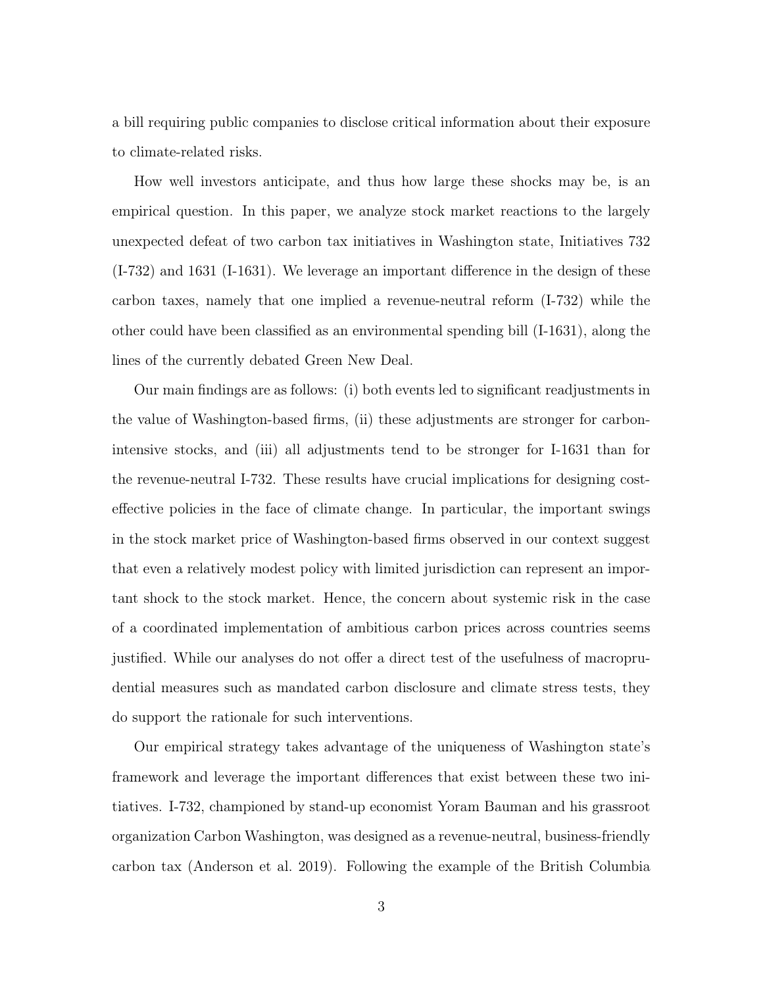a bill requiring public companies to disclose critical information about their exposure to climate-related risks.

How well investors anticipate, and thus how large these shocks may be, is an empirical question. In this paper, we analyze stock market reactions to the largely unexpected defeat of two carbon tax initiatives in Washington state, Initiatives 732 (I-732) and 1631 (I-1631). We leverage an important difference in the design of these carbon taxes, namely that one implied a revenue-neutral reform (I-732) while the other could have been classified as an environmental spending bill (I-1631), along the lines of the currently debated Green New Deal.

Our main findings are as follows: (i) both events led to significant readjustments in the value of Washington-based firms, (ii) these adjustments are stronger for carbonintensive stocks, and (iii) all adjustments tend to be stronger for I-1631 than for the revenue-neutral I-732. These results have crucial implications for designing costeffective policies in the face of climate change. In particular, the important swings in the stock market price of Washington-based firms observed in our context suggest that even a relatively modest policy with limited jurisdiction can represent an important shock to the stock market. Hence, the concern about systemic risk in the case of a coordinated implementation of ambitious carbon prices across countries seems justified. While our analyses do not offer a direct test of the usefulness of macroprudential measures such as mandated carbon disclosure and climate stress tests, they do support the rationale for such interventions.

Our empirical strategy takes advantage of the uniqueness of Washington state's framework and leverage the important differences that exist between these two initiatives. I-732, championed by stand-up economist Yoram Bauman and his grassroot organization Carbon Washington, was designed as a revenue-neutral, business-friendly carbon tax (Anderson et al. 2019). Following the example of the British Columbia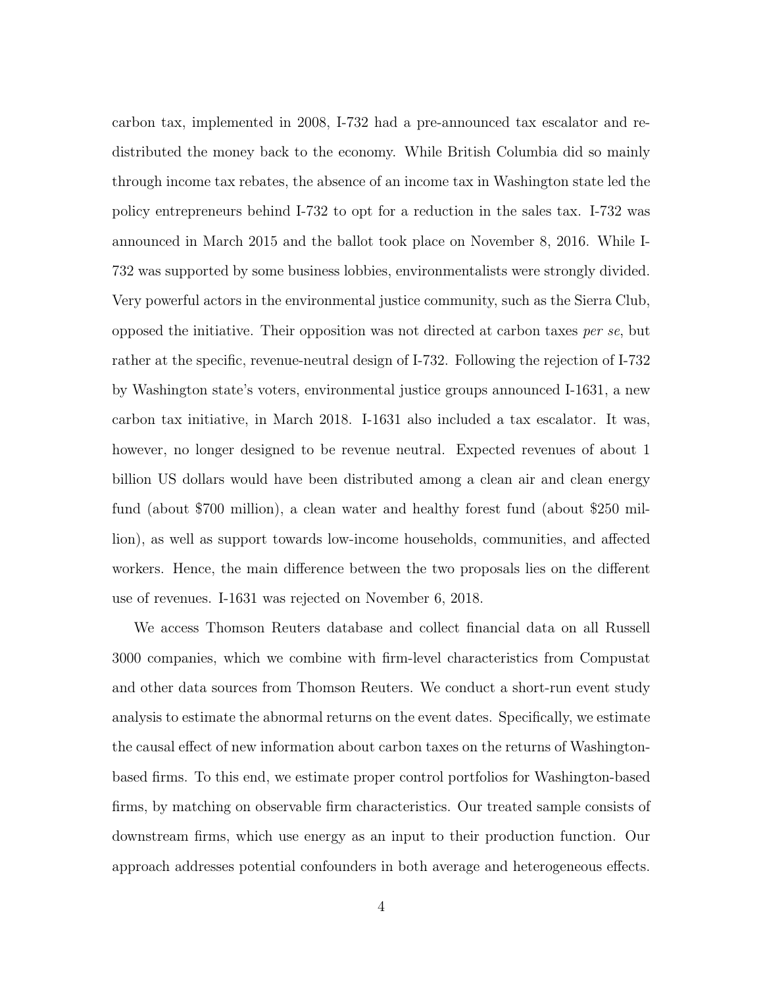carbon tax, implemented in 2008, I-732 had a pre-announced tax escalator and redistributed the money back to the economy. While British Columbia did so mainly through income tax rebates, the absence of an income tax in Washington state led the policy entrepreneurs behind I-732 to opt for a reduction in the sales tax. I-732 was announced in March 2015 and the ballot took place on November 8, 2016. While I-732 was supported by some business lobbies, environmentalists were strongly divided. Very powerful actors in the environmental justice community, such as the Sierra Club, opposed the initiative. Their opposition was not directed at carbon taxes per se, but rather at the specific, revenue-neutral design of I-732. Following the rejection of I-732 by Washington state's voters, environmental justice groups announced I-1631, a new carbon tax initiative, in March 2018. I-1631 also included a tax escalator. It was, however, no longer designed to be revenue neutral. Expected revenues of about 1 billion US dollars would have been distributed among a clean air and clean energy fund (about \$700 million), a clean water and healthy forest fund (about \$250 million), as well as support towards low-income households, communities, and affected workers. Hence, the main difference between the two proposals lies on the different use of revenues. I-1631 was rejected on November 6, 2018.

We access Thomson Reuters database and collect financial data on all Russell 3000 companies, which we combine with firm-level characteristics from Compustat and other data sources from Thomson Reuters. We conduct a short-run event study analysis to estimate the abnormal returns on the event dates. Specifically, we estimate the causal effect of new information about carbon taxes on the returns of Washingtonbased firms. To this end, we estimate proper control portfolios for Washington-based firms, by matching on observable firm characteristics. Our treated sample consists of downstream firms, which use energy as an input to their production function. Our approach addresses potential confounders in both average and heterogeneous effects.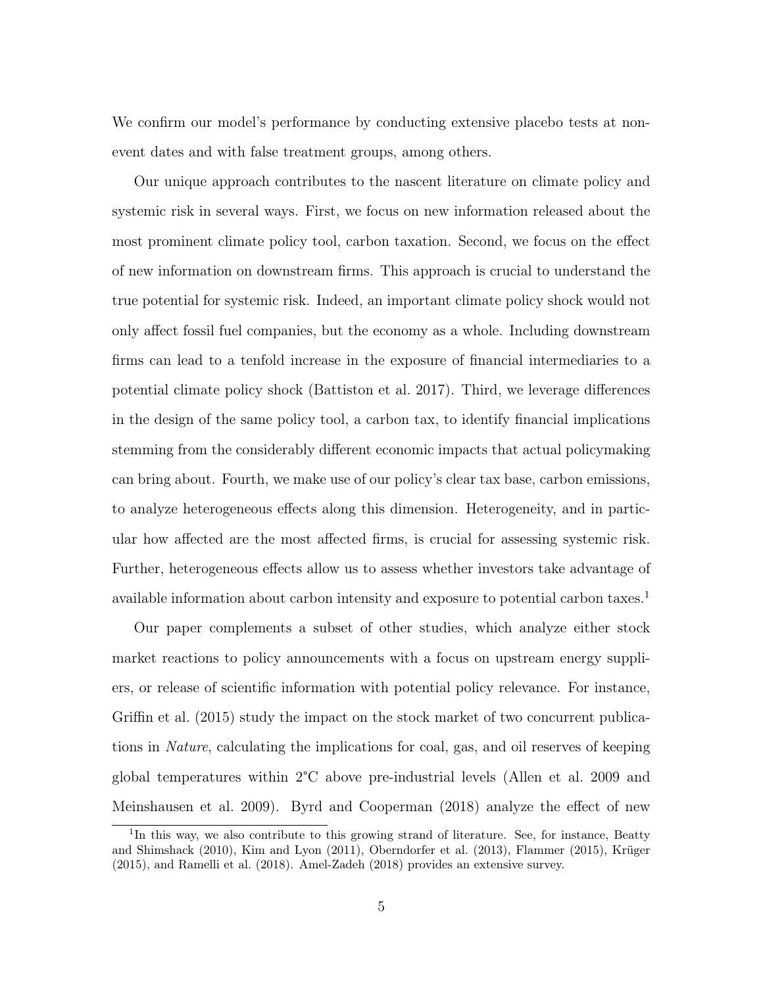We confirm our model's performance by conducting extensive placebo tests at nonevent dates and with false treatment groups, among others.

Our unique approach contributes to the nascent literature on climate policy and systemic risk in several ways. First, we focus on new information released about the most prominent climate policy tool, carbon taxation. Second, we focus on the effect of new information on downstream firms. This approach is crucial to understand the true potential for systemic risk. Indeed, an important climate policy shock would not only affect fossil fuel companies, but the economy as a whole. Including downstream firms can lead to a tenfold increase in the exposure of financial intermediaries to a potential climate policy shock (Battiston et al. 2017). Third, we leverage differences in the design of the same policy tool, a carbon tax, to identify financial implications stemming from the considerably different economic impacts that actual policymaking can bring about. Fourth, we make use of our policy's clear tax base, carbon emissions, to analyze heterogeneous effects along this dimension. Heterogeneity, and in particular how affected are the most affected firms, is crucial for assessing systemic risk. Further, heterogeneous effects allow us to assess whether investors take advantage of available information about carbon intensity and exposure to potential carbon taxes.<sup>1</sup>

Our paper complements a subset of other studies, which analyze either stock market reactions to policy announcements with a focus on upstream energy suppliers, or release of scientific information with potential policy relevance. For instance, Griffin et al. (2015) study the impact on the stock market of two concurrent publications in Nature, calculating the implications for coal, gas, and oil reserves of keeping global temperatures within 2°C above pre-industrial levels (Allen et al. 2009 and Meinshausen et al. 2009). Byrd and Cooperman (2018) analyze the effect of new

<sup>&</sup>lt;sup>1</sup>In this way, we also contribute to this growing strand of literature. See, for instance, Beatty and Shimshack (2010), Kim and Lyon (2011), Oberndorfer et al. (2013), Flammer (2015), Krüger (2015), and Ramelli et al. (2018). Amel-Zadeh (2018) provides an extensive survey.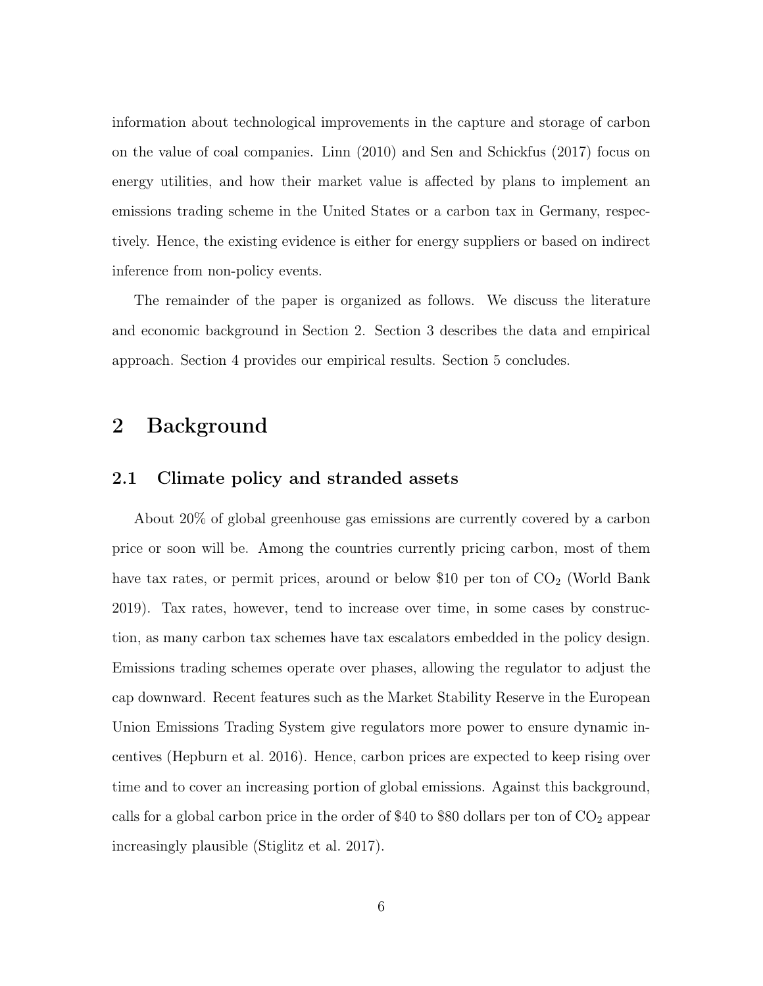information about technological improvements in the capture and storage of carbon on the value of coal companies. Linn (2010) and Sen and Schickfus (2017) focus on energy utilities, and how their market value is affected by plans to implement an emissions trading scheme in the United States or a carbon tax in Germany, respectively. Hence, the existing evidence is either for energy suppliers or based on indirect inference from non-policy events.

The remainder of the paper is organized as follows. We discuss the literature and economic background in Section 2. Section 3 describes the data and empirical approach. Section 4 provides our empirical results. Section 5 concludes.

### 2 Background

#### 2.1 Climate policy and stranded assets

About 20% of global greenhouse gas emissions are currently covered by a carbon price or soon will be. Among the countries currently pricing carbon, most of them have tax rates, or permit prices, around or below \$10 per ton of  $CO<sub>2</sub>$  (World Bank 2019). Tax rates, however, tend to increase over time, in some cases by construction, as many carbon tax schemes have tax escalators embedded in the policy design. Emissions trading schemes operate over phases, allowing the regulator to adjust the cap downward. Recent features such as the Market Stability Reserve in the European Union Emissions Trading System give regulators more power to ensure dynamic incentives (Hepburn et al. 2016). Hence, carbon prices are expected to keep rising over time and to cover an increasing portion of global emissions. Against this background, calls for a global carbon price in the order of \$40 to \$80 dollars per ton of  $CO<sub>2</sub>$  appear increasingly plausible (Stiglitz et al. 2017).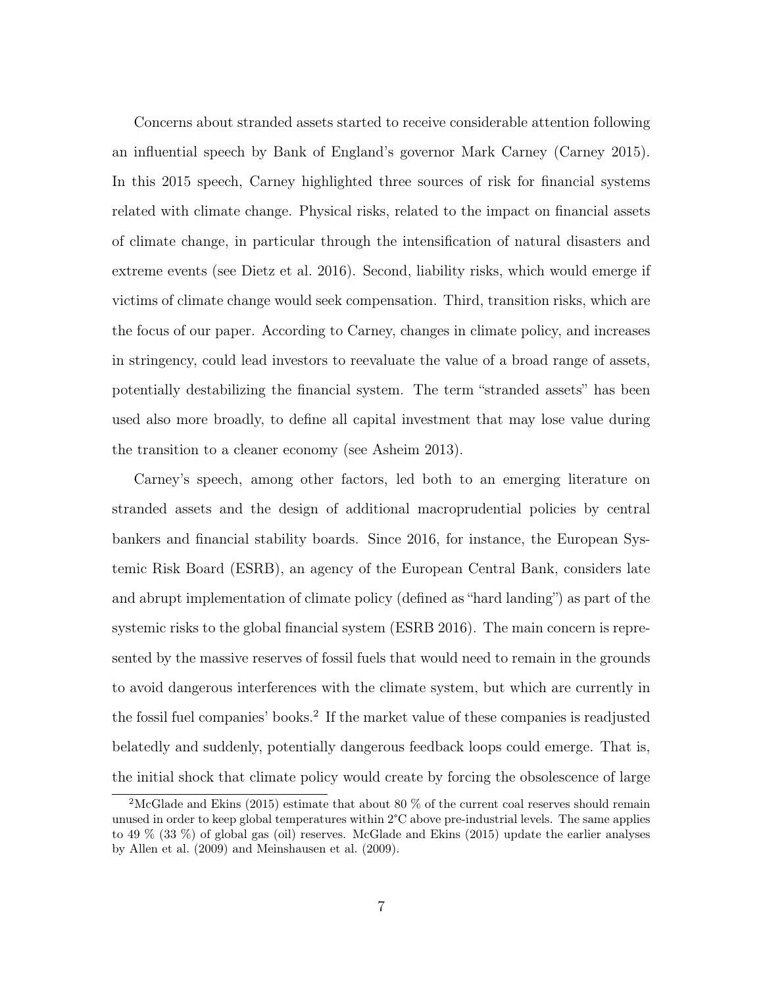Concerns about stranded assets started to receive considerable attention following an influential speech by Bank of England's governor Mark Carney (Carney 2015). In this 2015 speech, Carney highlighted three sources of risk for financial systems related with climate change. Physical risks, related to the impact on financial assets of climate change, in particular through the intensification of natural disasters and extreme events (see Dietz et al. 2016). Second, liability risks, which would emerge if victims of climate change would seek compensation. Third, transition risks, which are the focus of our paper. According to Carney, changes in climate policy, and increases in stringency, could lead investors to reevaluate the value of a broad range of assets, potentially destabilizing the financial system. The term "stranded assets" has been used also more broadly, to define all capital investment that may lose value during the transition to a cleaner economy (see Asheim 2013).

Carney's speech, among other factors, led both to an emerging literature on stranded assets and the design of additional macroprudential policies by central bankers and financial stability boards. Since 2016, for instance, the European Systemic Risk Board (ESRB), an agency of the European Central Bank, considers late and abrupt implementation of climate policy (defined as "hard landing") as part of the systemic risks to the global financial system (ESRB 2016). The main concern is represented by the massive reserves of fossil fuels that would need to remain in the grounds to avoid dangerous interferences with the climate system, but which are currently in the fossil fuel companies' books.<sup>2</sup> If the market value of these companies is readjusted belatedly and suddenly, potentially dangerous feedback loops could emerge. That is, the initial shock that climate policy would create by forcing the obsolescence of large

<sup>&</sup>lt;sup>2</sup>McGlade and Ekins (2015) estimate that about 80  $\%$  of the current coal reserves should remain unused in order to keep global temperatures within 2°C above pre-industrial levels. The same applies to 49 % (33 %) of global gas (oil) reserves. McGlade and Ekins (2015) update the earlier analyses by Allen et al. (2009) and Meinshausen et al. (2009).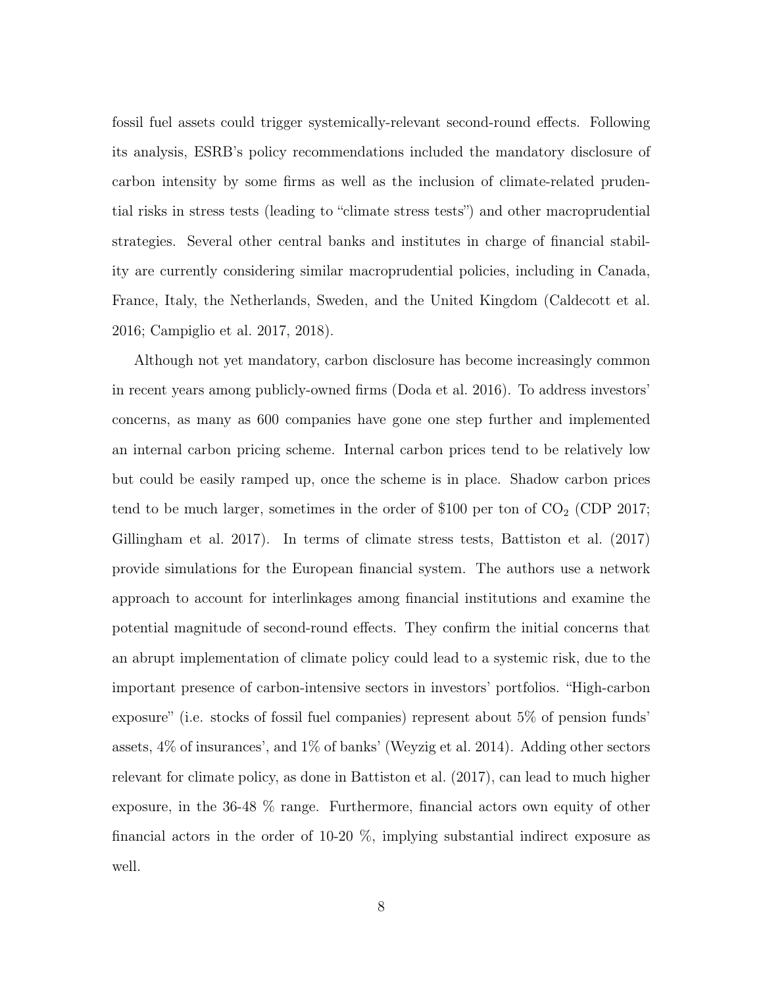fossil fuel assets could trigger systemically-relevant second-round effects. Following its analysis, ESRB's policy recommendations included the mandatory disclosure of carbon intensity by some firms as well as the inclusion of climate-related prudential risks in stress tests (leading to "climate stress tests") and other macroprudential strategies. Several other central banks and institutes in charge of financial stability are currently considering similar macroprudential policies, including in Canada, France, Italy, the Netherlands, Sweden, and the United Kingdom (Caldecott et al. 2016; Campiglio et al. 2017, 2018).

Although not yet mandatory, carbon disclosure has become increasingly common in recent years among publicly-owned firms (Doda et al. 2016). To address investors' concerns, as many as 600 companies have gone one step further and implemented an internal carbon pricing scheme. Internal carbon prices tend to be relatively low but could be easily ramped up, once the scheme is in place. Shadow carbon prices tend to be much larger, sometimes in the order of  $$100$  per ton of  $CO<sub>2</sub>$  (CDP 2017; Gillingham et al. 2017). In terms of climate stress tests, Battiston et al. (2017) provide simulations for the European financial system. The authors use a network approach to account for interlinkages among financial institutions and examine the potential magnitude of second-round effects. They confirm the initial concerns that an abrupt implementation of climate policy could lead to a systemic risk, due to the important presence of carbon-intensive sectors in investors' portfolios. "High-carbon exposure" (i.e. stocks of fossil fuel companies) represent about 5% of pension funds' assets, 4% of insurances', and 1% of banks' (Weyzig et al. 2014). Adding other sectors relevant for climate policy, as done in Battiston et al. (2017), can lead to much higher exposure, in the 36-48 % range. Furthermore, financial actors own equity of other financial actors in the order of 10-20 %, implying substantial indirect exposure as well.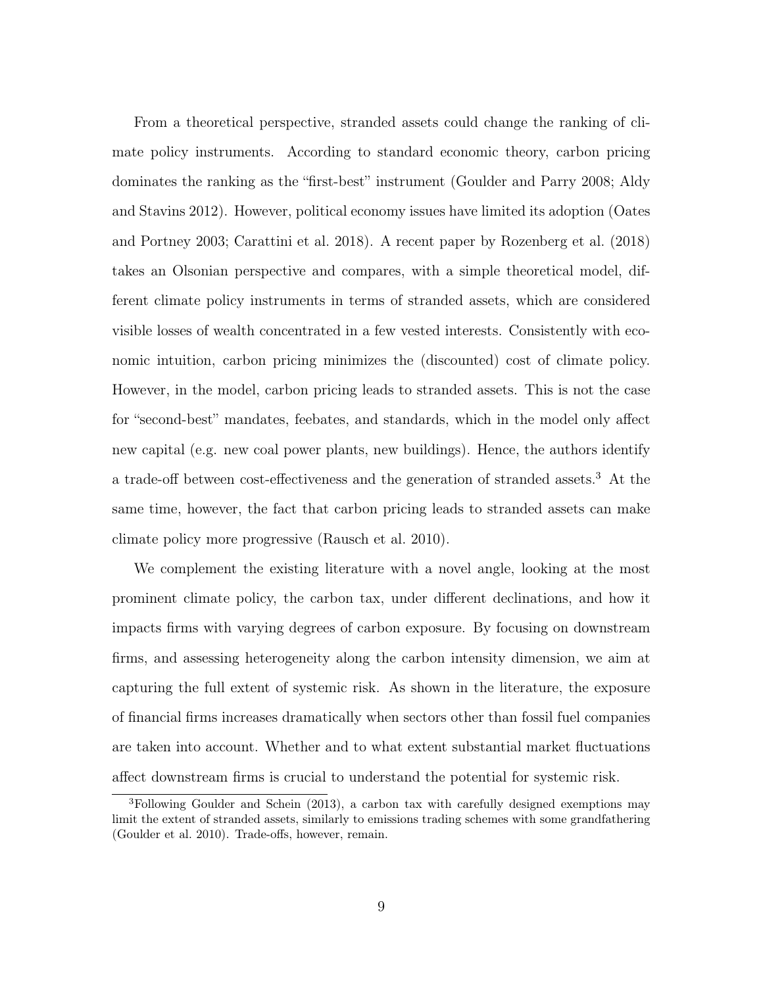From a theoretical perspective, stranded assets could change the ranking of climate policy instruments. According to standard economic theory, carbon pricing dominates the ranking as the "first-best" instrument (Goulder and Parry 2008; Aldy and Stavins 2012). However, political economy issues have limited its adoption (Oates and Portney 2003; Carattini et al. 2018). A recent paper by Rozenberg et al. (2018) takes an Olsonian perspective and compares, with a simple theoretical model, different climate policy instruments in terms of stranded assets, which are considered visible losses of wealth concentrated in a few vested interests. Consistently with economic intuition, carbon pricing minimizes the (discounted) cost of climate policy. However, in the model, carbon pricing leads to stranded assets. This is not the case for "second-best" mandates, feebates, and standards, which in the model only affect new capital (e.g. new coal power plants, new buildings). Hence, the authors identify a trade-off between cost-effectiveness and the generation of stranded assets.<sup>3</sup> At the same time, however, the fact that carbon pricing leads to stranded assets can make climate policy more progressive (Rausch et al. 2010).

We complement the existing literature with a novel angle, looking at the most prominent climate policy, the carbon tax, under different declinations, and how it impacts firms with varying degrees of carbon exposure. By focusing on downstream firms, and assessing heterogeneity along the carbon intensity dimension, we aim at capturing the full extent of systemic risk. As shown in the literature, the exposure of financial firms increases dramatically when sectors other than fossil fuel companies are taken into account. Whether and to what extent substantial market fluctuations affect downstream firms is crucial to understand the potential for systemic risk.

<sup>3</sup>Following Goulder and Schein (2013), a carbon tax with carefully designed exemptions may limit the extent of stranded assets, similarly to emissions trading schemes with some grandfathering (Goulder et al. 2010). Trade-offs, however, remain.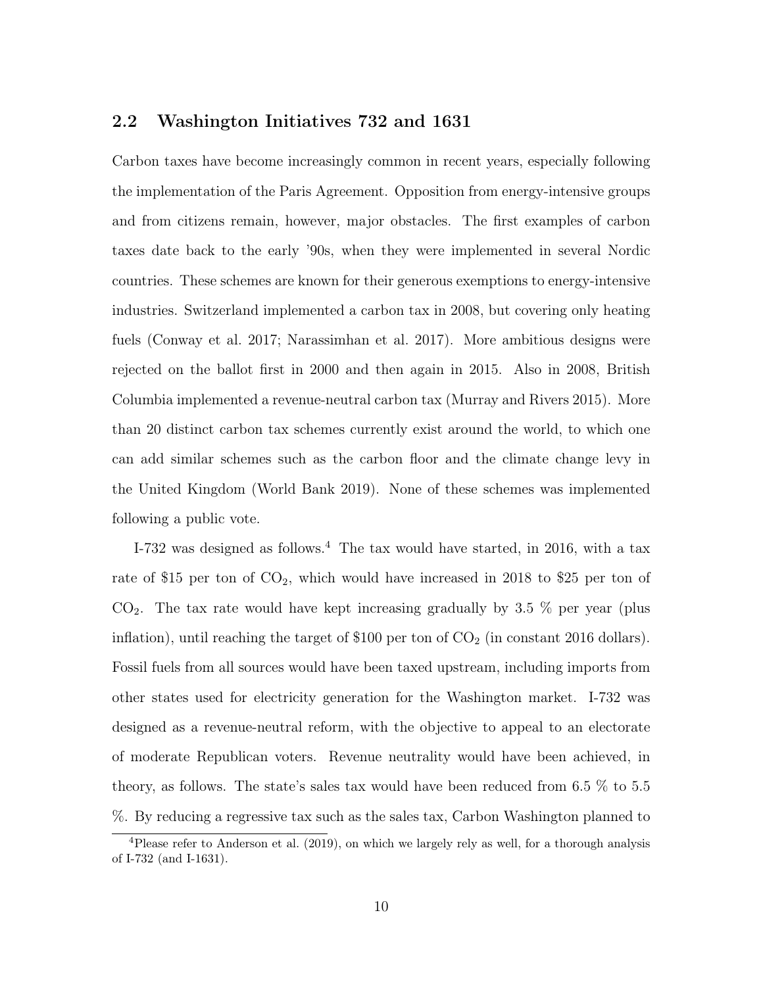#### 2.2 Washington Initiatives 732 and 1631

Carbon taxes have become increasingly common in recent years, especially following the implementation of the Paris Agreement. Opposition from energy-intensive groups and from citizens remain, however, major obstacles. The first examples of carbon taxes date back to the early '90s, when they were implemented in several Nordic countries. These schemes are known for their generous exemptions to energy-intensive industries. Switzerland implemented a carbon tax in 2008, but covering only heating fuels (Conway et al. 2017; Narassimhan et al. 2017). More ambitious designs were rejected on the ballot first in 2000 and then again in 2015. Also in 2008, British Columbia implemented a revenue-neutral carbon tax (Murray and Rivers 2015). More than 20 distinct carbon tax schemes currently exist around the world, to which one can add similar schemes such as the carbon floor and the climate change levy in the United Kingdom (World Bank 2019). None of these schemes was implemented following a public vote.

I-732 was designed as follows.<sup>4</sup> The tax would have started, in 2016, with a tax rate of \$15 per ton of  $CO<sub>2</sub>$ , which would have increased in 2018 to \$25 per ton of  $CO<sub>2</sub>$ . The tax rate would have kept increasing gradually by 3.5 % per year (plus inflation), until reaching the target of  $$100$  per ton of  $CO<sub>2</sub>$  (in constant 2016 dollars). Fossil fuels from all sources would have been taxed upstream, including imports from other states used for electricity generation for the Washington market. I-732 was designed as a revenue-neutral reform, with the objective to appeal to an electorate of moderate Republican voters. Revenue neutrality would have been achieved, in theory, as follows. The state's sales tax would have been reduced from 6.5 % to 5.5 %. By reducing a regressive tax such as the sales tax, Carbon Washington planned to

<sup>4</sup>Please refer to Anderson et al. (2019), on which we largely rely as well, for a thorough analysis of I-732 (and I-1631).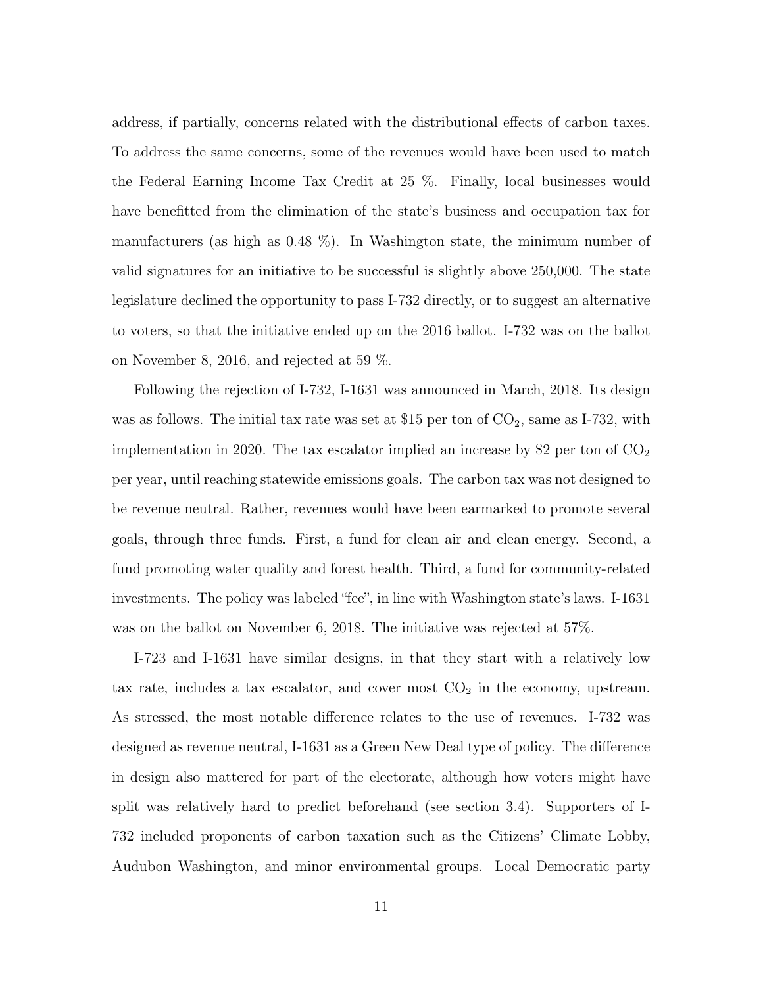address, if partially, concerns related with the distributional effects of carbon taxes. To address the same concerns, some of the revenues would have been used to match the Federal Earning Income Tax Credit at 25 %. Finally, local businesses would have benefitted from the elimination of the state's business and occupation tax for manufacturers (as high as  $0.48\%$ ). In Washington state, the minimum number of valid signatures for an initiative to be successful is slightly above 250,000. The state legislature declined the opportunity to pass I-732 directly, or to suggest an alternative to voters, so that the initiative ended up on the 2016 ballot. I-732 was on the ballot on November 8, 2016, and rejected at 59 %.

Following the rejection of I-732, I-1631 was announced in March, 2018. Its design was as follows. The initial tax rate was set at \$15 per ton of  $CO_2$ , same as I-732, with implementation in 2020. The tax escalator implied an increase by \$2 per ton of  $CO_2$ per year, until reaching statewide emissions goals. The carbon tax was not designed to be revenue neutral. Rather, revenues would have been earmarked to promote several goals, through three funds. First, a fund for clean air and clean energy. Second, a fund promoting water quality and forest health. Third, a fund for community-related investments. The policy was labeled "fee", in line with Washington state's laws. I-1631 was on the ballot on November 6, 2018. The initiative was rejected at 57%.

I-723 and I-1631 have similar designs, in that they start with a relatively low tax rate, includes a tax escalator, and cover most  $CO<sub>2</sub>$  in the economy, upstream. As stressed, the most notable difference relates to the use of revenues. I-732 was designed as revenue neutral, I-1631 as a Green New Deal type of policy. The difference in design also mattered for part of the electorate, although how voters might have split was relatively hard to predict beforehand (see section 3.4). Supporters of I-732 included proponents of carbon taxation such as the Citizens' Climate Lobby, Audubon Washington, and minor environmental groups. Local Democratic party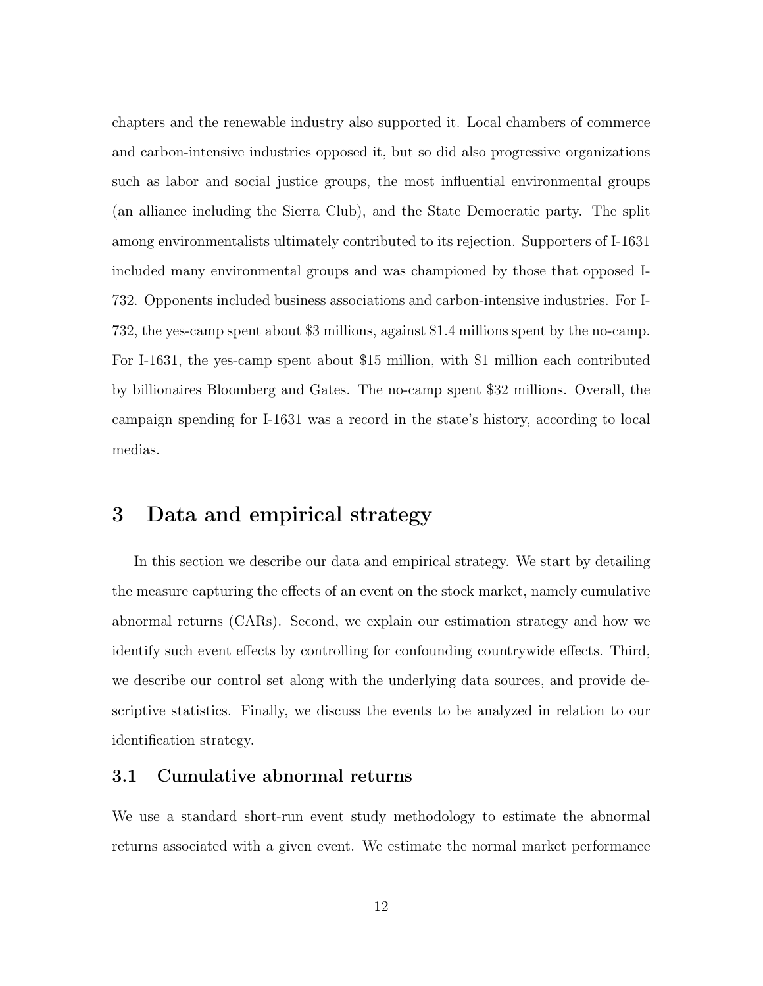chapters and the renewable industry also supported it. Local chambers of commerce and carbon-intensive industries opposed it, but so did also progressive organizations such as labor and social justice groups, the most influential environmental groups (an alliance including the Sierra Club), and the State Democratic party. The split among environmentalists ultimately contributed to its rejection. Supporters of I-1631 included many environmental groups and was championed by those that opposed I-732. Opponents included business associations and carbon-intensive industries. For I-732, the yes-camp spent about \$3 millions, against \$1.4 millions spent by the no-camp. For I-1631, the yes-camp spent about \$15 million, with \$1 million each contributed by billionaires Bloomberg and Gates. The no-camp spent \$32 millions. Overall, the campaign spending for I-1631 was a record in the state's history, according to local medias.

# 3 Data and empirical strategy

In this section we describe our data and empirical strategy. We start by detailing the measure capturing the effects of an event on the stock market, namely cumulative abnormal returns (CARs). Second, we explain our estimation strategy and how we identify such event effects by controlling for confounding countrywide effects. Third, we describe our control set along with the underlying data sources, and provide descriptive statistics. Finally, we discuss the events to be analyzed in relation to our identification strategy.

#### 3.1 Cumulative abnormal returns

We use a standard short-run event study methodology to estimate the abnormal returns associated with a given event. We estimate the normal market performance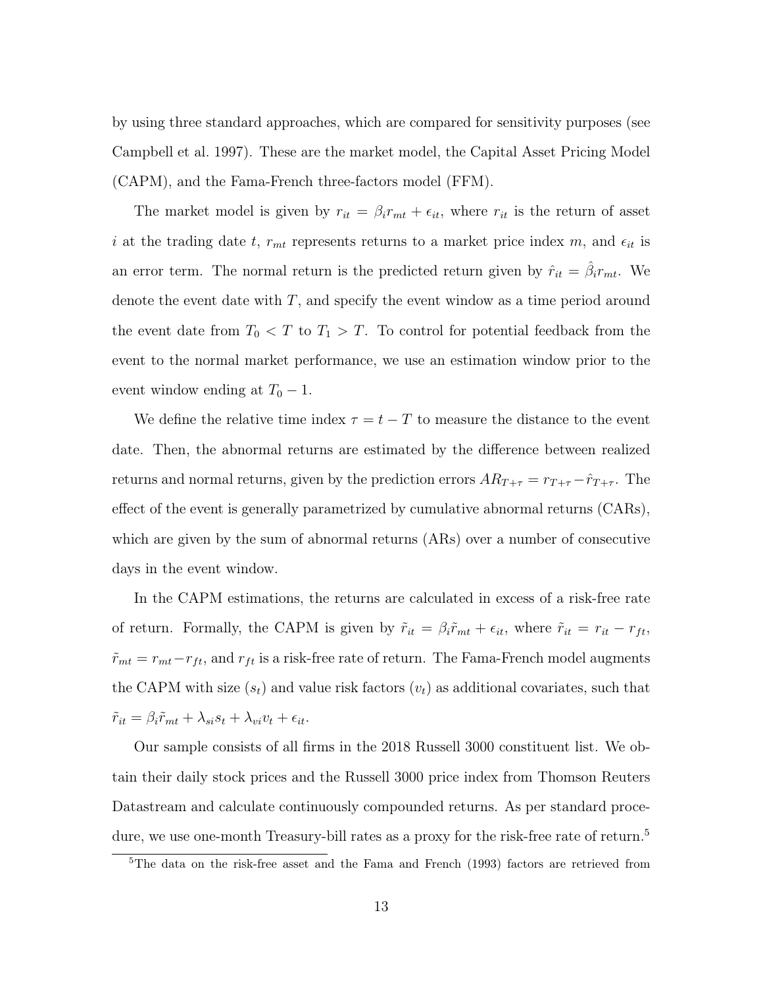by using three standard approaches, which are compared for sensitivity purposes (see Campbell et al. 1997). These are the market model, the Capital Asset Pricing Model (CAPM), and the Fama-French three-factors model (FFM).

The market model is given by  $r_{it} = \beta_i r_{mt} + \epsilon_{it}$ , where  $r_{it}$  is the return of asset i at the trading date t,  $r_{mt}$  represents returns to a market price index m, and  $\epsilon_{it}$  is an error term. The normal return is the predicted return given by  $\hat{r}_{it} = \hat{\beta}_{i} r_{mt}$ . We denote the event date with  $T$ , and specify the event window as a time period around the event date from  $T_0 < T$  to  $T_1 > T$ . To control for potential feedback from the event to the normal market performance, we use an estimation window prior to the event window ending at  $T_0 - 1$ .

We define the relative time index  $\tau = t - T$  to measure the distance to the event date. Then, the abnormal returns are estimated by the difference between realized returns and normal returns, given by the prediction errors  $AR_{T+\tau} = r_{T+\tau} - \hat{r}_{T+\tau}$ . The effect of the event is generally parametrized by cumulative abnormal returns (CARs), which are given by the sum of abnormal returns (ARs) over a number of consecutive days in the event window.

In the CAPM estimations, the returns are calculated in excess of a risk-free rate of return. Formally, the CAPM is given by  $\tilde{r}_{it} = \beta_i \tilde{r}_{mt} + \epsilon_{it}$ , where  $\tilde{r}_{it} = r_{it} - r_{ft}$ ,  $\tilde{r}_{mt} = r_{mt} - r_{ft}$ , and  $r_{ft}$  is a risk-free rate of return. The Fama-French model augments the CAPM with size  $(s_t)$  and value risk factors  $(v_t)$  as additional covariates, such that  $\tilde{r}_{it} = \beta_i \tilde{r}_{mt} + \lambda_{si} s_t + \lambda_{vi} v_t + \epsilon_{it}.$ 

Our sample consists of all firms in the 2018 Russell 3000 constituent list. We obtain their daily stock prices and the Russell 3000 price index from Thomson Reuters Datastream and calculate continuously compounded returns. As per standard procedure, we use one-month Treasury-bill rates as a proxy for the risk-free rate of return.<sup>5</sup>

<sup>5</sup>The data on the risk-free asset and the Fama and French (1993) factors are retrieved from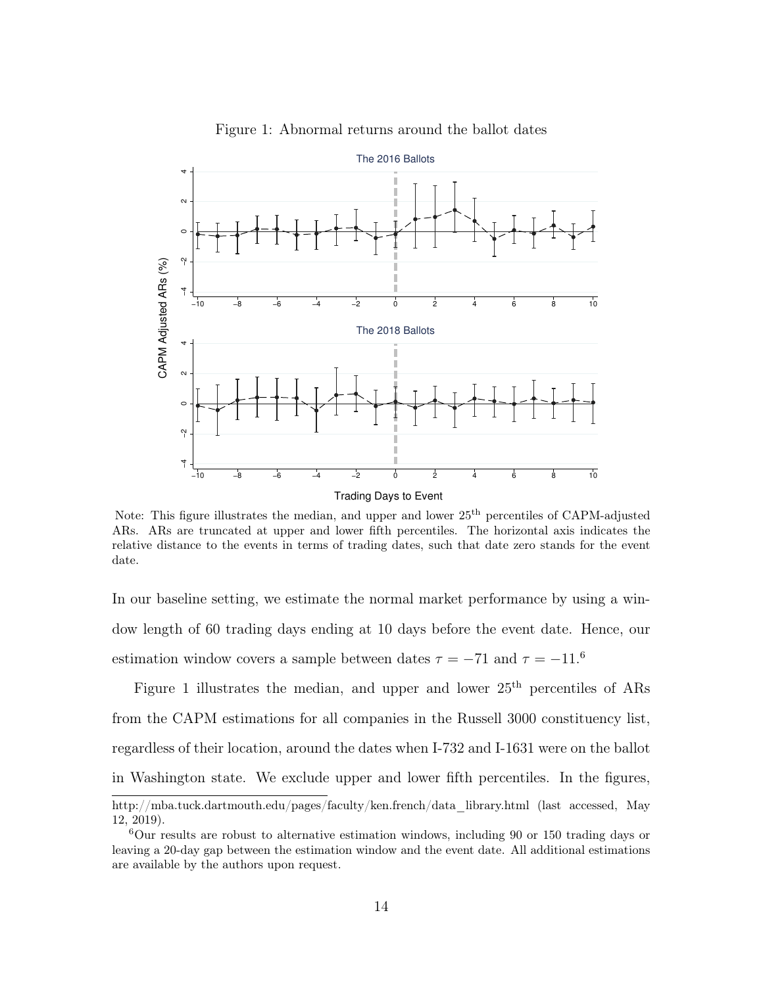

Figure 1: Abnormal returns around the ballot dates

Note: This figure illustrates the median, and upper and lower 25th percentiles of CAPM-adjusted ARs. ARs are truncated at upper and lower fifth percentiles. The horizontal axis indicates the relative distance to the events in terms of trading dates, such that date zero stands for the event date.

In our baseline setting, we estimate the normal market performance by using a window length of 60 trading days ending at 10 days before the event date. Hence, our estimation window covers a sample between dates  $\tau = -71$  and  $\tau = -11.6$ 

Figure 1 illustrates the median, and upper and lower  $25<sup>th</sup>$  percentiles of ARs from the CAPM estimations for all companies in the Russell 3000 constituency list, regardless of their location, around the dates when I-732 and I-1631 were on the ballot in Washington state. We exclude upper and lower fifth percentiles. In the figures,

http://mba.tuck.dartmouth.edu/pages/faculty/ken.french/data\_library.html (last accessed, May 12, 2019).

 $6$ Our results are robust to alternative estimation windows, including 90 or 150 trading days or leaving a 20-day gap between the estimation window and the event date. All additional estimations are available by the authors upon request.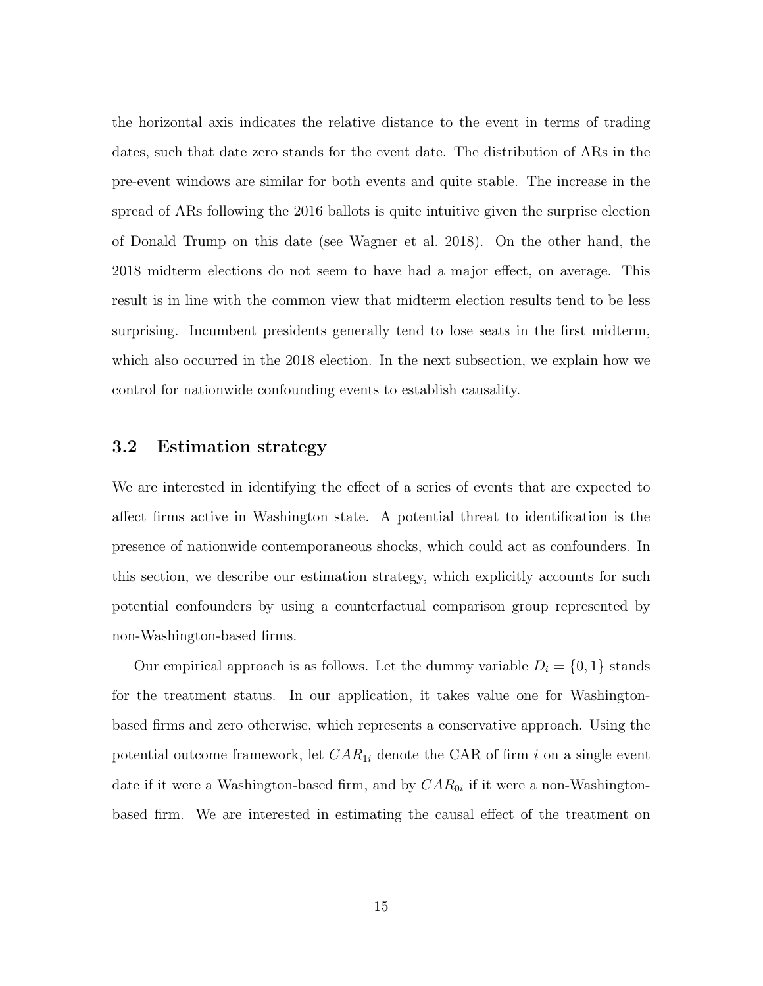the horizontal axis indicates the relative distance to the event in terms of trading dates, such that date zero stands for the event date. The distribution of ARs in the pre-event windows are similar for both events and quite stable. The increase in the spread of ARs following the 2016 ballots is quite intuitive given the surprise election of Donald Trump on this date (see Wagner et al. 2018). On the other hand, the 2018 midterm elections do not seem to have had a major effect, on average. This result is in line with the common view that midterm election results tend to be less surprising. Incumbent presidents generally tend to lose seats in the first midterm, which also occurred in the 2018 election. In the next subsection, we explain how we control for nationwide confounding events to establish causality.

#### 3.2 Estimation strategy

We are interested in identifying the effect of a series of events that are expected to affect firms active in Washington state. A potential threat to identification is the presence of nationwide contemporaneous shocks, which could act as confounders. In this section, we describe our estimation strategy, which explicitly accounts for such potential confounders by using a counterfactual comparison group represented by non-Washington-based firms.

Our empirical approach is as follows. Let the dummy variable  $D_i = \{0, 1\}$  stands for the treatment status. In our application, it takes value one for Washingtonbased firms and zero otherwise, which represents a conservative approach. Using the potential outcome framework, let  $CAR_{1i}$  denote the CAR of firm i on a single event date if it were a Washington-based firm, and by  $CAR_{0i}$  if it were a non-Washingtonbased firm. We are interested in estimating the causal effect of the treatment on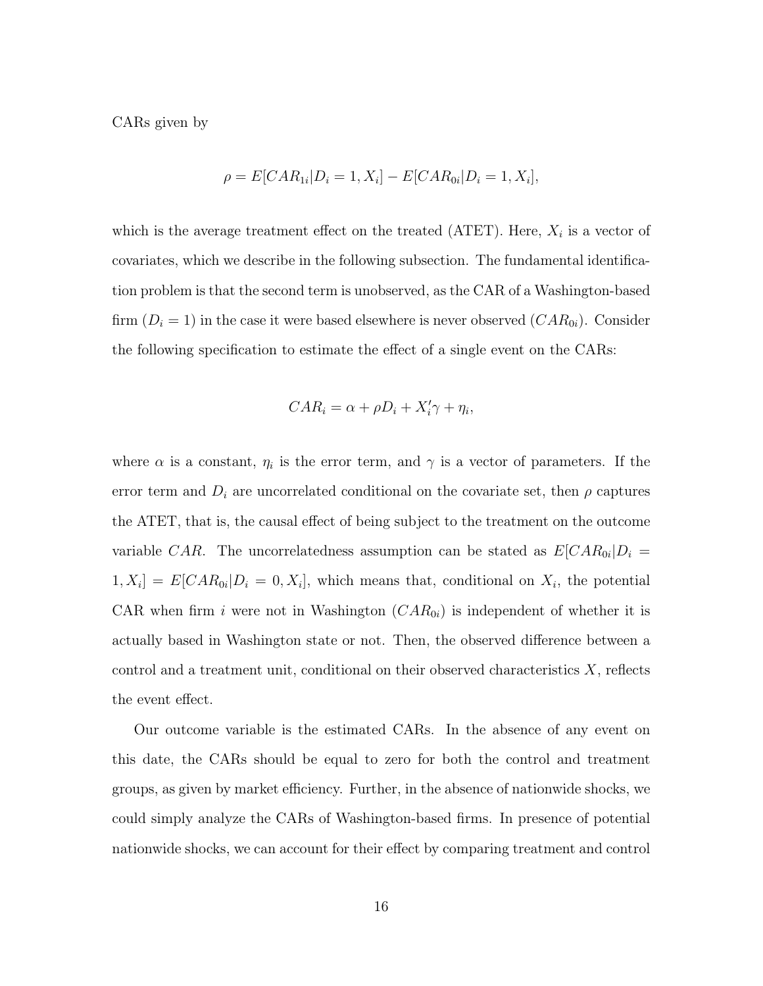CARs given by

$$
\rho = E[CAR_{1i} | D_i = 1, X_i] - E[CAR_{0i} | D_i = 1, X_i],
$$

which is the average treatment effect on the treated (ATET). Here,  $X_i$  is a vector of covariates, which we describe in the following subsection. The fundamental identification problem is that the second term is unobserved, as the CAR of a Washington-based firm  $(D_i = 1)$  in the case it were based elsewhere is never observed  $(CAR_{0i})$ . Consider the following specification to estimate the effect of a single event on the CARs:

$$
CAR_i = \alpha + \rho D_i + X'_i \gamma + \eta_i,
$$

where  $\alpha$  is a constant,  $\eta_i$  is the error term, and  $\gamma$  is a vector of parameters. If the error term and  $D_i$  are uncorrelated conditional on the covariate set, then  $\rho$  captures the ATET, that is, the causal effect of being subject to the treatment on the outcome variable CAR. The uncorrelatedness assumption can be stated as  $E[CAR_{0i}|D_i]$  $[1, X_i] = E[CAR_{0i} | D_i = 0, X_i],$  which means that, conditional on  $X_i$ , the potential CAR when firm i were not in Washington  $(CAR_{0i})$  is independent of whether it is actually based in Washington state or not. Then, the observed difference between a control and a treatment unit, conditional on their observed characteristics  $X$ , reflects the event effect.

Our outcome variable is the estimated CARs. In the absence of any event on this date, the CARs should be equal to zero for both the control and treatment groups, as given by market efficiency. Further, in the absence of nationwide shocks, we could simply analyze the CARs of Washington-based firms. In presence of potential nationwide shocks, we can account for their effect by comparing treatment and control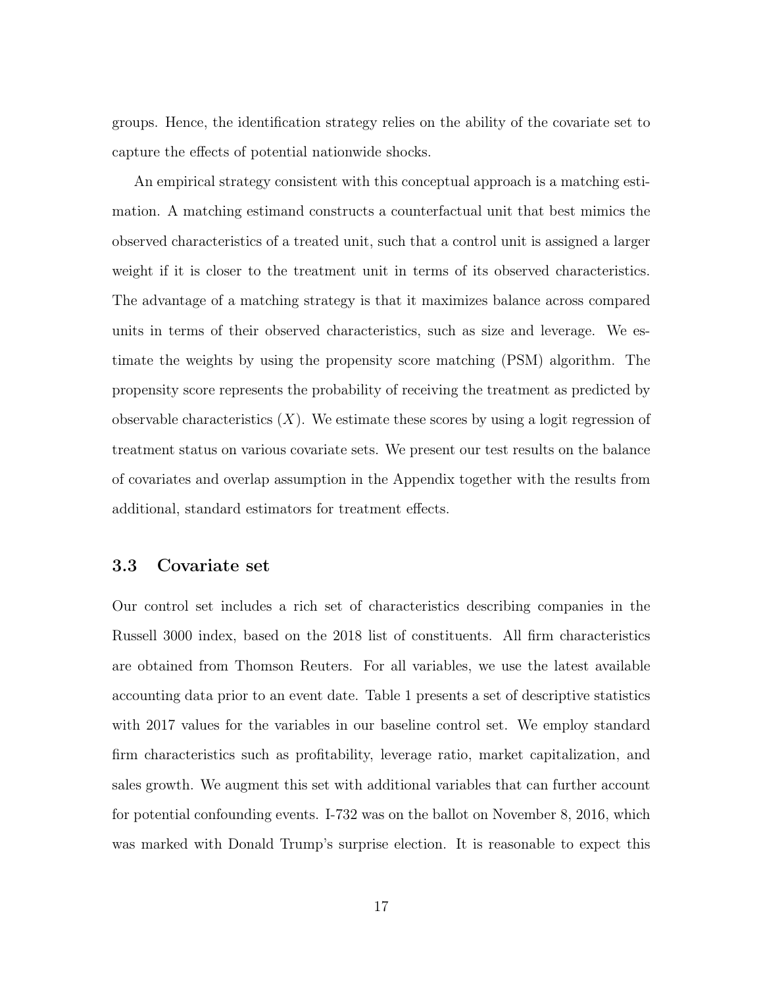groups. Hence, the identification strategy relies on the ability of the covariate set to capture the effects of potential nationwide shocks.

An empirical strategy consistent with this conceptual approach is a matching estimation. A matching estimand constructs a counterfactual unit that best mimics the observed characteristics of a treated unit, such that a control unit is assigned a larger weight if it is closer to the treatment unit in terms of its observed characteristics. The advantage of a matching strategy is that it maximizes balance across compared units in terms of their observed characteristics, such as size and leverage. We estimate the weights by using the propensity score matching (PSM) algorithm. The propensity score represents the probability of receiving the treatment as predicted by observable characteristics  $(X)$ . We estimate these scores by using a logit regression of treatment status on various covariate sets. We present our test results on the balance of covariates and overlap assumption in the Appendix together with the results from additional, standard estimators for treatment effects.

#### 3.3 Covariate set

Our control set includes a rich set of characteristics describing companies in the Russell 3000 index, based on the 2018 list of constituents. All firm characteristics are obtained from Thomson Reuters. For all variables, we use the latest available accounting data prior to an event date. Table 1 presents a set of descriptive statistics with 2017 values for the variables in our baseline control set. We employ standard firm characteristics such as profitability, leverage ratio, market capitalization, and sales growth. We augment this set with additional variables that can further account for potential confounding events. I-732 was on the ballot on November 8, 2016, which was marked with Donald Trump's surprise election. It is reasonable to expect this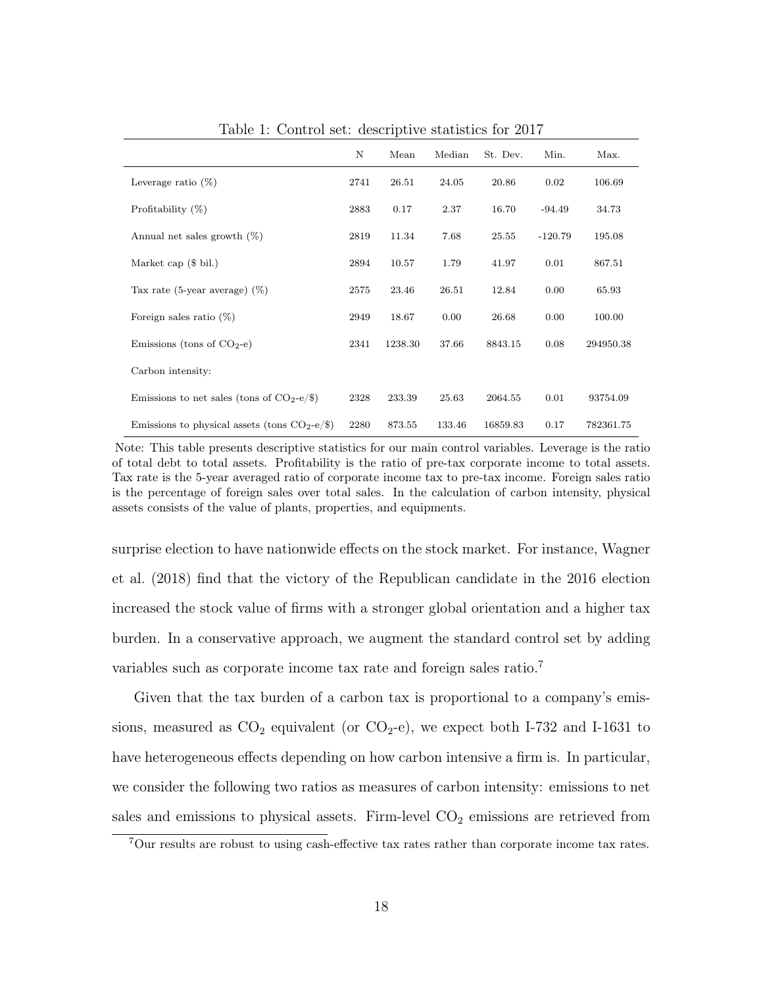|                                                | N    | Mean    | Median | St. Dev. | Min.      | Max.      |
|------------------------------------------------|------|---------|--------|----------|-----------|-----------|
| Leverage ratio $(\%)$                          | 2741 | 26.51   | 24.05  | 20.86    | 0.02      | 106.69    |
| Profitability $(\%)$                           | 2883 | 0.17    | 2.37   | 16.70    | $-94.49$  | 34.73     |
| Annual net sales growth $(\%)$                 | 2819 | 11.34   | 7.68   | 25.55    | $-120.79$ | 195.08    |
| Market cap $(\$~bil.)$                         | 2894 | 10.57   | 1.79   | 41.97    | 0.01      | 867.51    |
| Tax rate (5-year average) $(\%)$               | 2575 | 23.46   | 26.51  | 12.84    | 0.00      | 65.93     |
| Foreign sales ratio $(\%)$                     | 2949 | 18.67   | 0.00   | 26.68    | 0.00      | 100.00    |
| Emissions (tons of $CO2$ -e)                   | 2341 | 1238.30 | 37.66  | 8843.15  | 0.08      | 294950.38 |
| Carbon intensity:                              |      |         |        |          |           |           |
| Emissions to net sales (tons of $CO2-e/\$$ )   | 2328 | 233.39  | 25.63  | 2064.55  | 0.01      | 93754.09  |
| Emissions to physical assets (tons $CO2-e/\$ ) | 2280 | 873.55  | 133.46 | 16859.83 | 0.17      | 782361.75 |

Table 1: Control set: descriptive statistics for 2017

Note: This table presents descriptive statistics for our main control variables. Leverage is the ratio of total debt to total assets. Profitability is the ratio of pre-tax corporate income to total assets. Tax rate is the 5-year averaged ratio of corporate income tax to pre-tax income. Foreign sales ratio is the percentage of foreign sales over total sales. In the calculation of carbon intensity, physical assets consists of the value of plants, properties, and equipments.

surprise election to have nationwide effects on the stock market. For instance, Wagner et al. (2018) find that the victory of the Republican candidate in the 2016 election increased the stock value of firms with a stronger global orientation and a higher tax burden. In a conservative approach, we augment the standard control set by adding variables such as corporate income tax rate and foreign sales ratio.<sup>7</sup>

Given that the tax burden of a carbon tax is proportional to a company's emissions, measured as  $CO_2$  equivalent (or  $CO_2$ -e), we expect both I-732 and I-1631 to have heterogeneous effects depending on how carbon intensive a firm is. In particular, we consider the following two ratios as measures of carbon intensity: emissions to net sales and emissions to physical assets. Firm-level  $CO<sub>2</sub>$  emissions are retrieved from

<sup>7</sup>Our results are robust to using cash-effective tax rates rather than corporate income tax rates.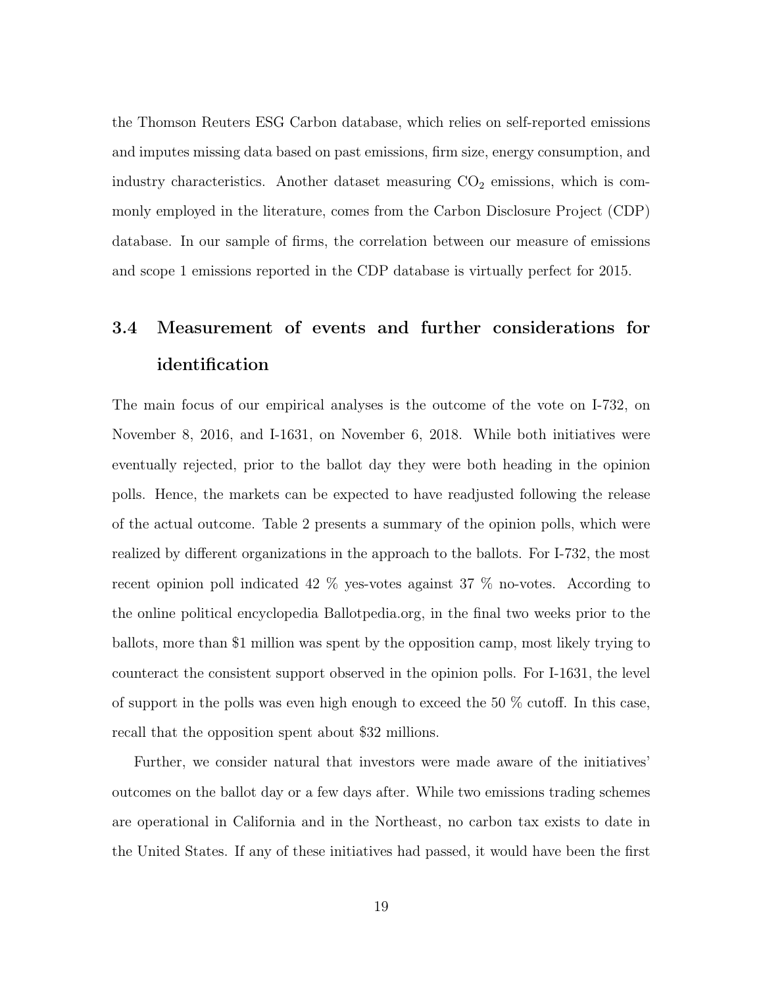the Thomson Reuters ESG Carbon database, which relies on self-reported emissions and imputes missing data based on past emissions, firm size, energy consumption, and industry characteristics. Another dataset measuring  $CO<sub>2</sub>$  emissions, which is commonly employed in the literature, comes from the Carbon Disclosure Project (CDP) database. In our sample of firms, the correlation between our measure of emissions and scope 1 emissions reported in the CDP database is virtually perfect for 2015.

# 3.4 Measurement of events and further considerations for identification

The main focus of our empirical analyses is the outcome of the vote on I-732, on November 8, 2016, and I-1631, on November 6, 2018. While both initiatives were eventually rejected, prior to the ballot day they were both heading in the opinion polls. Hence, the markets can be expected to have readjusted following the release of the actual outcome. Table 2 presents a summary of the opinion polls, which were realized by different organizations in the approach to the ballots. For I-732, the most recent opinion poll indicated 42 % yes-votes against 37 % no-votes. According to the online political encyclopedia Ballotpedia.org, in the final two weeks prior to the ballots, more than \$1 million was spent by the opposition camp, most likely trying to counteract the consistent support observed in the opinion polls. For I-1631, the level of support in the polls was even high enough to exceed the 50 % cutoff. In this case, recall that the opposition spent about \$32 millions.

Further, we consider natural that investors were made aware of the initiatives' outcomes on the ballot day or a few days after. While two emissions trading schemes are operational in California and in the Northeast, no carbon tax exists to date in the United States. If any of these initiatives had passed, it would have been the first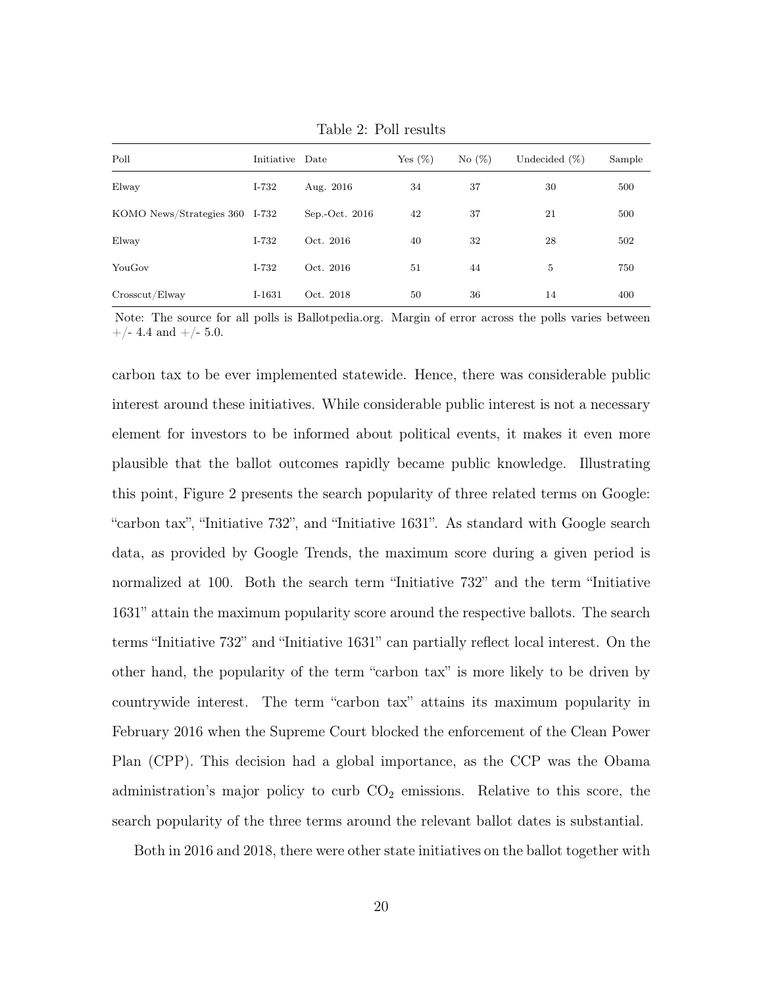| Poll                           | Initiative Date |                | Yes $(\%)$ | No (%) | Undecided $(\%)$ | Sample |
|--------------------------------|-----------------|----------------|------------|--------|------------------|--------|
| Elway                          | I-732           | Aug. 2016      | 34         | 37     | 30               | 500    |
| KOMO News/Strategies 360 I-732 |                 | Sep.-Oct. 2016 | 42         | 37     | 21               | 500    |
| Elway                          | I-732           | Oct. 2016      | 40         | 32     | 28               | 502    |
| YouGov                         | $I-732$         | Oct. 2016      | 51         | 44     | 5                | 750    |
| $C$ rosscut/Elway              | $I-1631$        | Oct. 2018      | 50         | 36     | 14               | 400    |

Table 2: Poll results

Note: The source for all polls is Ballotpedia.org. Margin of error across the polls varies between  $+/- 4.4$  and  $+/- 5.0$ .

carbon tax to be ever implemented statewide. Hence, there was considerable public interest around these initiatives. While considerable public interest is not a necessary element for investors to be informed about political events, it makes it even more plausible that the ballot outcomes rapidly became public knowledge. Illustrating this point, Figure 2 presents the search popularity of three related terms on Google: "carbon tax", "Initiative 732", and "Initiative 1631". As standard with Google search data, as provided by Google Trends, the maximum score during a given period is normalized at 100. Both the search term "Initiative 732" and the term "Initiative 1631" attain the maximum popularity score around the respective ballots. The search terms "Initiative 732" and "Initiative 1631" can partially reflect local interest. On the other hand, the popularity of the term "carbon tax" is more likely to be driven by countrywide interest. The term "carbon tax" attains its maximum popularity in February 2016 when the Supreme Court blocked the enforcement of the Clean Power Plan (CPP). This decision had a global importance, as the CCP was the Obama administration's major policy to curb  $CO<sub>2</sub>$  emissions. Relative to this score, the search popularity of the three terms around the relevant ballot dates is substantial.

Both in 2016 and 2018, there were other state initiatives on the ballot together with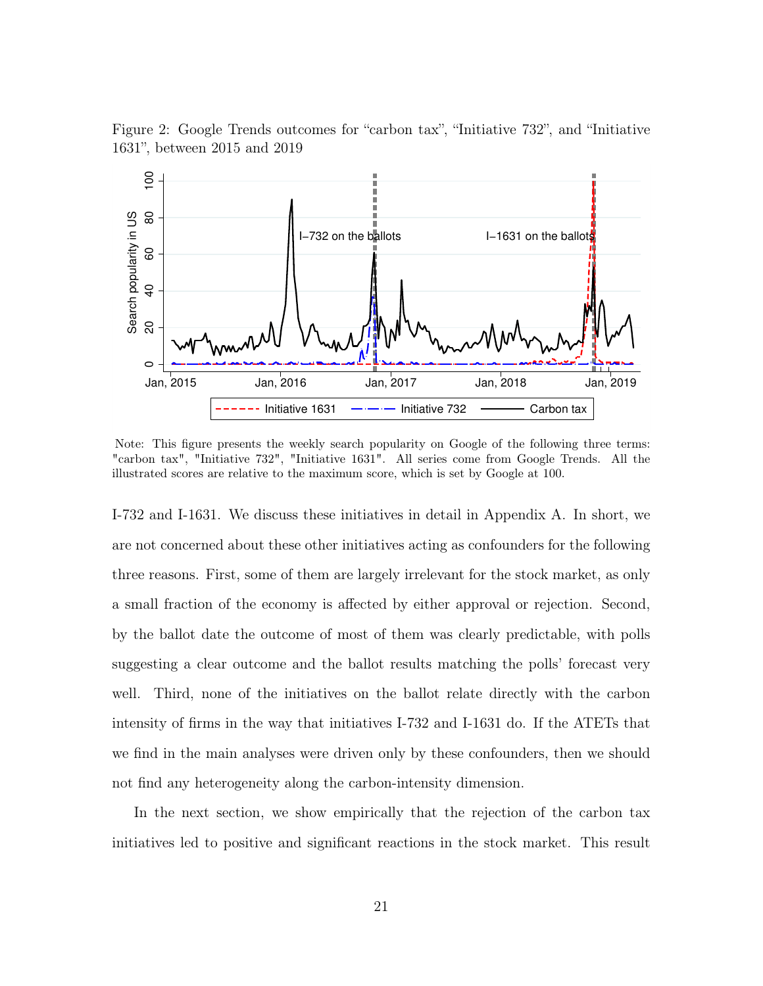Figure 2: Google Trends outcomes for "carbon tax", "Initiative 732", and "Initiative 1631", between 2015 and 2019



Note: This figure presents the weekly search popularity on Google of the following three terms: "carbon tax", "Initiative 732", "Initiative 1631". All series come from Google Trends. All the illustrated scores are relative to the maximum score, which is set by Google at 100.

I-732 and I-1631. We discuss these initiatives in detail in Appendix A. In short, we are not concerned about these other initiatives acting as confounders for the following three reasons. First, some of them are largely irrelevant for the stock market, as only a small fraction of the economy is affected by either approval or rejection. Second, by the ballot date the outcome of most of them was clearly predictable, with polls suggesting a clear outcome and the ballot results matching the polls' forecast very well. Third, none of the initiatives on the ballot relate directly with the carbon intensity of firms in the way that initiatives I-732 and I-1631 do. If the ATETs that we find in the main analyses were driven only by these confounders, then we should not find any heterogeneity along the carbon-intensity dimension.

In the next section, we show empirically that the rejection of the carbon tax initiatives led to positive and significant reactions in the stock market. This result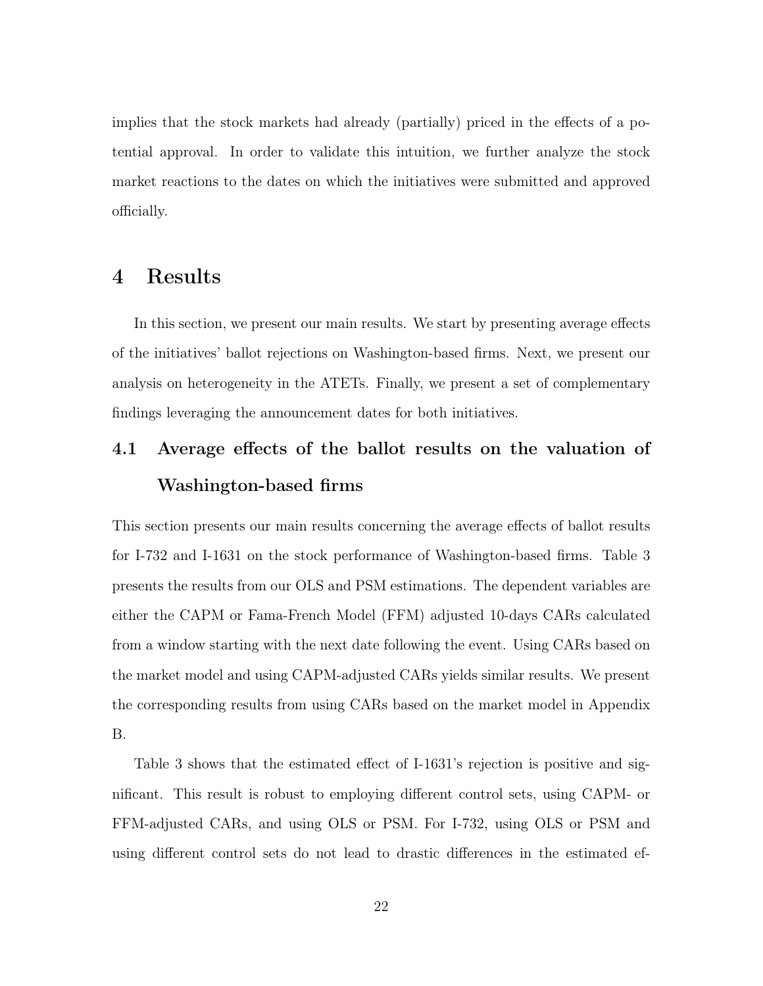implies that the stock markets had already (partially) priced in the effects of a potential approval. In order to validate this intuition, we further analyze the stock market reactions to the dates on which the initiatives were submitted and approved officially.

### 4 Results

In this section, we present our main results. We start by presenting average effects of the initiatives' ballot rejections on Washington-based firms. Next, we present our analysis on heterogeneity in the ATETs. Finally, we present a set of complementary findings leveraging the announcement dates for both initiatives.

# 4.1 Average effects of the ballot results on the valuation of Washington-based firms

This section presents our main results concerning the average effects of ballot results for I-732 and I-1631 on the stock performance of Washington-based firms. Table 3 presents the results from our OLS and PSM estimations. The dependent variables are either the CAPM or Fama-French Model (FFM) adjusted 10-days CARs calculated from a window starting with the next date following the event. Using CARs based on the market model and using CAPM-adjusted CARs yields similar results. We present the corresponding results from using CARs based on the market model in Appendix B.

Table 3 shows that the estimated effect of I-1631's rejection is positive and significant. This result is robust to employing different control sets, using CAPM- or FFM-adjusted CARs, and using OLS or PSM. For I-732, using OLS or PSM and using different control sets do not lead to drastic differences in the estimated ef-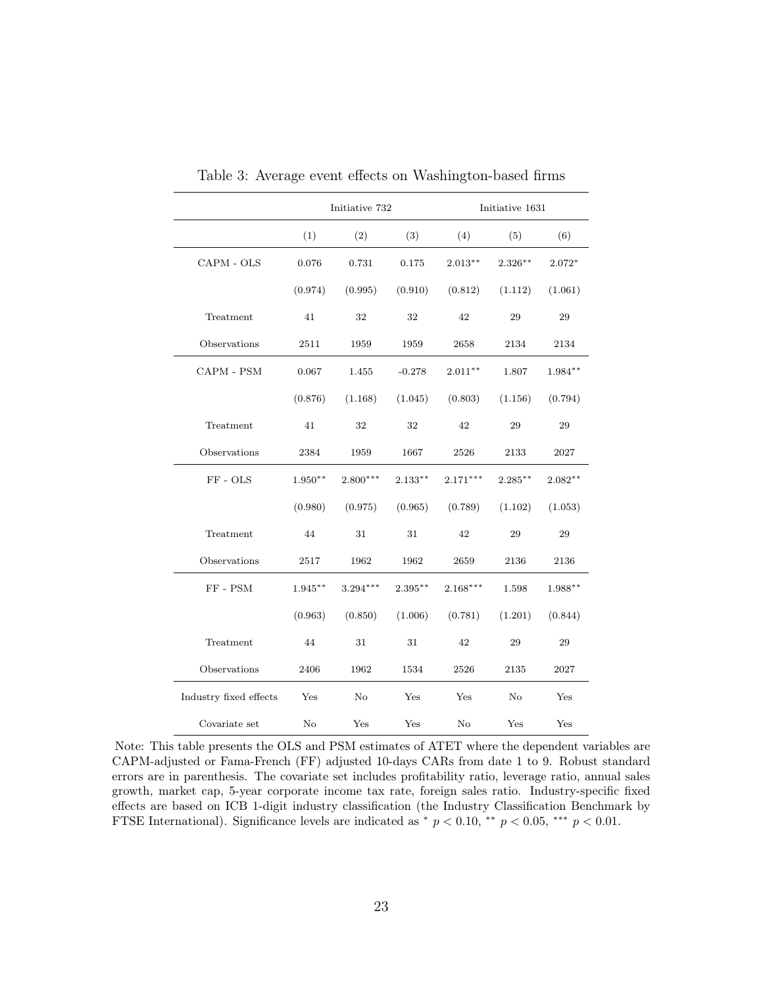|                              | Initiative 732 |            |           | Initiative 1631 |            |           |  |
|------------------------------|----------------|------------|-----------|-----------------|------------|-----------|--|
|                              | (1)            | (2)        | (3)       | (4)             | (5)        | (6)       |  |
| CAPM - OLS                   | 0.076          | 0.731      | 0.175     | $2.013***$      | $2.326***$ | $2.072*$  |  |
|                              | (0.974)        | (0.995)    | (0.910)   | (0.812)         | (1.112)    | (1.061)   |  |
| Treatment                    | 41             | 32         | 32        | 42              | 29         | 29        |  |
| Observations                 | 2511           | 1959       | 1959      | 2658            | 2134       | 2134      |  |
| $\mbox{CAPM}$ - $\mbox{PSM}$ | 0.067          | 1.455      | $-0.278$  | $2.011**$       | 1.807      | 1.984**   |  |
|                              | (0.876)        | (1.168)    | (1.045)   | (0.803)         | (1.156)    | (0.794)   |  |
| Treatment                    | 41             | 32         | 32        | 42              | 29         | 29        |  |
| Observations                 | 2384           | 1959       | 1667      | 2526            | 2133       | 2027      |  |
| FF-OLS                       | $1.950**$      | $2.800***$ | $2.133**$ | $2.171***$      | $2.285***$ | $2.082**$ |  |
|                              | (0.980)        | (0.975)    | (0.965)   | (0.789)         | (1.102)    | (1.053)   |  |
| Treatment                    | 44             | 31         | 31        | 42              | $\,29$     | $\,29$    |  |
| Observations                 | 2517           | 1962       | 1962      | 2659            | 2136       | 2136      |  |
| $FF - PSM$                   | $1.945**$      | $3.294***$ | $2.395**$ | $2.168***$      | 1.598      | 1.988**   |  |
|                              | (0.963)        | (0.850)    | (1.006)   | (0.781)         | (1.201)    | (0.844)   |  |
| Treatment                    | 44             | 31         | 31        | 42              | 29         | 29        |  |
| Observations                 | 2406           | 1962       | 1534      | 2526            | 2135       | 2027      |  |
| Industry fixed effects       | Yes            | No         | Yes       | Yes             | No         | Yes       |  |
| Covariate set                | No             | Yes        | Yes       | No              | Yes        | Yes       |  |

Table 3: Average event effects on Washington-based firms

Note: This table presents the OLS and PSM estimates of ATET where the dependent variables are CAPM-adjusted or Fama-French (FF) adjusted 10-days CARs from date 1 to 9. Robust standard errors are in parenthesis. The covariate set includes profitability ratio, leverage ratio, annual sales growth, market cap, 5-year corporate income tax rate, foreign sales ratio. Industry-specific fixed effects are based on ICB 1-digit industry classification (the Industry Classification Benchmark by FTSE International). Significance levels are indicated as  $*$   $p < 0.10$ ,  $*$   $p < 0.05$ ,  $**$   $p < 0.01$ .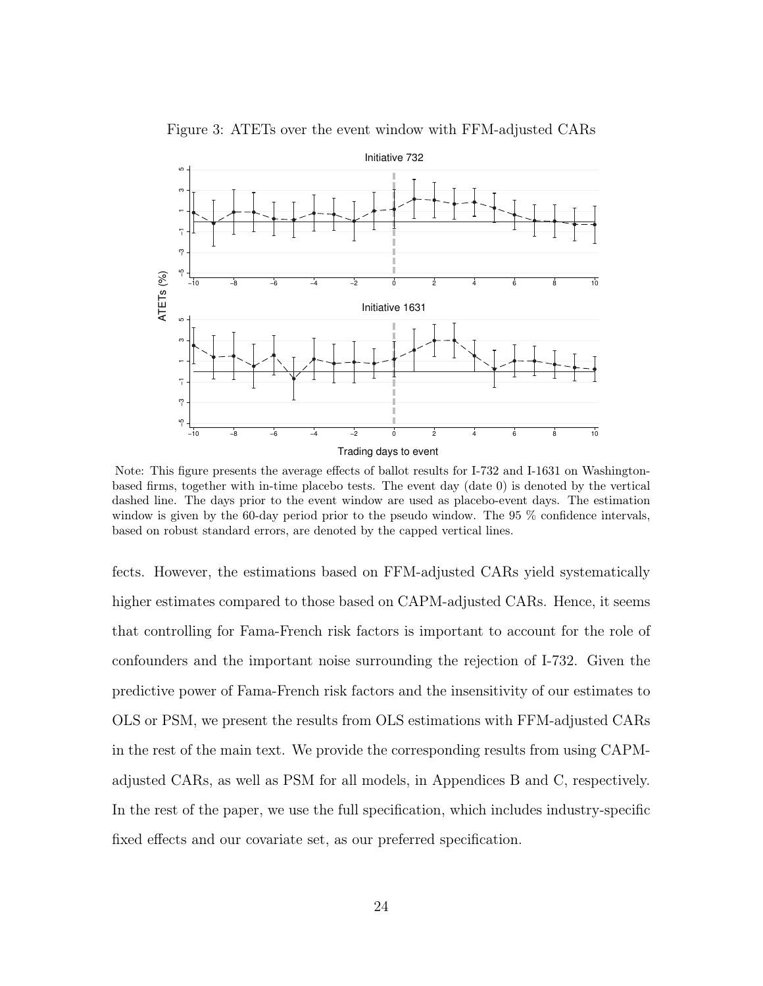

Figure 3: ATETs over the event window with FFM-adjusted CARs

Note: This figure presents the average effects of ballot results for I-732 and I-1631 on Washingtonbased firms, together with in-time placebo tests. The event day (date 0) is denoted by the vertical dashed line. The days prior to the event window are used as placebo-event days. The estimation window is given by the 60-day period prior to the pseudo window. The 95 % confidence intervals, based on robust standard errors, are denoted by the capped vertical lines.

fects. However, the estimations based on FFM-adjusted CARs yield systematically higher estimates compared to those based on CAPM-adjusted CARs. Hence, it seems that controlling for Fama-French risk factors is important to account for the role of confounders and the important noise surrounding the rejection of I-732. Given the predictive power of Fama-French risk factors and the insensitivity of our estimates to OLS or PSM, we present the results from OLS estimations with FFM-adjusted CARs in the rest of the main text. We provide the corresponding results from using CAPMadjusted CARs, as well as PSM for all models, in Appendices B and C, respectively. In the rest of the paper, we use the full specification, which includes industry-specific fixed effects and our covariate set, as our preferred specification.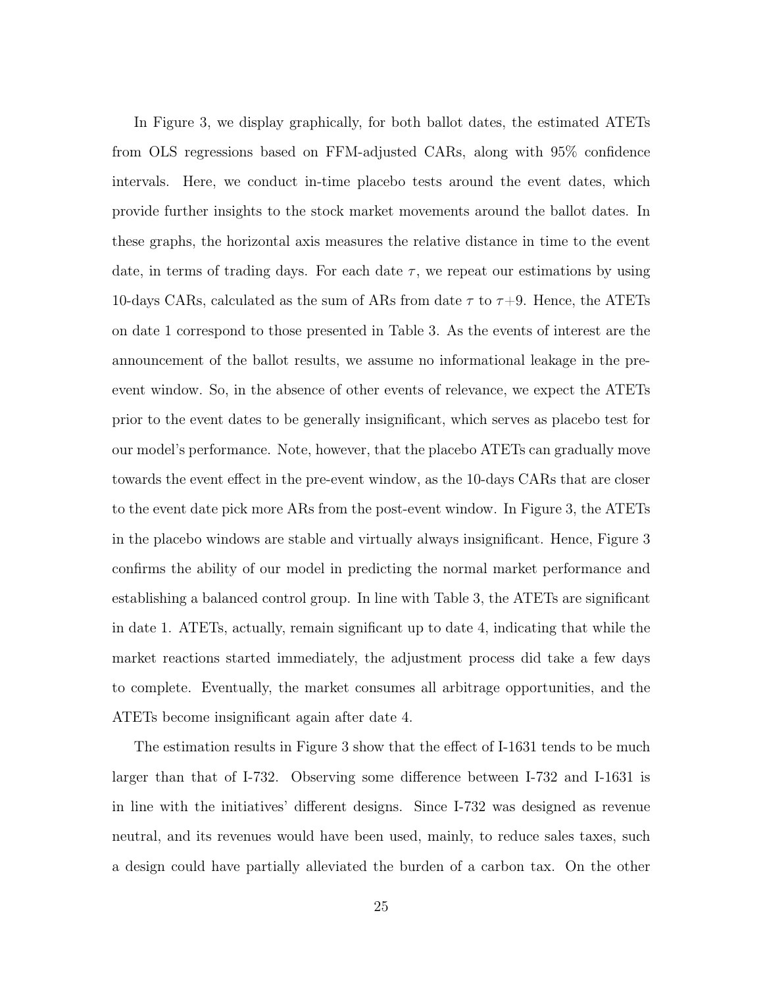In Figure 3, we display graphically, for both ballot dates, the estimated ATETs from OLS regressions based on FFM-adjusted CARs, along with 95% confidence intervals. Here, we conduct in-time placebo tests around the event dates, which provide further insights to the stock market movements around the ballot dates. In these graphs, the horizontal axis measures the relative distance in time to the event date, in terms of trading days. For each date  $\tau$ , we repeat our estimations by using 10-days CARs, calculated as the sum of ARs from date  $\tau$  to  $\tau$ +9. Hence, the ATETs on date 1 correspond to those presented in Table 3. As the events of interest are the announcement of the ballot results, we assume no informational leakage in the preevent window. So, in the absence of other events of relevance, we expect the ATETs prior to the event dates to be generally insignificant, which serves as placebo test for our model's performance. Note, however, that the placebo ATETs can gradually move towards the event effect in the pre-event window, as the 10-days CARs that are closer to the event date pick more ARs from the post-event window. In Figure 3, the ATETs in the placebo windows are stable and virtually always insignificant. Hence, Figure 3 confirms the ability of our model in predicting the normal market performance and establishing a balanced control group. In line with Table 3, the ATETs are significant in date 1. ATETs, actually, remain significant up to date 4, indicating that while the market reactions started immediately, the adjustment process did take a few days to complete. Eventually, the market consumes all arbitrage opportunities, and the ATETs become insignificant again after date 4.

The estimation results in Figure 3 show that the effect of I-1631 tends to be much larger than that of I-732. Observing some difference between I-732 and I-1631 is in line with the initiatives' different designs. Since I-732 was designed as revenue neutral, and its revenues would have been used, mainly, to reduce sales taxes, such a design could have partially alleviated the burden of a carbon tax. On the other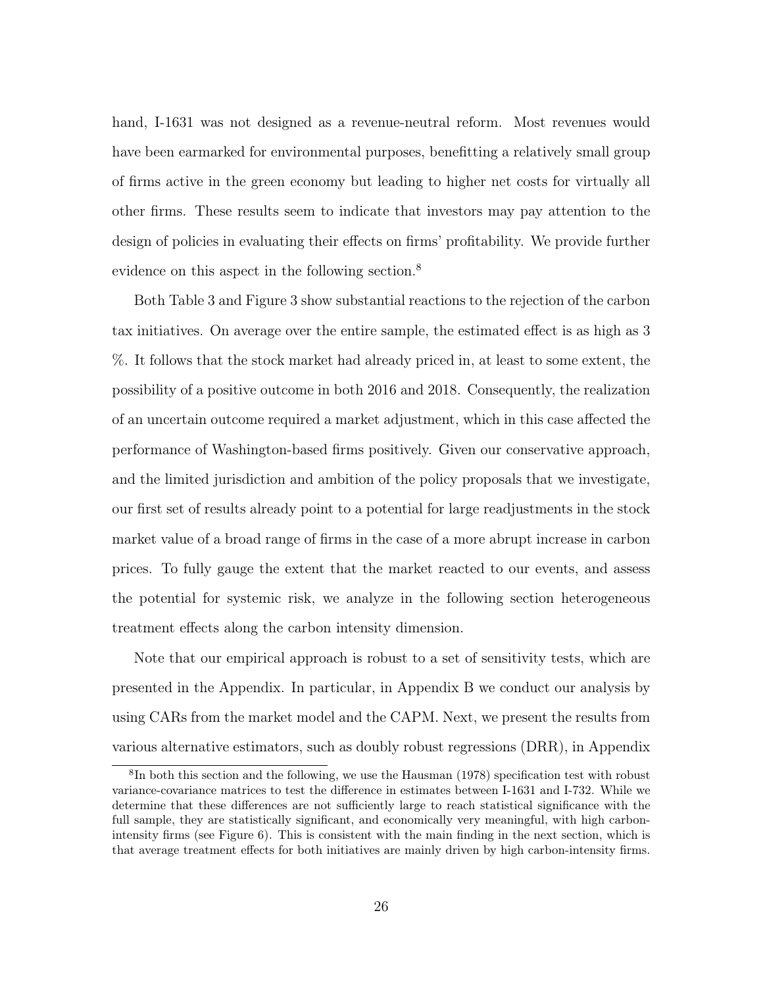hand, I-1631 was not designed as a revenue-neutral reform. Most revenues would have been earmarked for environmental purposes, benefitting a relatively small group of firms active in the green economy but leading to higher net costs for virtually all other firms. These results seem to indicate that investors may pay attention to the design of policies in evaluating their effects on firms' profitability. We provide further evidence on this aspect in the following section.<sup>8</sup>

Both Table 3 and Figure 3 show substantial reactions to the rejection of the carbon tax initiatives. On average over the entire sample, the estimated effect is as high as 3 %. It follows that the stock market had already priced in, at least to some extent, the possibility of a positive outcome in both 2016 and 2018. Consequently, the realization of an uncertain outcome required a market adjustment, which in this case affected the performance of Washington-based firms positively. Given our conservative approach, and the limited jurisdiction and ambition of the policy proposals that we investigate, our first set of results already point to a potential for large readjustments in the stock market value of a broad range of firms in the case of a more abrupt increase in carbon prices. To fully gauge the extent that the market reacted to our events, and assess the potential for systemic risk, we analyze in the following section heterogeneous treatment effects along the carbon intensity dimension.

Note that our empirical approach is robust to a set of sensitivity tests, which are presented in the Appendix. In particular, in Appendix B we conduct our analysis by using CARs from the market model and the CAPM. Next, we present the results from various alternative estimators, such as doubly robust regressions (DRR), in Appendix

<sup>&</sup>lt;sup>8</sup>In both this section and the following, we use the Hausman (1978) specification test with robust variance-covariance matrices to test the difference in estimates between I-1631 and I-732. While we determine that these differences are not sufficiently large to reach statistical significance with the full sample, they are statistically significant, and economically very meaningful, with high carbonintensity firms (see Figure 6). This is consistent with the main finding in the next section, which is that average treatment effects for both initiatives are mainly driven by high carbon-intensity firms.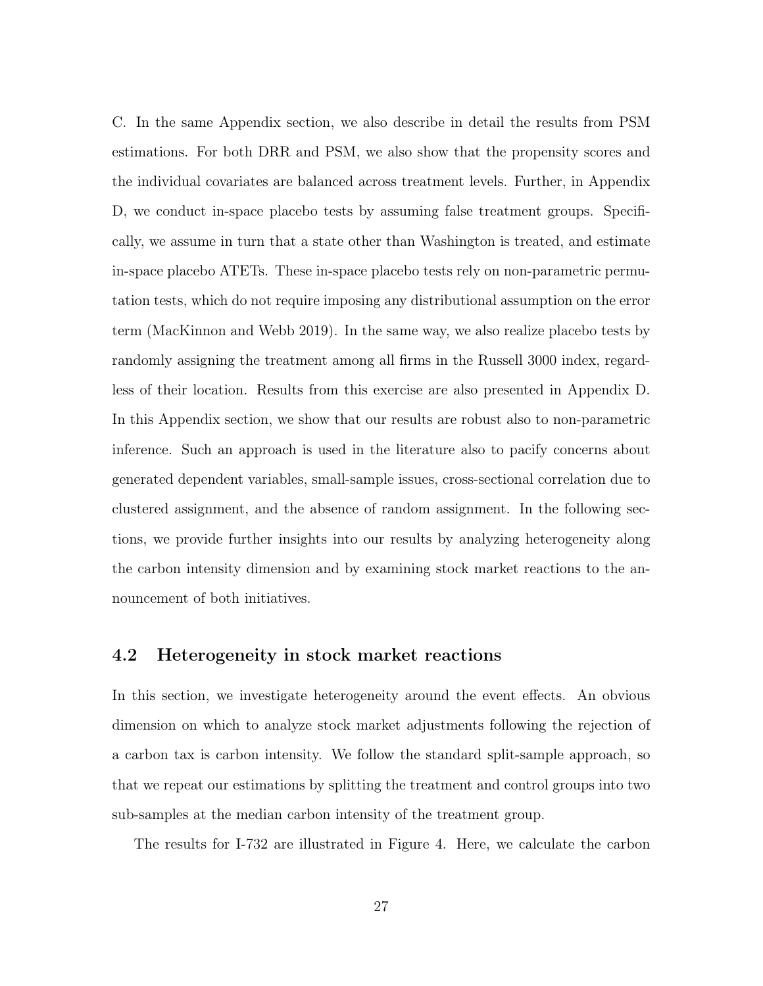C. In the same Appendix section, we also describe in detail the results from PSM estimations. For both DRR and PSM, we also show that the propensity scores and the individual covariates are balanced across treatment levels. Further, in Appendix D, we conduct in-space placebo tests by assuming false treatment groups. Specifically, we assume in turn that a state other than Washington is treated, and estimate in-space placebo ATETs. These in-space placebo tests rely on non-parametric permutation tests, which do not require imposing any distributional assumption on the error term (MacKinnon and Webb 2019). In the same way, we also realize placebo tests by randomly assigning the treatment among all firms in the Russell 3000 index, regardless of their location. Results from this exercise are also presented in Appendix D. In this Appendix section, we show that our results are robust also to non-parametric inference. Such an approach is used in the literature also to pacify concerns about generated dependent variables, small-sample issues, cross-sectional correlation due to clustered assignment, and the absence of random assignment. In the following sections, we provide further insights into our results by analyzing heterogeneity along the carbon intensity dimension and by examining stock market reactions to the announcement of both initiatives.

#### 4.2 Heterogeneity in stock market reactions

In this section, we investigate heterogeneity around the event effects. An obvious dimension on which to analyze stock market adjustments following the rejection of a carbon tax is carbon intensity. We follow the standard split-sample approach, so that we repeat our estimations by splitting the treatment and control groups into two sub-samples at the median carbon intensity of the treatment group.

The results for I-732 are illustrated in Figure 4. Here, we calculate the carbon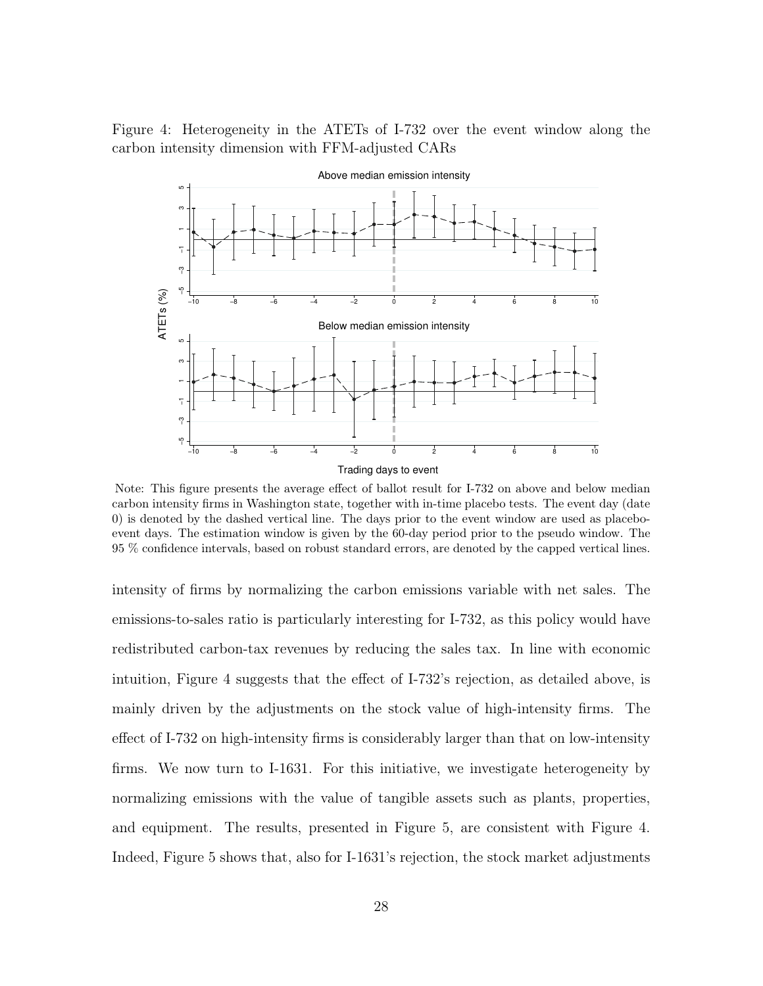Figure 4: Heterogeneity in the ATETs of I-732 over the event window along the carbon intensity dimension with FFM-adjusted CARs



Note: This figure presents the average effect of ballot result for I-732 on above and below median carbon intensity firms in Washington state, together with in-time placebo tests. The event day (date 0) is denoted by the dashed vertical line. The days prior to the event window are used as placeboevent days. The estimation window is given by the 60-day period prior to the pseudo window. The 95 % confidence intervals, based on robust standard errors, are denoted by the capped vertical lines.

intensity of firms by normalizing the carbon emissions variable with net sales. The emissions-to-sales ratio is particularly interesting for I-732, as this policy would have redistributed carbon-tax revenues by reducing the sales tax. In line with economic intuition, Figure 4 suggests that the effect of I-732's rejection, as detailed above, is mainly driven by the adjustments on the stock value of high-intensity firms. The effect of I-732 on high-intensity firms is considerably larger than that on low-intensity firms. We now turn to I-1631. For this initiative, we investigate heterogeneity by normalizing emissions with the value of tangible assets such as plants, properties, and equipment. The results, presented in Figure 5, are consistent with Figure 4. Indeed, Figure 5 shows that, also for I-1631's rejection, the stock market adjustments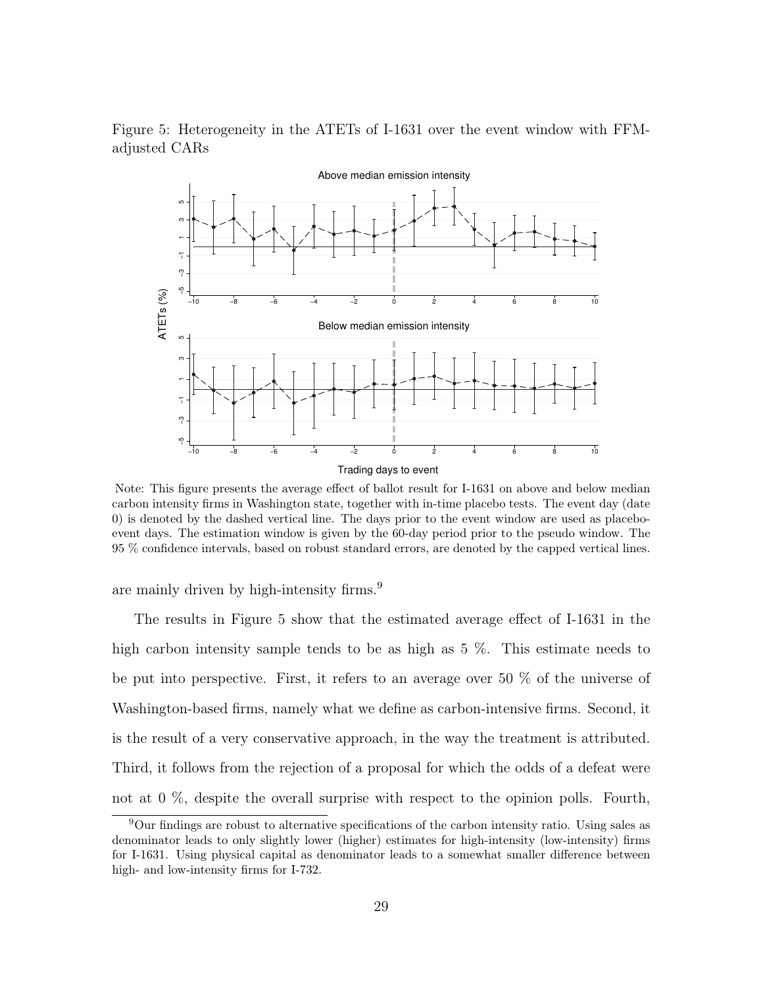

Figure 5: Heterogeneity in the ATETs of I-1631 over the event window with FFMadjusted CARs

Note: This figure presents the average effect of ballot result for I-1631 on above and below median carbon intensity firms in Washington state, together with in-time placebo tests. The event day (date 0) is denoted by the dashed vertical line. The days prior to the event window are used as placeboevent days. The estimation window is given by the 60-day period prior to the pseudo window. The 95 % confidence intervals, based on robust standard errors, are denoted by the capped vertical lines.

are mainly driven by high-intensity firms.<sup>9</sup>

The results in Figure 5 show that the estimated average effect of I-1631 in the high carbon intensity sample tends to be as high as 5 %. This estimate needs to be put into perspective. First, it refers to an average over 50 % of the universe of Washington-based firms, namely what we define as carbon-intensive firms. Second, it is the result of a very conservative approach, in the way the treatment is attributed. Third, it follows from the rejection of a proposal for which the odds of a defeat were not at 0 %, despite the overall surprise with respect to the opinion polls. Fourth,

<sup>9</sup>Our findings are robust to alternative specifications of the carbon intensity ratio. Using sales as denominator leads to only slightly lower (higher) estimates for high-intensity (low-intensity) firms for I-1631. Using physical capital as denominator leads to a somewhat smaller difference between high- and low-intensity firms for I-732.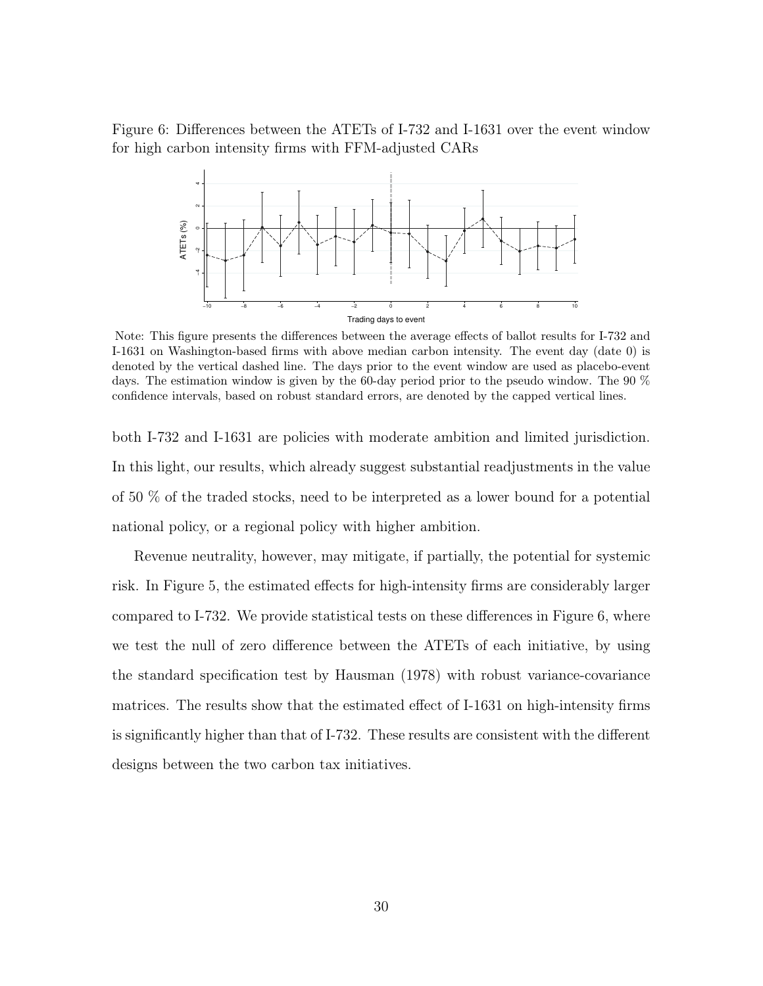Figure 6: Differences between the ATETs of I-732 and I-1631 over the event window for high carbon intensity firms with FFM-adjusted CARs



Note: This figure presents the differences between the average effects of ballot results for I-732 and I-1631 on Washington-based firms with above median carbon intensity. The event day (date 0) is denoted by the vertical dashed line. The days prior to the event window are used as placebo-event days. The estimation window is given by the 60-day period prior to the pseudo window. The 90 % confidence intervals, based on robust standard errors, are denoted by the capped vertical lines.

both I-732 and I-1631 are policies with moderate ambition and limited jurisdiction. In this light, our results, which already suggest substantial readjustments in the value of 50 % of the traded stocks, need to be interpreted as a lower bound for a potential national policy, or a regional policy with higher ambition.

Revenue neutrality, however, may mitigate, if partially, the potential for systemic risk. In Figure 5, the estimated effects for high-intensity firms are considerably larger compared to I-732. We provide statistical tests on these differences in Figure 6, where we test the null of zero difference between the ATETs of each initiative, by using the standard specification test by Hausman (1978) with robust variance-covariance matrices. The results show that the estimated effect of I-1631 on high-intensity firms is significantly higher than that of I-732. These results are consistent with the different designs between the two carbon tax initiatives.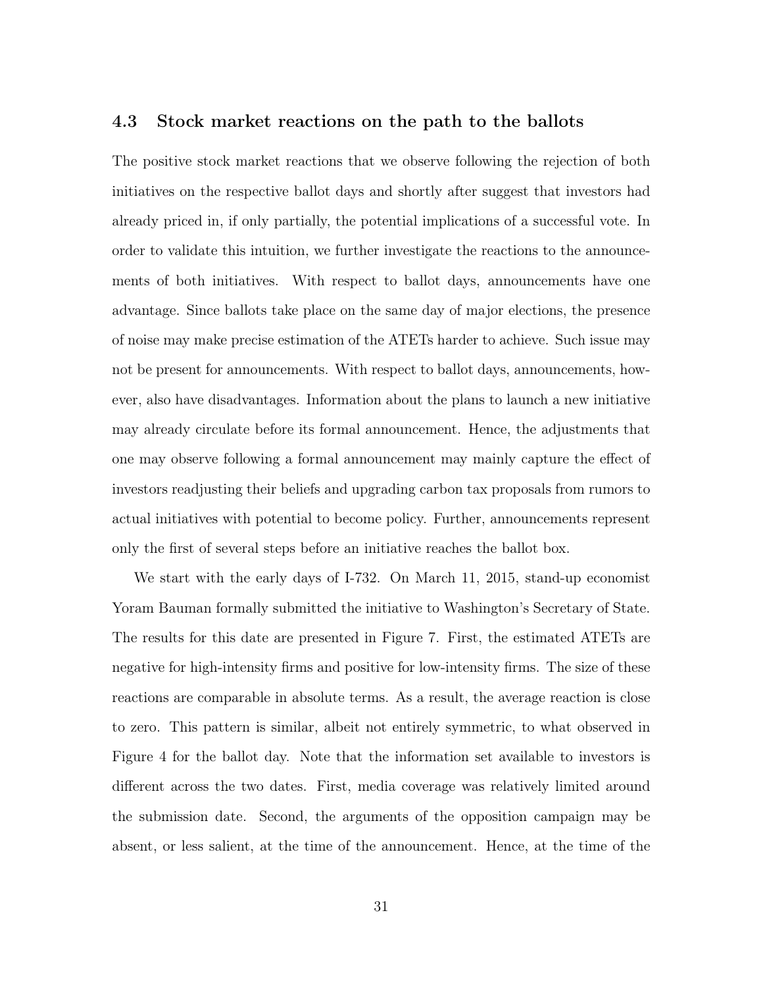#### 4.3 Stock market reactions on the path to the ballots

The positive stock market reactions that we observe following the rejection of both initiatives on the respective ballot days and shortly after suggest that investors had already priced in, if only partially, the potential implications of a successful vote. In order to validate this intuition, we further investigate the reactions to the announcements of both initiatives. With respect to ballot days, announcements have one advantage. Since ballots take place on the same day of major elections, the presence of noise may make precise estimation of the ATETs harder to achieve. Such issue may not be present for announcements. With respect to ballot days, announcements, however, also have disadvantages. Information about the plans to launch a new initiative may already circulate before its formal announcement. Hence, the adjustments that one may observe following a formal announcement may mainly capture the effect of investors readjusting their beliefs and upgrading carbon tax proposals from rumors to actual initiatives with potential to become policy. Further, announcements represent only the first of several steps before an initiative reaches the ballot box.

We start with the early days of I-732. On March 11, 2015, stand-up economist Yoram Bauman formally submitted the initiative to Washington's Secretary of State. The results for this date are presented in Figure 7. First, the estimated ATETs are negative for high-intensity firms and positive for low-intensity firms. The size of these reactions are comparable in absolute terms. As a result, the average reaction is close to zero. This pattern is similar, albeit not entirely symmetric, to what observed in Figure 4 for the ballot day. Note that the information set available to investors is different across the two dates. First, media coverage was relatively limited around the submission date. Second, the arguments of the opposition campaign may be absent, or less salient, at the time of the announcement. Hence, at the time of the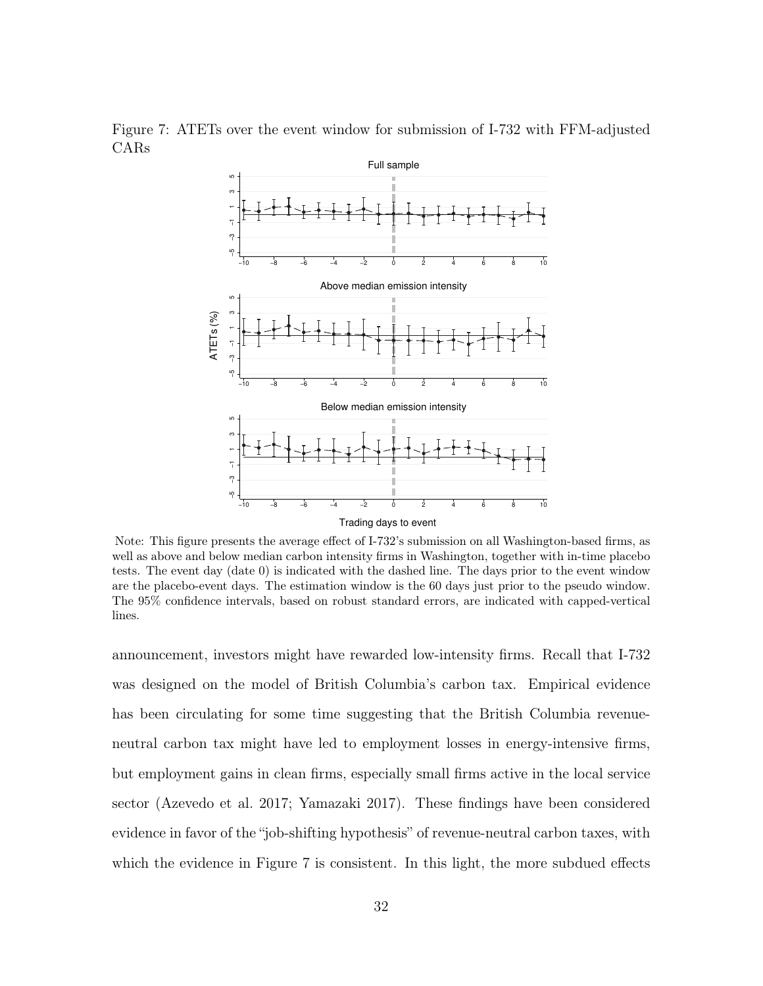

Figure 7: ATETs over the event window for submission of I-732 with FFM-adjusted CARs

Note: This figure presents the average effect of I-732's submission on all Washington-based firms, as well as above and below median carbon intensity firms in Washington, together with in-time placebo tests. The event day (date 0) is indicated with the dashed line. The days prior to the event window are the placebo-event days. The estimation window is the 60 days just prior to the pseudo window. The 95% confidence intervals, based on robust standard errors, are indicated with capped-vertical lines.

announcement, investors might have rewarded low-intensity firms. Recall that I-732 was designed on the model of British Columbia's carbon tax. Empirical evidence has been circulating for some time suggesting that the British Columbia revenueneutral carbon tax might have led to employment losses in energy-intensive firms, but employment gains in clean firms, especially small firms active in the local service sector (Azevedo et al. 2017; Yamazaki 2017). These findings have been considered evidence in favor of the "job-shifting hypothesis" of revenue-neutral carbon taxes, with which the evidence in Figure 7 is consistent. In this light, the more subdued effects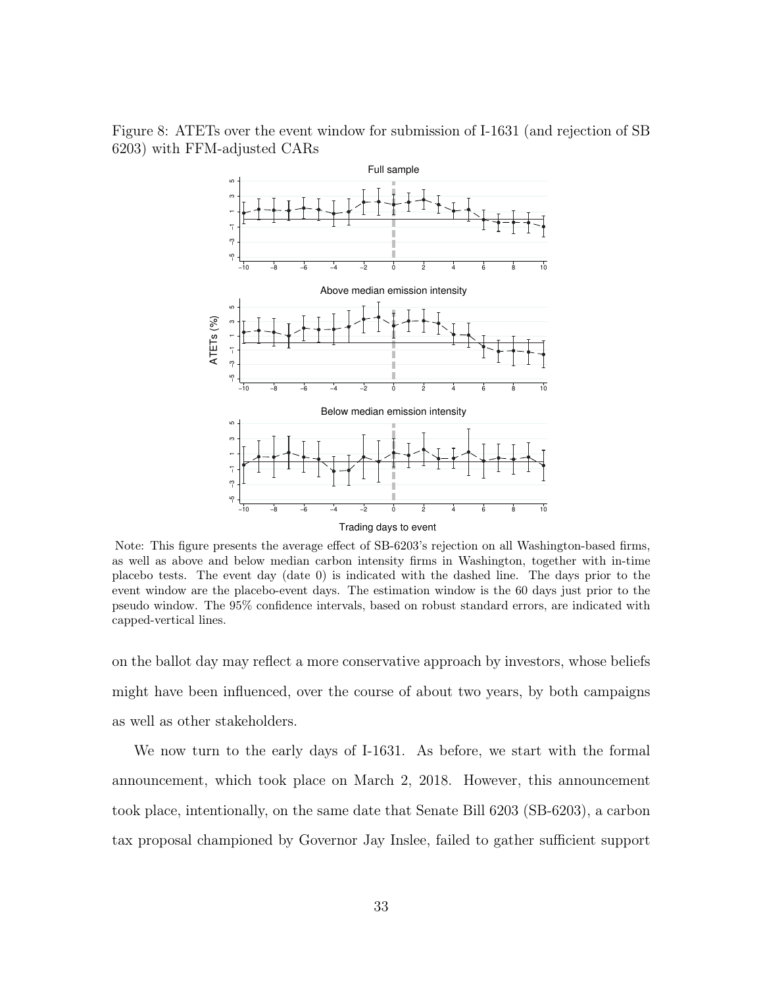Figure 8: ATETs over the event window for submission of I-1631 (and rejection of SB 6203) with FFM-adjusted CARs



Note: This figure presents the average effect of SB-6203's rejection on all Washington-based firms, as well as above and below median carbon intensity firms in Washington, together with in-time placebo tests. The event day (date 0) is indicated with the dashed line. The days prior to the event window are the placebo-event days. The estimation window is the 60 days just prior to the pseudo window. The 95% confidence intervals, based on robust standard errors, are indicated with capped-vertical lines.

on the ballot day may reflect a more conservative approach by investors, whose beliefs might have been influenced, over the course of about two years, by both campaigns as well as other stakeholders.

We now turn to the early days of I-1631. As before, we start with the formal announcement, which took place on March 2, 2018. However, this announcement took place, intentionally, on the same date that Senate Bill 6203 (SB-6203), a carbon tax proposal championed by Governor Jay Inslee, failed to gather sufficient support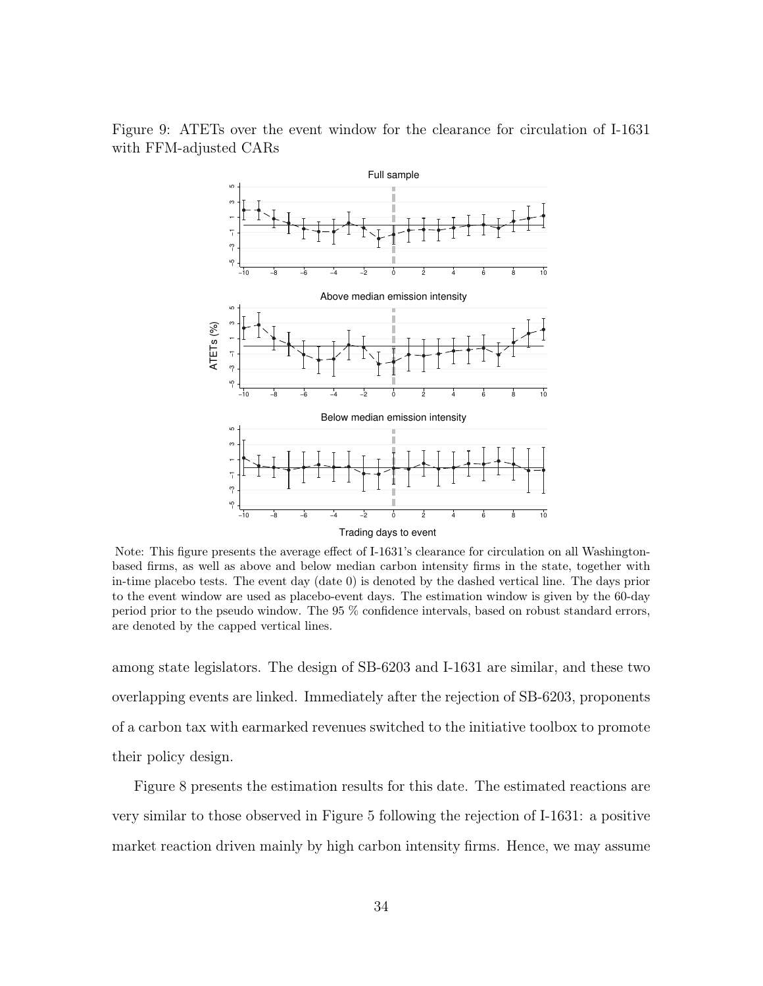

Figure 9: ATETs over the event window for the clearance for circulation of I-1631 with FFM-adjusted CARs

Note: This figure presents the average effect of I-1631's clearance for circulation on all Washingtonbased firms, as well as above and below median carbon intensity firms in the state, together with in-time placebo tests. The event day (date 0) is denoted by the dashed vertical line. The days prior to the event window are used as placebo-event days. The estimation window is given by the 60-day period prior to the pseudo window. The 95 % confidence intervals, based on robust standard errors, are denoted by the capped vertical lines.

among state legislators. The design of SB-6203 and I-1631 are similar, and these two overlapping events are linked. Immediately after the rejection of SB-6203, proponents of a carbon tax with earmarked revenues switched to the initiative toolbox to promote their policy design.

Figure 8 presents the estimation results for this date. The estimated reactions are very similar to those observed in Figure 5 following the rejection of I-1631: a positive market reaction driven mainly by high carbon intensity firms. Hence, we may assume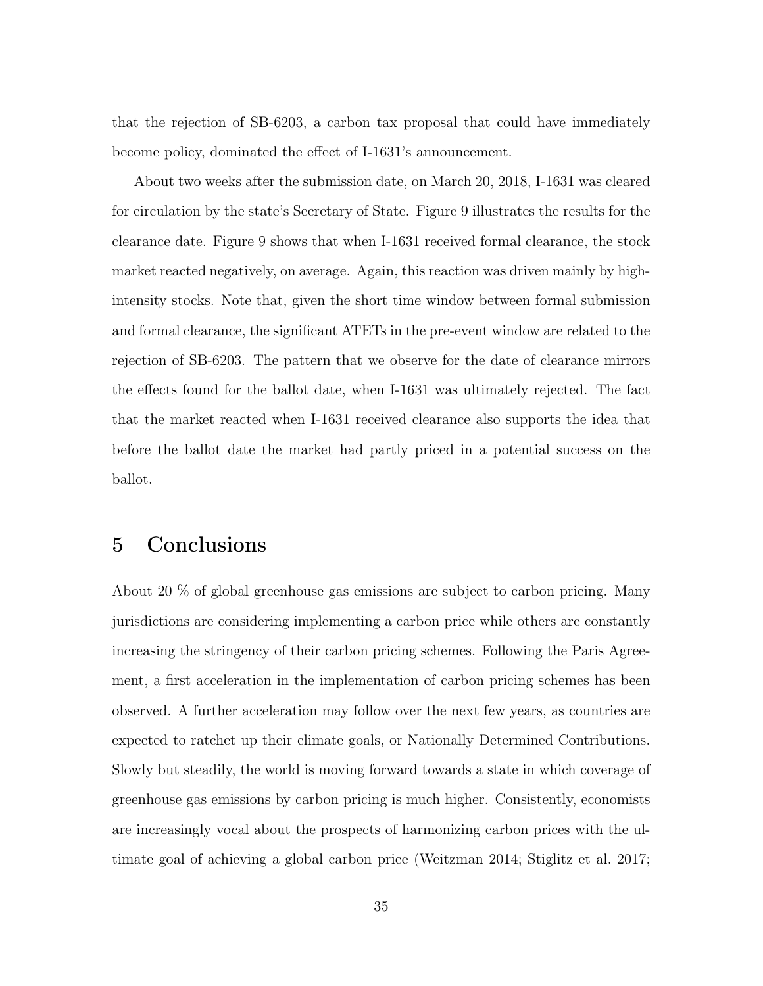that the rejection of SB-6203, a carbon tax proposal that could have immediately become policy, dominated the effect of I-1631's announcement.

About two weeks after the submission date, on March 20, 2018, I-1631 was cleared for circulation by the state's Secretary of State. Figure 9 illustrates the results for the clearance date. Figure 9 shows that when I-1631 received formal clearance, the stock market reacted negatively, on average. Again, this reaction was driven mainly by highintensity stocks. Note that, given the short time window between formal submission and formal clearance, the significant ATETs in the pre-event window are related to the rejection of SB-6203. The pattern that we observe for the date of clearance mirrors the effects found for the ballot date, when I-1631 was ultimately rejected. The fact that the market reacted when I-1631 received clearance also supports the idea that before the ballot date the market had partly priced in a potential success on the ballot.

### 5 Conclusions

About 20 % of global greenhouse gas emissions are subject to carbon pricing. Many jurisdictions are considering implementing a carbon price while others are constantly increasing the stringency of their carbon pricing schemes. Following the Paris Agreement, a first acceleration in the implementation of carbon pricing schemes has been observed. A further acceleration may follow over the next few years, as countries are expected to ratchet up their climate goals, or Nationally Determined Contributions. Slowly but steadily, the world is moving forward towards a state in which coverage of greenhouse gas emissions by carbon pricing is much higher. Consistently, economists are increasingly vocal about the prospects of harmonizing carbon prices with the ultimate goal of achieving a global carbon price (Weitzman 2014; Stiglitz et al. 2017;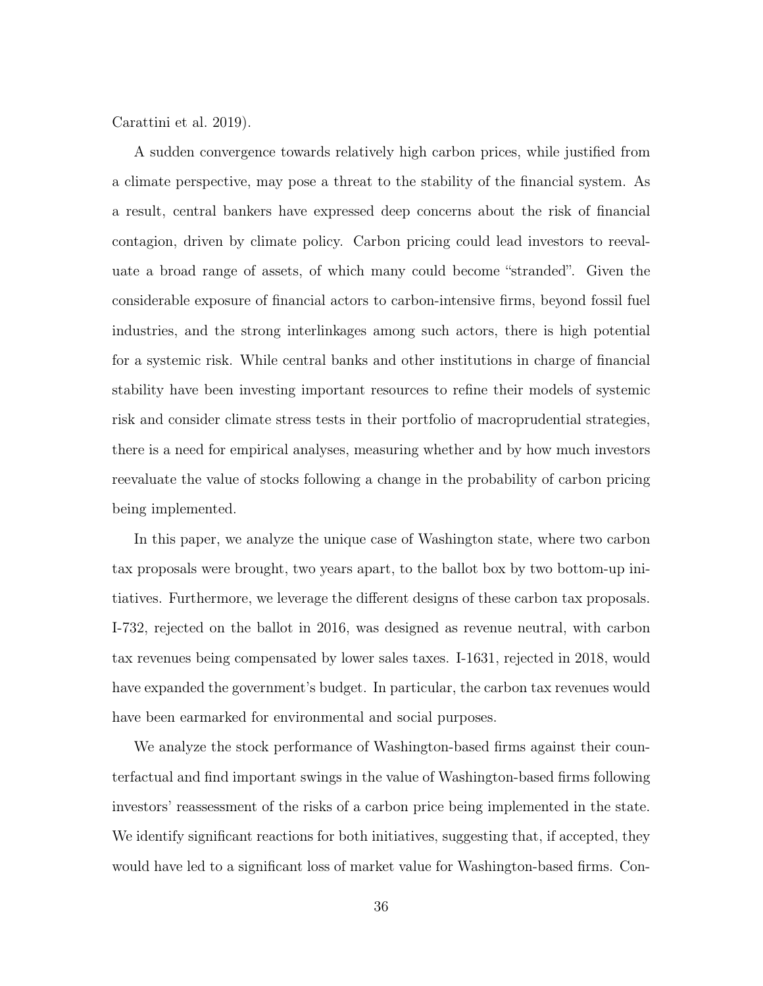Carattini et al. 2019).

A sudden convergence towards relatively high carbon prices, while justified from a climate perspective, may pose a threat to the stability of the financial system. As a result, central bankers have expressed deep concerns about the risk of financial contagion, driven by climate policy. Carbon pricing could lead investors to reevaluate a broad range of assets, of which many could become "stranded". Given the considerable exposure of financial actors to carbon-intensive firms, beyond fossil fuel industries, and the strong interlinkages among such actors, there is high potential for a systemic risk. While central banks and other institutions in charge of financial stability have been investing important resources to refine their models of systemic risk and consider climate stress tests in their portfolio of macroprudential strategies, there is a need for empirical analyses, measuring whether and by how much investors reevaluate the value of stocks following a change in the probability of carbon pricing being implemented.

In this paper, we analyze the unique case of Washington state, where two carbon tax proposals were brought, two years apart, to the ballot box by two bottom-up initiatives. Furthermore, we leverage the different designs of these carbon tax proposals. I-732, rejected on the ballot in 2016, was designed as revenue neutral, with carbon tax revenues being compensated by lower sales taxes. I-1631, rejected in 2018, would have expanded the government's budget. In particular, the carbon tax revenues would have been earmarked for environmental and social purposes.

We analyze the stock performance of Washington-based firms against their counterfactual and find important swings in the value of Washington-based firms following investors' reassessment of the risks of a carbon price being implemented in the state. We identify significant reactions for both initiatives, suggesting that, if accepted, they would have led to a significant loss of market value for Washington-based firms. Con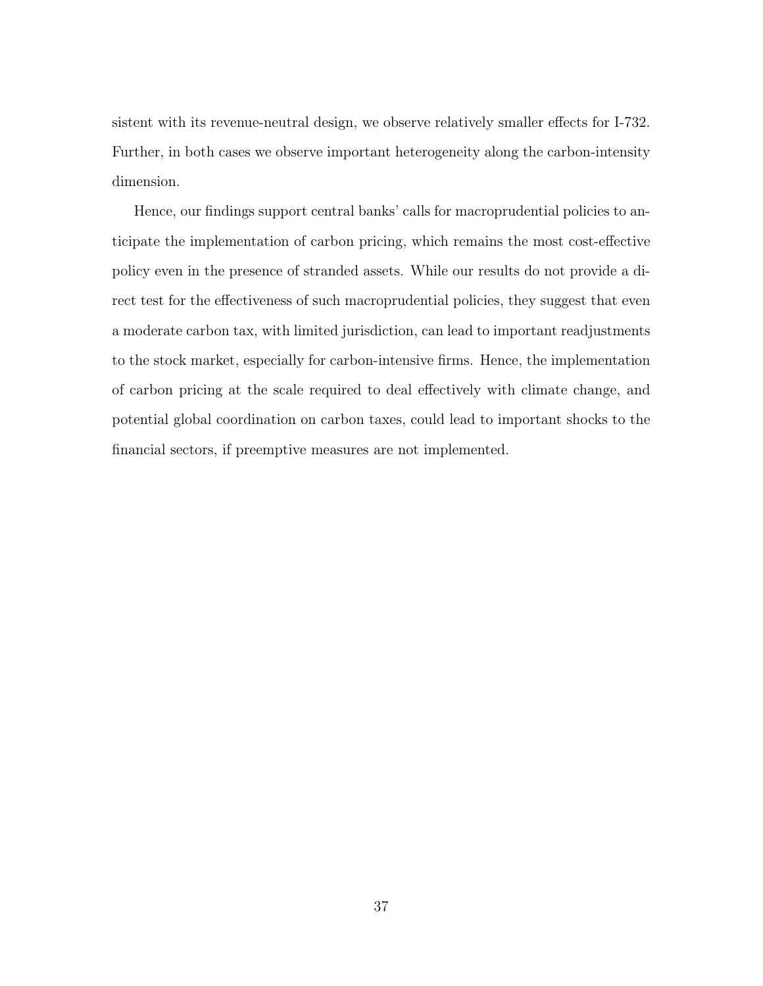sistent with its revenue-neutral design, we observe relatively smaller effects for I-732. Further, in both cases we observe important heterogeneity along the carbon-intensity dimension.

Hence, our findings support central banks' calls for macroprudential policies to anticipate the implementation of carbon pricing, which remains the most cost-effective policy even in the presence of stranded assets. While our results do not provide a direct test for the effectiveness of such macroprudential policies, they suggest that even a moderate carbon tax, with limited jurisdiction, can lead to important readjustments to the stock market, especially for carbon-intensive firms. Hence, the implementation of carbon pricing at the scale required to deal effectively with climate change, and potential global coordination on carbon taxes, could lead to important shocks to the financial sectors, if preemptive measures are not implemented.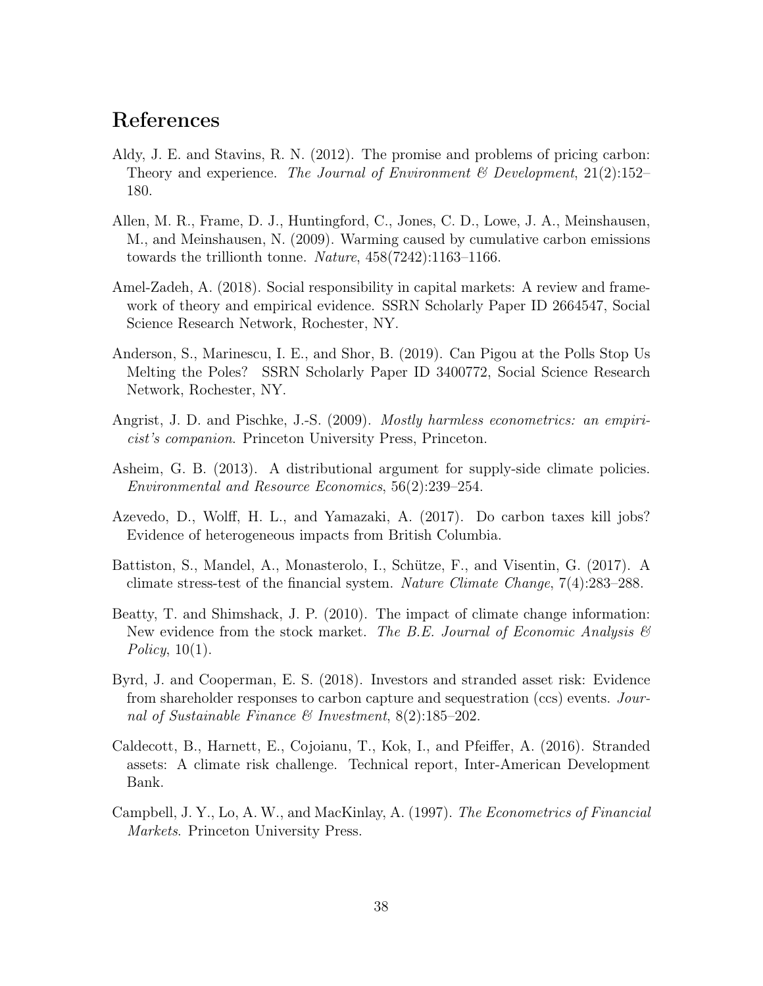# References

- Aldy, J. E. and Stavins, R. N. (2012). The promise and problems of pricing carbon: Theory and experience. The Journal of Environment & Development,  $21(2):152-$ 180.
- Allen, M. R., Frame, D. J., Huntingford, C., Jones, C. D., Lowe, J. A., Meinshausen, M., and Meinshausen, N. (2009). Warming caused by cumulative carbon emissions towards the trillionth tonne. Nature, 458(7242):1163–1166.
- Amel-Zadeh, A. (2018). Social responsibility in capital markets: A review and framework of theory and empirical evidence. SSRN Scholarly Paper ID 2664547, Social Science Research Network, Rochester, NY.
- Anderson, S., Marinescu, I. E., and Shor, B. (2019). Can Pigou at the Polls Stop Us Melting the Poles? SSRN Scholarly Paper ID 3400772, Social Science Research Network, Rochester, NY.
- Angrist, J. D. and Pischke, J.-S. (2009). *Mostly harmless econometrics: an empiri*cist's companion. Princeton University Press, Princeton.
- Asheim, G. B. (2013). A distributional argument for supply-side climate policies. Environmental and Resource Economics, 56(2):239–254.
- Azevedo, D., Wolff, H. L., and Yamazaki, A. (2017). Do carbon taxes kill jobs? Evidence of heterogeneous impacts from British Columbia.
- Battiston, S., Mandel, A., Monasterolo, I., Schütze, F., and Visentin, G. (2017). A climate stress-test of the financial system. Nature Climate Change, 7(4):283–288.
- Beatty, T. and Shimshack, J. P. (2010). The impact of climate change information: New evidence from the stock market. The B.E. Journal of Economic Analysis  $\mathcal{B}$ Policy,  $10(1)$ .
- Byrd, J. and Cooperman, E. S. (2018). Investors and stranded asset risk: Evidence from shareholder responses to carbon capture and sequestration (ccs) events. Journal of Sustainable Finance  $\mathcal C$  Investment, 8(2):185-202.
- Caldecott, B., Harnett, E., Cojoianu, T., Kok, I., and Pfeiffer, A. (2016). Stranded assets: A climate risk challenge. Technical report, Inter-American Development Bank.
- Campbell, J. Y., Lo, A. W., and MacKinlay, A. (1997). The Econometrics of Financial Markets. Princeton University Press.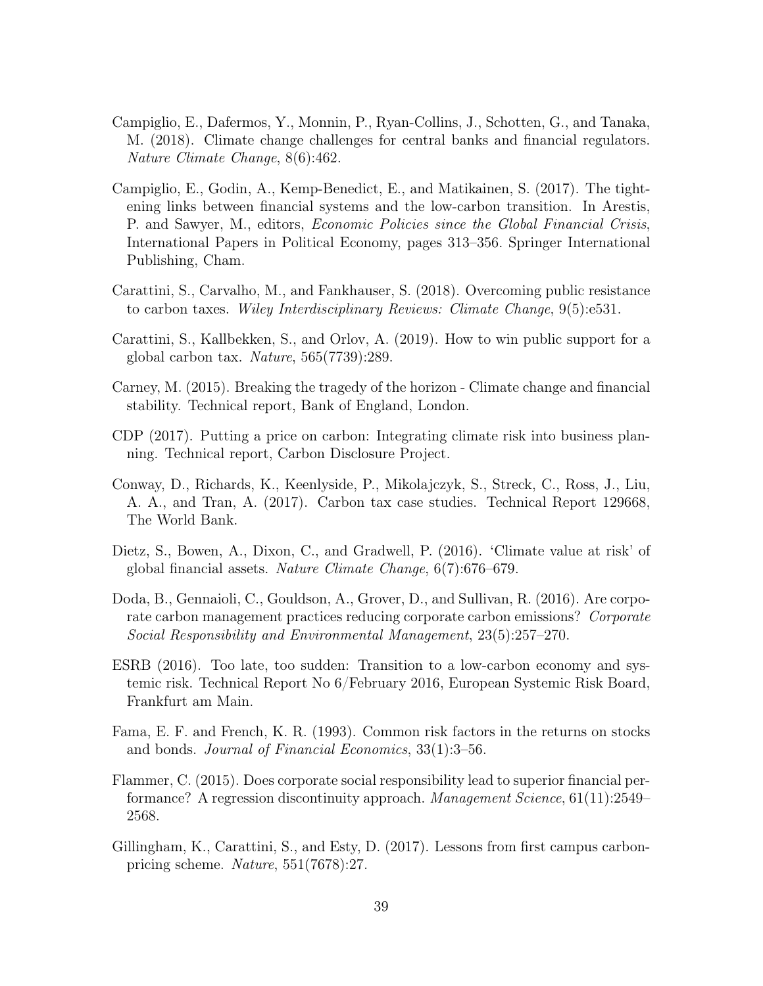- Campiglio, E., Dafermos, Y., Monnin, P., Ryan-Collins, J., Schotten, G., and Tanaka, M. (2018). Climate change challenges for central banks and financial regulators. Nature Climate Change, 8(6):462.
- Campiglio, E., Godin, A., Kemp-Benedict, E., and Matikainen, S. (2017). The tightening links between financial systems and the low-carbon transition. In Arestis, P. and Sawyer, M., editors, Economic Policies since the Global Financial Crisis, International Papers in Political Economy, pages 313–356. Springer International Publishing, Cham.
- Carattini, S., Carvalho, M., and Fankhauser, S. (2018). Overcoming public resistance to carbon taxes. Wiley Interdisciplinary Reviews: Climate Change, 9(5):e531.
- Carattini, S., Kallbekken, S., and Orlov, A. (2019). How to win public support for a global carbon tax. Nature, 565(7739):289.
- Carney, M. (2015). Breaking the tragedy of the horizon Climate change and financial stability. Technical report, Bank of England, London.
- CDP (2017). Putting a price on carbon: Integrating climate risk into business planning. Technical report, Carbon Disclosure Project.
- Conway, D., Richards, K., Keenlyside, P., Mikolajczyk, S., Streck, C., Ross, J., Liu, A. A., and Tran, A. (2017). Carbon tax case studies. Technical Report 129668, The World Bank.
- Dietz, S., Bowen, A., Dixon, C., and Gradwell, P. (2016). 'Climate value at risk' of global financial assets. Nature Climate Change, 6(7):676–679.
- Doda, B., Gennaioli, C., Gouldson, A., Grover, D., and Sullivan, R. (2016). Are corporate carbon management practices reducing corporate carbon emissions? Corporate Social Responsibility and Environmental Management, 23(5):257–270.
- ESRB (2016). Too late, too sudden: Transition to a low-carbon economy and systemic risk. Technical Report No 6/February 2016, European Systemic Risk Board, Frankfurt am Main.
- Fama, E. F. and French, K. R. (1993). Common risk factors in the returns on stocks and bonds. Journal of Financial Economics, 33(1):3–56.
- Flammer, C. (2015). Does corporate social responsibility lead to superior financial performance? A regression discontinuity approach. Management Science, 61(11):2549– 2568.
- Gillingham, K., Carattini, S., and Esty, D. (2017). Lessons from first campus carbonpricing scheme. Nature, 551(7678):27.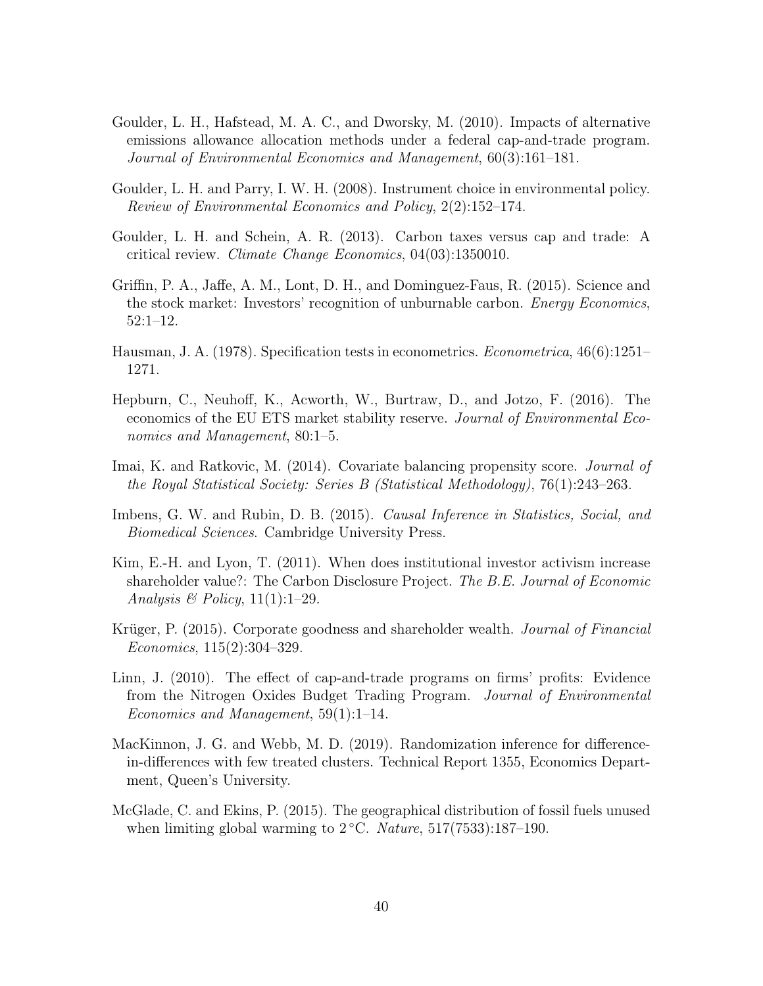- Goulder, L. H., Hafstead, M. A. C., and Dworsky, M. (2010). Impacts of alternative emissions allowance allocation methods under a federal cap-and-trade program. Journal of Environmental Economics and Management, 60(3):161–181.
- Goulder, L. H. and Parry, I. W. H. (2008). Instrument choice in environmental policy. Review of Environmental Economics and Policy, 2(2):152–174.
- Goulder, L. H. and Schein, A. R. (2013). Carbon taxes versus cap and trade: A critical review. Climate Change Economics, 04(03):1350010.
- Griffin, P. A., Jaffe, A. M., Lont, D. H., and Dominguez-Faus, R. (2015). Science and the stock market: Investors' recognition of unburnable carbon. *Energy Economics*, 52:1–12.
- Hausman, J. A. (1978). Specification tests in econometrics. *Econometrica*, 46(6):1251– 1271.
- Hepburn, C., Neuhoff, K., Acworth, W., Burtraw, D., and Jotzo, F. (2016). The economics of the EU ETS market stability reserve. Journal of Environmental Economics and Management, 80:1–5.
- Imai, K. and Ratkovic, M. (2014). Covariate balancing propensity score. *Journal of* the Royal Statistical Society: Series B (Statistical Methodology), 76(1):243–263.
- Imbens, G. W. and Rubin, D. B. (2015). Causal Inference in Statistics, Social, and Biomedical Sciences. Cambridge University Press.
- Kim, E.-H. and Lyon, T. (2011). When does institutional investor activism increase shareholder value?: The Carbon Disclosure Project. The B.E. Journal of Economic Analysis & Policy,  $11(1):1-29$ .
- Krüger, P. (2015). Corporate goodness and shareholder wealth. *Journal of Financial* Economics, 115(2):304–329.
- Linn, J. (2010). The effect of cap-and-trade programs on firms' profits: Evidence from the Nitrogen Oxides Budget Trading Program. Journal of Environmental Economics and Management, 59(1):1–14.
- MacKinnon, J. G. and Webb, M. D. (2019). Randomization inference for differencein-differences with few treated clusters. Technical Report 1355, Economics Department, Queen's University.
- McGlade, C. and Ekins, P. (2015). The geographical distribution of fossil fuels unused when limiting global warming to  $2 °C$ . Nature,  $517(7533):187-190$ .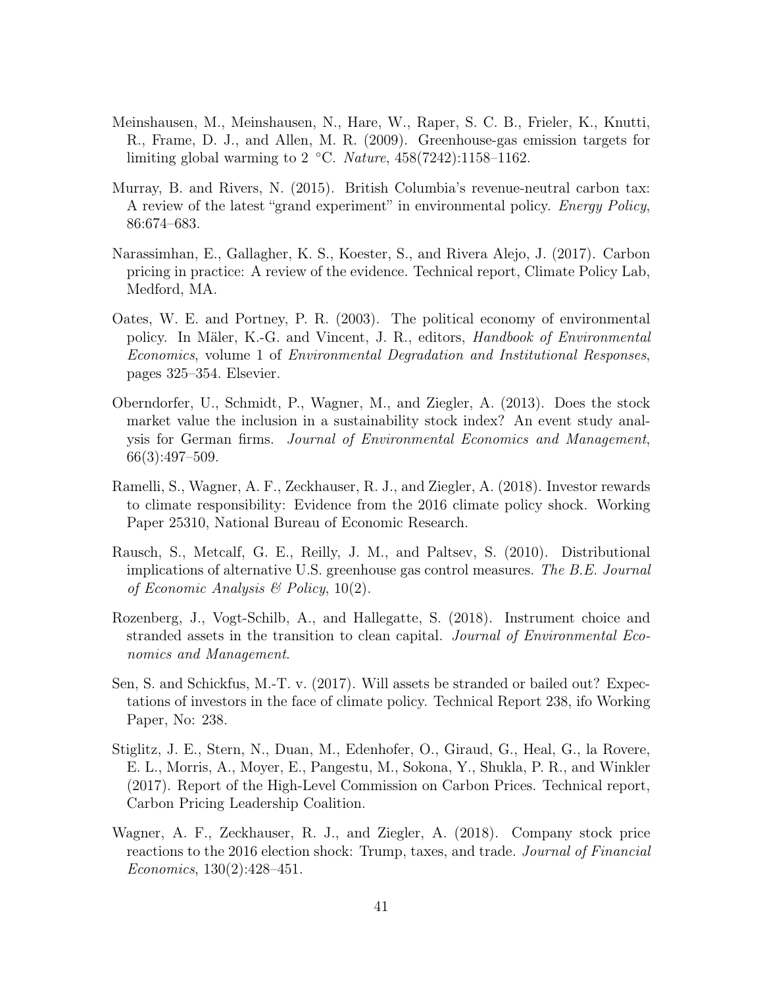- Meinshausen, M., Meinshausen, N., Hare, W., Raper, S. C. B., Frieler, K., Knutti, R., Frame, D. J., and Allen, M. R. (2009). Greenhouse-gas emission targets for limiting global warming to 2  $°C.$  Nature, 458(7242):1158–1162.
- Murray, B. and Rivers, N. (2015). British Columbia's revenue-neutral carbon tax: A review of the latest "grand experiment" in environmental policy. *Energy Policy*, 86:674–683.
- Narassimhan, E., Gallagher, K. S., Koester, S., and Rivera Alejo, J. (2017). Carbon pricing in practice: A review of the evidence. Technical report, Climate Policy Lab, Medford, MA.
- Oates, W. E. and Portney, P. R. (2003). The political economy of environmental policy. In Mäler, K.-G. and Vincent, J. R., editors, Handbook of Environmental Economics, volume 1 of Environmental Degradation and Institutional Responses, pages 325–354. Elsevier.
- Oberndorfer, U., Schmidt, P., Wagner, M., and Ziegler, A. (2013). Does the stock market value the inclusion in a sustainability stock index? An event study analysis for German firms. Journal of Environmental Economics and Management, 66(3):497–509.
- Ramelli, S., Wagner, A. F., Zeckhauser, R. J., and Ziegler, A. (2018). Investor rewards to climate responsibility: Evidence from the 2016 climate policy shock. Working Paper 25310, National Bureau of Economic Research.
- Rausch, S., Metcalf, G. E., Reilly, J. M., and Paltsev, S. (2010). Distributional implications of alternative U.S. greenhouse gas control measures. The B.E. Journal of Economic Analysis  $\mathcal B$  Policy, 10(2).
- Rozenberg, J., Vogt-Schilb, A., and Hallegatte, S. (2018). Instrument choice and stranded assets in the transition to clean capital. Journal of Environmental Economics and Management.
- Sen, S. and Schickfus, M.-T. v. (2017). Will assets be stranded or bailed out? Expectations of investors in the face of climate policy. Technical Report 238, ifo Working Paper, No: 238.
- Stiglitz, J. E., Stern, N., Duan, M., Edenhofer, O., Giraud, G., Heal, G., la Rovere, E. L., Morris, A., Moyer, E., Pangestu, M., Sokona, Y., Shukla, P. R., and Winkler (2017). Report of the High-Level Commission on Carbon Prices. Technical report, Carbon Pricing Leadership Coalition.
- Wagner, A. F., Zeckhauser, R. J., and Ziegler, A. (2018). Company stock price reactions to the 2016 election shock: Trump, taxes, and trade. Journal of Financial Economics, 130(2):428–451.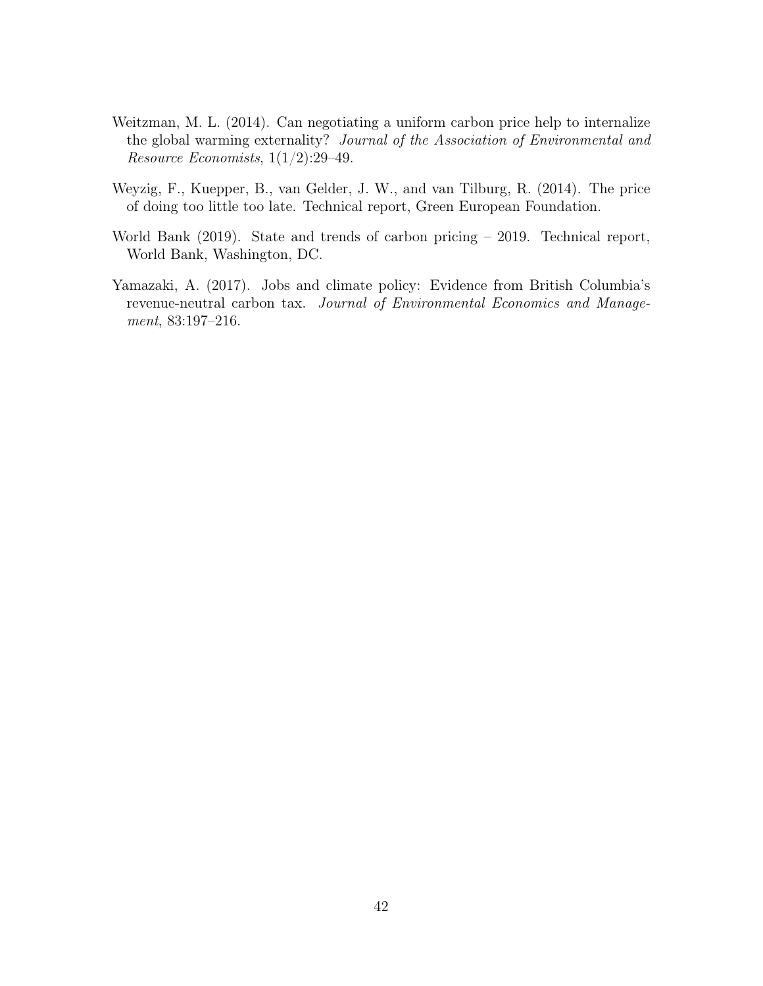- Weitzman, M. L. (2014). Can negotiating a uniform carbon price help to internalize the global warming externality? Journal of the Association of Environmental and Resource Economists,  $1(1/2)$ :29-49.
- Weyzig, F., Kuepper, B., van Gelder, J. W., and van Tilburg, R. (2014). The price of doing too little too late. Technical report, Green European Foundation.
- World Bank (2019). State and trends of carbon pricing 2019. Technical report, World Bank, Washington, DC.
- Yamazaki, A. (2017). Jobs and climate policy: Evidence from British Columbia's revenue-neutral carbon tax. Journal of Environmental Economics and Management, 83:197–216.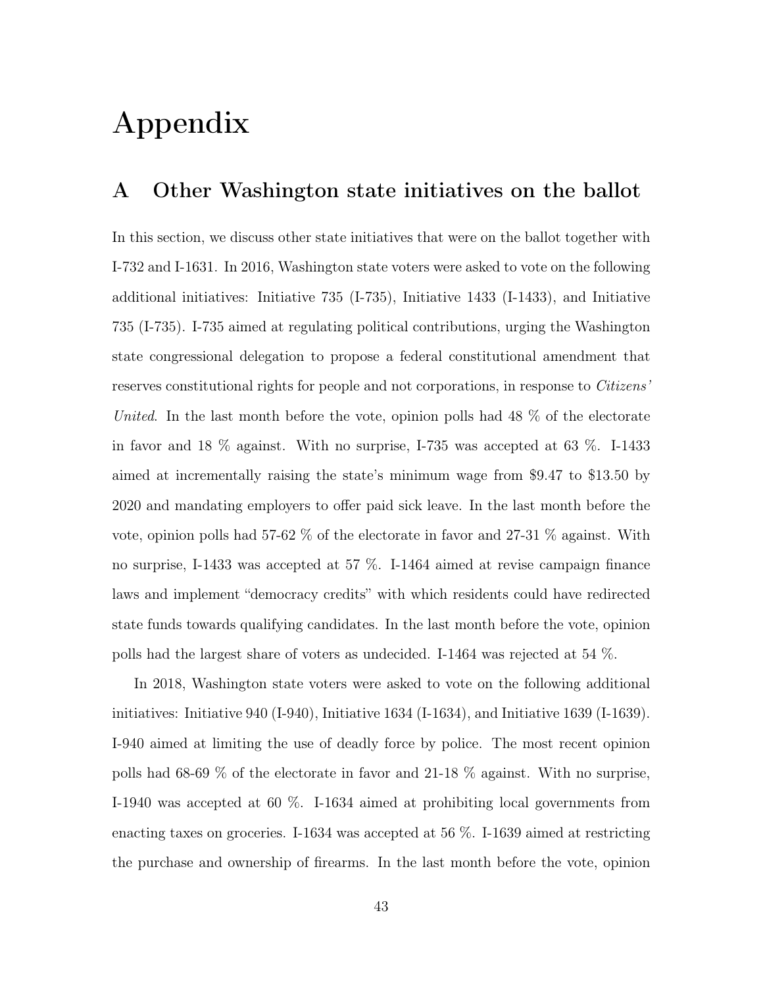# Appendix

#### A Other Washington state initiatives on the ballot

In this section, we discuss other state initiatives that were on the ballot together with I-732 and I-1631. In 2016, Washington state voters were asked to vote on the following additional initiatives: Initiative 735 (I-735), Initiative 1433 (I-1433), and Initiative 735 (I-735). I-735 aimed at regulating political contributions, urging the Washington state congressional delegation to propose a federal constitutional amendment that reserves constitutional rights for people and not corporations, in response to *Citizens*' United. In the last month before the vote, opinion polls had  $48\%$  of the electorate in favor and 18 % against. With no surprise, I-735 was accepted at 63 %. I-1433 aimed at incrementally raising the state's minimum wage from \$9.47 to \$13.50 by 2020 and mandating employers to offer paid sick leave. In the last month before the vote, opinion polls had 57-62 % of the electorate in favor and 27-31 % against. With no surprise, I-1433 was accepted at 57 %. I-1464 aimed at revise campaign finance laws and implement "democracy credits" with which residents could have redirected state funds towards qualifying candidates. In the last month before the vote, opinion polls had the largest share of voters as undecided. I-1464 was rejected at 54 %.

In 2018, Washington state voters were asked to vote on the following additional initiatives: Initiative 940 (I-940), Initiative 1634 (I-1634), and Initiative 1639 (I-1639). I-940 aimed at limiting the use of deadly force by police. The most recent opinion polls had 68-69 % of the electorate in favor and 21-18 % against. With no surprise, I-1940 was accepted at 60 %. I-1634 aimed at prohibiting local governments from enacting taxes on groceries. I-1634 was accepted at 56 %. I-1639 aimed at restricting the purchase and ownership of firearms. In the last month before the vote, opinion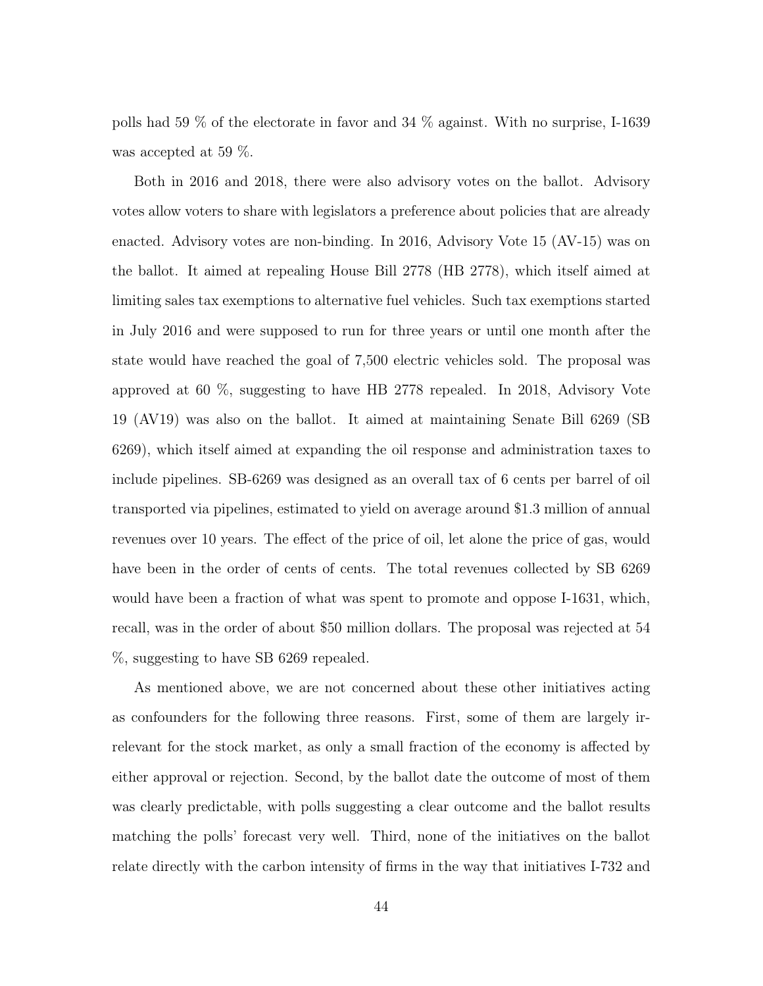polls had 59 % of the electorate in favor and 34 % against. With no surprise, I-1639 was accepted at 59 %.

Both in 2016 and 2018, there were also advisory votes on the ballot. Advisory votes allow voters to share with legislators a preference about policies that are already enacted. Advisory votes are non-binding. In 2016, Advisory Vote 15 (AV-15) was on the ballot. It aimed at repealing House Bill 2778 (HB 2778), which itself aimed at limiting sales tax exemptions to alternative fuel vehicles. Such tax exemptions started in July 2016 and were supposed to run for three years or until one month after the state would have reached the goal of 7,500 electric vehicles sold. The proposal was approved at 60 %, suggesting to have HB 2778 repealed. In 2018, Advisory Vote 19 (AV19) was also on the ballot. It aimed at maintaining Senate Bill 6269 (SB 6269), which itself aimed at expanding the oil response and administration taxes to include pipelines. SB-6269 was designed as an overall tax of 6 cents per barrel of oil transported via pipelines, estimated to yield on average around \$1.3 million of annual revenues over 10 years. The effect of the price of oil, let alone the price of gas, would have been in the order of cents of cents. The total revenues collected by SB 6269 would have been a fraction of what was spent to promote and oppose I-1631, which, recall, was in the order of about \$50 million dollars. The proposal was rejected at 54 %, suggesting to have SB 6269 repealed.

As mentioned above, we are not concerned about these other initiatives acting as confounders for the following three reasons. First, some of them are largely irrelevant for the stock market, as only a small fraction of the economy is affected by either approval or rejection. Second, by the ballot date the outcome of most of them was clearly predictable, with polls suggesting a clear outcome and the ballot results matching the polls' forecast very well. Third, none of the initiatives on the ballot relate directly with the carbon intensity of firms in the way that initiatives I-732 and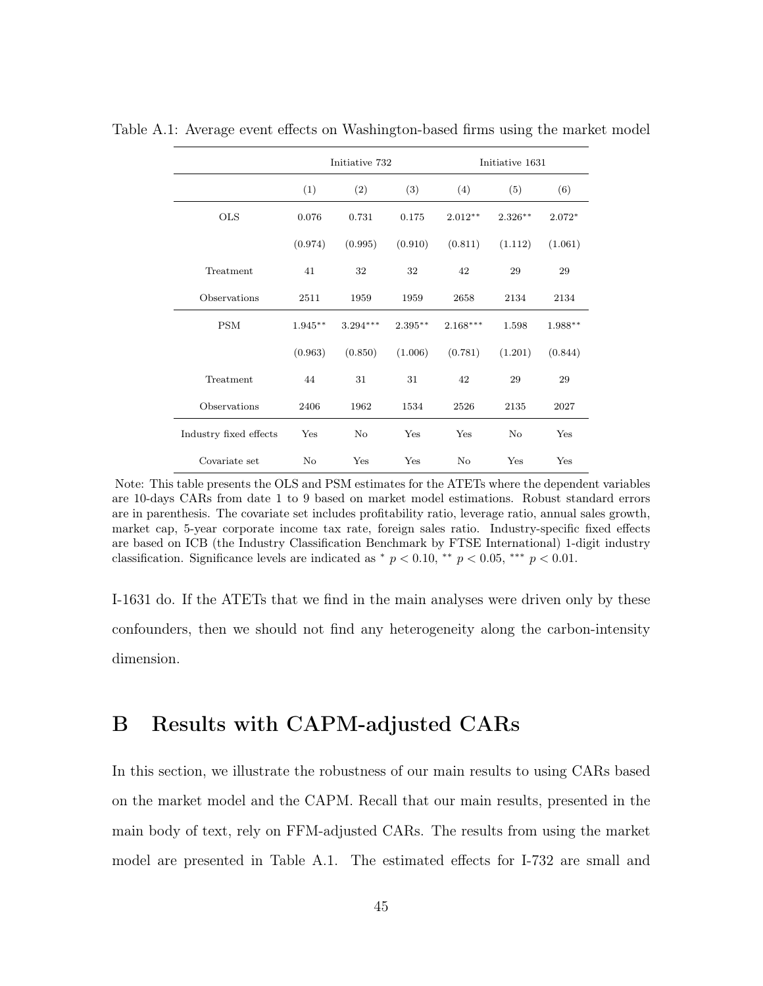|                        | Initiative 732 |            |            | Initiative 1631 |           |          |  |
|------------------------|----------------|------------|------------|-----------------|-----------|----------|--|
|                        | (1)            | (2)        | (3)        | (4)             | (5)       | (6)      |  |
| <b>OLS</b>             | 0.076          | 0.731      | 0.175      | $2.012**$       | $2.326**$ | $2.072*$ |  |
|                        | (0.974)        | (0.995)    | (0.910)    | (0.811)         | (1.112)   | (1.061)  |  |
| Treatment              | 41             | 32         | 32         | 42              | 29        | 29       |  |
| Observations           | 2511           | 1959       | 1959       | 2658            | 2134      | 2134     |  |
| <b>PSM</b>             | $1.945***$     | $3.294***$ | $2.395***$ | $2.168***$      | 1.598     | 1.988**  |  |
|                        | (0.963)        | (0.850)    | (1.006)    | (0.781)         | (1.201)   | (0.844)  |  |
| Treatment              | 44             | 31         | 31         | 42              | 29        | 29       |  |
| Observations           | 2406           | 1962       | 1534       | 2526            | 2135      | 2027     |  |
| Industry fixed effects | Yes            | $\rm No$   | Yes        | Yes             | No        | Yes      |  |
| Covariate set          | $\rm No$       | Yes        | Yes        | No              | Yes       | Yes      |  |

Table A.1: Average event effects on Washington-based firms using the market model

Note: This table presents the OLS and PSM estimates for the ATETs where the dependent variables are 10-days CARs from date 1 to 9 based on market model estimations. Robust standard errors are in parenthesis. The covariate set includes profitability ratio, leverage ratio, annual sales growth, market cap, 5-year corporate income tax rate, foreign sales ratio. Industry-specific fixed effects are based on ICB (the Industry Classification Benchmark by FTSE International) 1-digit industry classification. Significance levels are indicated as  $*$   $p < 0.10$ ,  $**$   $p < 0.05$ ,  $**$   $p < 0.01$ .

I-1631 do. If the ATETs that we find in the main analyses were driven only by these confounders, then we should not find any heterogeneity along the carbon-intensity dimension.

# B Results with CAPM-adjusted CARs

In this section, we illustrate the robustness of our main results to using CARs based on the market model and the CAPM. Recall that our main results, presented in the main body of text, rely on FFM-adjusted CARs. The results from using the market model are presented in Table A.1. The estimated effects for I-732 are small and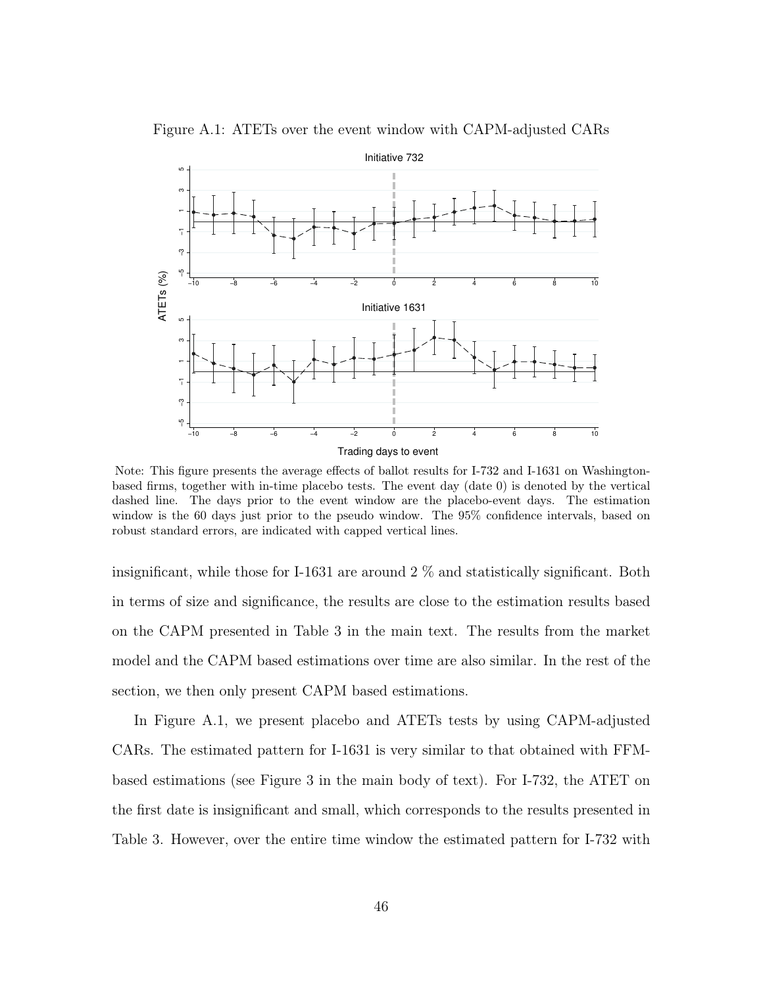

Figure A.1: ATETs over the event window with CAPM-adjusted CARs

Note: This figure presents the average effects of ballot results for I-732 and I-1631 on Washingtonbased firms, together with in-time placebo tests. The event day (date 0) is denoted by the vertical dashed line. The days prior to the event window are the placebo-event days. The estimation window is the 60 days just prior to the pseudo window. The 95% confidence intervals, based on robust standard errors, are indicated with capped vertical lines.

insignificant, while those for I-1631 are around  $2\%$  and statistically significant. Both in terms of size and significance, the results are close to the estimation results based on the CAPM presented in Table 3 in the main text. The results from the market model and the CAPM based estimations over time are also similar. In the rest of the section, we then only present CAPM based estimations.

In Figure A.1, we present placebo and ATETs tests by using CAPM-adjusted CARs. The estimated pattern for I-1631 is very similar to that obtained with FFMbased estimations (see Figure 3 in the main body of text). For I-732, the ATET on the first date is insignificant and small, which corresponds to the results presented in Table 3. However, over the entire time window the estimated pattern for I-732 with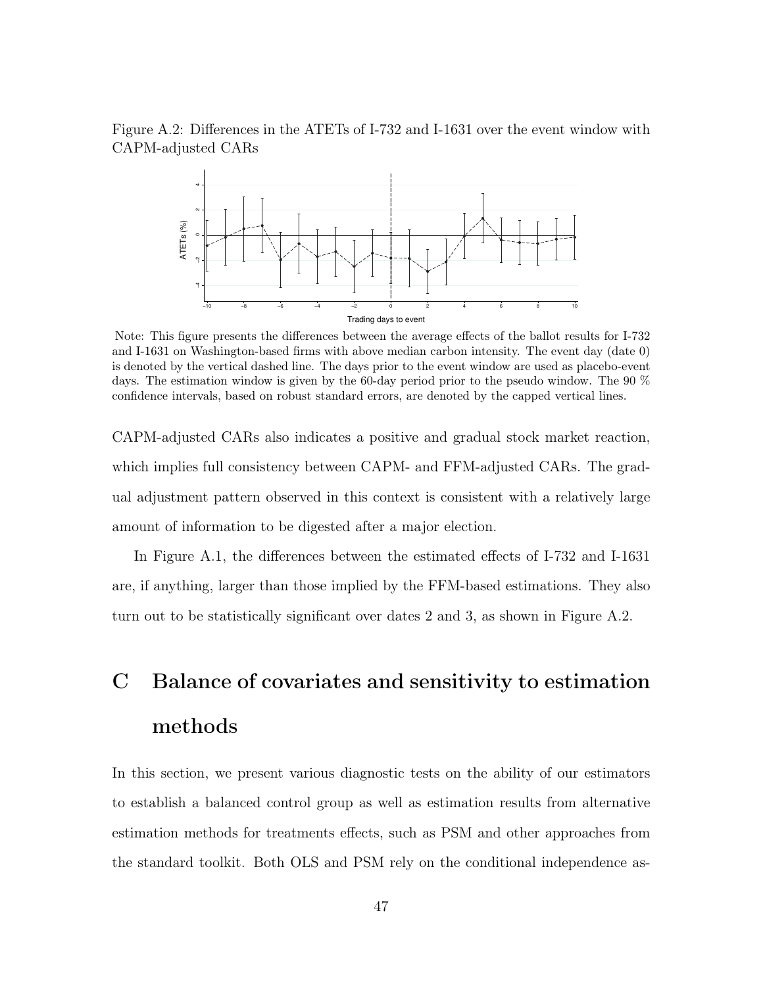



Note: This figure presents the differences between the average effects of the ballot results for I-732 and I-1631 on Washington-based firms with above median carbon intensity. The event day (date 0) is denoted by the vertical dashed line. The days prior to the event window are used as placebo-event days. The estimation window is given by the 60-day period prior to the pseudo window. The 90 % confidence intervals, based on robust standard errors, are denoted by the capped vertical lines.

CAPM-adjusted CARs also indicates a positive and gradual stock market reaction, which implies full consistency between CAPM- and FFM-adjusted CARs. The gradual adjustment pattern observed in this context is consistent with a relatively large amount of information to be digested after a major election.

In Figure A.1, the differences between the estimated effects of I-732 and I-1631 are, if anything, larger than those implied by the FFM-based estimations. They also turn out to be statistically significant over dates 2 and 3, as shown in Figure A.2.

# C Balance of covariates and sensitivity to estimation methods

In this section, we present various diagnostic tests on the ability of our estimators to establish a balanced control group as well as estimation results from alternative estimation methods for treatments effects, such as PSM and other approaches from the standard toolkit. Both OLS and PSM rely on the conditional independence as-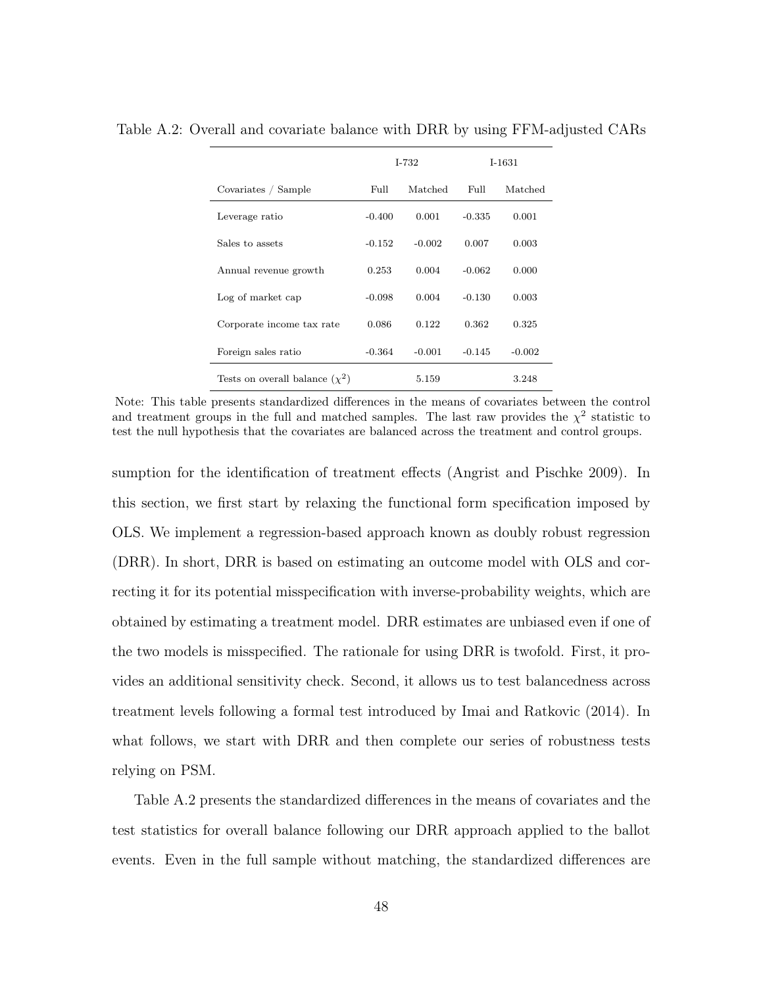|                                     |          | $I - 732$ | $I-1631$ |          |  |
|-------------------------------------|----------|-----------|----------|----------|--|
| Covariates / Sample                 | Full     | Matched   | Full.    | Matched  |  |
| Leverage ratio                      | $-0.400$ | 0.001     | $-0.335$ | 0.001    |  |
| Sales to assets                     | $-0.152$ | $-0.002$  | 0.007    | 0.003    |  |
| Annual revenue growth               | 0.253    | 0.004     | $-0.062$ | 0.000    |  |
| Log of market cap                   | $-0.098$ | 0.004     | $-0.130$ | 0.003    |  |
| Corporate income tax rate           | 0.086    | 0.122     | 0.362    | 0.325    |  |
| Foreign sales ratio                 | $-0.364$ | $-0.001$  | $-0.145$ | $-0.002$ |  |
| Tests on overall balance $(\chi^2)$ |          | 5.159     |          | 3.248    |  |

Table A.2: Overall and covariate balance with DRR by using FFM-adjusted CARs

Note: This table presents standardized differences in the means of covariates between the control and treatment groups in the full and matched samples. The last raw provides the  $\chi^2$  statistic to test the null hypothesis that the covariates are balanced across the treatment and control groups.

sumption for the identification of treatment effects (Angrist and Pischke 2009). In this section, we first start by relaxing the functional form specification imposed by OLS. We implement a regression-based approach known as doubly robust regression (DRR). In short, DRR is based on estimating an outcome model with OLS and correcting it for its potential misspecification with inverse-probability weights, which are obtained by estimating a treatment model. DRR estimates are unbiased even if one of the two models is misspecified. The rationale for using DRR is twofold. First, it provides an additional sensitivity check. Second, it allows us to test balancedness across treatment levels following a formal test introduced by Imai and Ratkovic (2014). In what follows, we start with DRR and then complete our series of robustness tests relying on PSM.

Table A.2 presents the standardized differences in the means of covariates and the test statistics for overall balance following our DRR approach applied to the ballot events. Even in the full sample without matching, the standardized differences are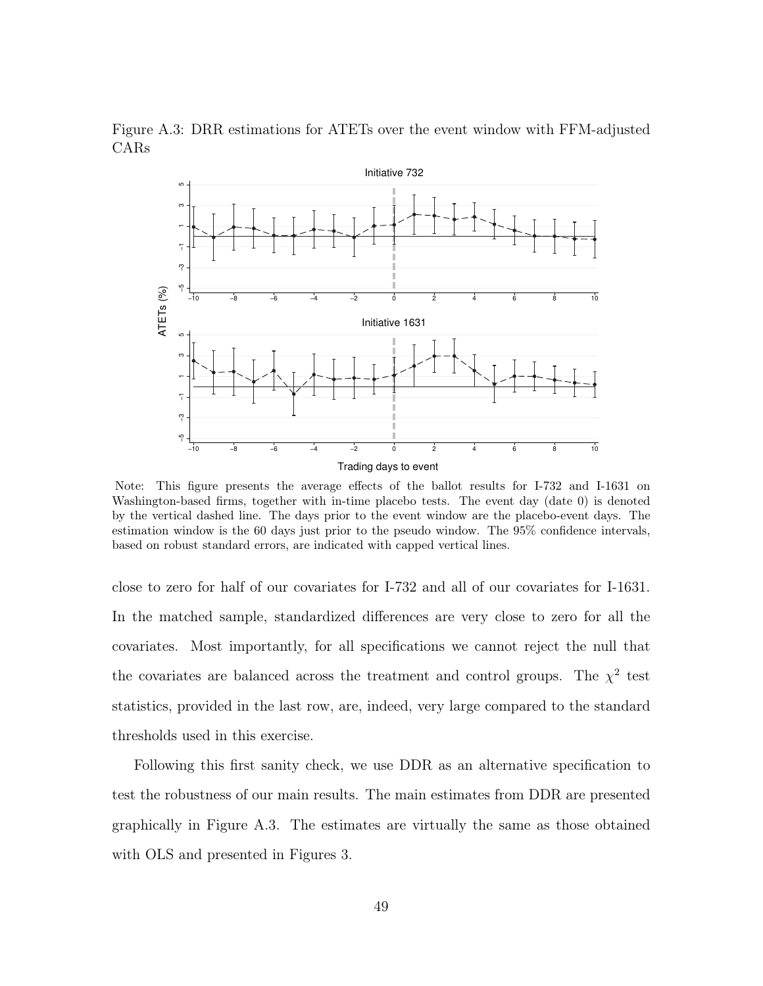

Figure A.3: DRR estimations for ATETs over the event window with FFM-adjusted CARs

Note: This figure presents the average effects of the ballot results for I-732 and I-1631 on Washington-based firms, together with in-time placebo tests. The event day (date 0) is denoted by the vertical dashed line. The days prior to the event window are the placebo-event days. The estimation window is the 60 days just prior to the pseudo window. The 95% confidence intervals, based on robust standard errors, are indicated with capped vertical lines.

close to zero for half of our covariates for I-732 and all of our covariates for I-1631. In the matched sample, standardized differences are very close to zero for all the covariates. Most importantly, for all specifications we cannot reject the null that the covariates are balanced across the treatment and control groups. The  $\chi^2$  test statistics, provided in the last row, are, indeed, very large compared to the standard thresholds used in this exercise.

Following this first sanity check, we use DDR as an alternative specification to test the robustness of our main results. The main estimates from DDR are presented graphically in Figure A.3. The estimates are virtually the same as those obtained with OLS and presented in Figures 3.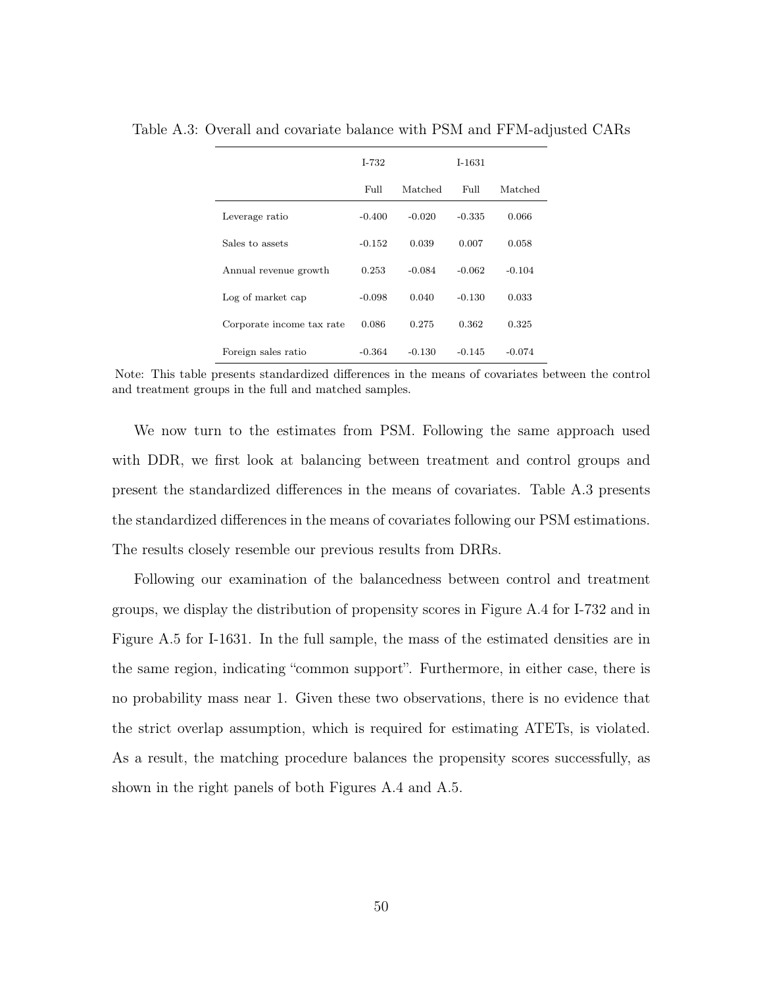|                           | $I - 732$ |          | $I-1631$ |          |
|---------------------------|-----------|----------|----------|----------|
|                           | Full      | Matched  | Full     | Matched  |
| Leverage ratio            | $-0.400$  | $-0.020$ | $-0.335$ | 0.066    |
| Sales to assets           | $-0.152$  | 0.039    | 0.007    | 0.058    |
| Annual revenue growth     | 0.253     | $-0.084$ | $-0.062$ | $-0.104$ |
| Log of market cap         | $-0.098$  | 0.040    | $-0.130$ | 0.033    |
| Corporate income tax rate | 0.086     | 0.275    | 0.362    | 0.325    |
| Foreign sales ratio       | $-0.364$  | $-0.130$ | $-0.145$ | $-0.074$ |

Table A.3: Overall and covariate balance with PSM and FFM-adjusted CARs

Note: This table presents standardized differences in the means of covariates between the control and treatment groups in the full and matched samples.

We now turn to the estimates from PSM. Following the same approach used with DDR, we first look at balancing between treatment and control groups and present the standardized differences in the means of covariates. Table A.3 presents the standardized differences in the means of covariates following our PSM estimations. The results closely resemble our previous results from DRRs.

Following our examination of the balancedness between control and treatment groups, we display the distribution of propensity scores in Figure A.4 for I-732 and in Figure A.5 for I-1631. In the full sample, the mass of the estimated densities are in the same region, indicating "common support". Furthermore, in either case, there is no probability mass near 1. Given these two observations, there is no evidence that the strict overlap assumption, which is required for estimating ATETs, is violated. As a result, the matching procedure balances the propensity scores successfully, as shown in the right panels of both Figures A.4 and A.5.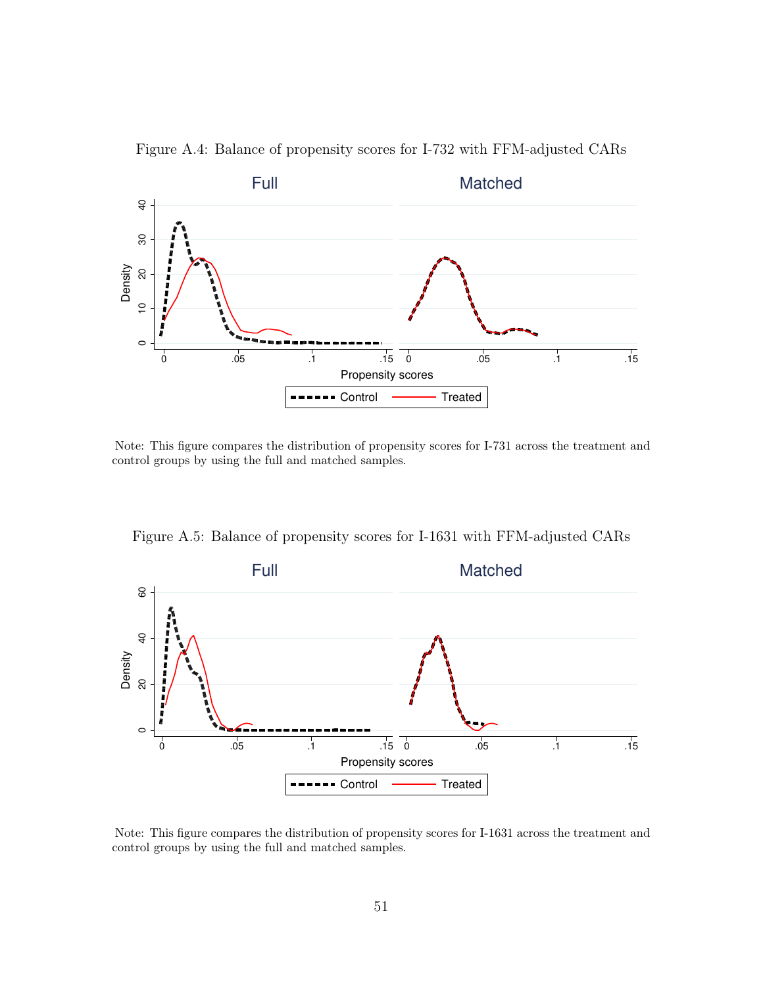

Figure A.4: Balance of propensity scores for I-732 with FFM-adjusted CARs

Note: This figure compares the distribution of propensity scores for I-731 across the treatment and control groups by using the full and matched samples.



Figure A.5: Balance of propensity scores for I-1631 with FFM-adjusted CARs

Note: This figure compares the distribution of propensity scores for I-1631 across the treatment and control groups by using the full and matched samples.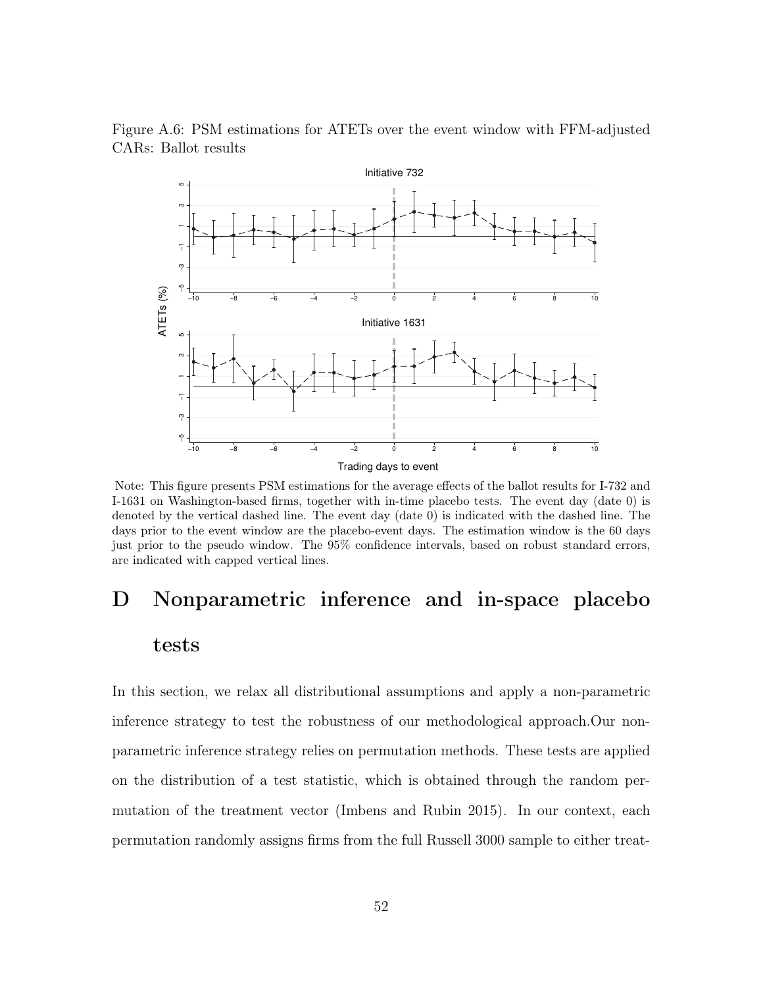

Figure A.6: PSM estimations for ATETs over the event window with FFM-adjusted CARs: Ballot results

Note: This figure presents PSM estimations for the average effects of the ballot results for I-732 and I-1631 on Washington-based firms, together with in-time placebo tests. The event day (date 0) is denoted by the vertical dashed line. The event day (date 0) is indicated with the dashed line. The days prior to the event window are the placebo-event days. The estimation window is the 60 days just prior to the pseudo window. The 95% confidence intervals, based on robust standard errors, are indicated with capped vertical lines.

# D Nonparametric inference and in-space placebo tests

In this section, we relax all distributional assumptions and apply a non-parametric inference strategy to test the robustness of our methodological approach.Our nonparametric inference strategy relies on permutation methods. These tests are applied on the distribution of a test statistic, which is obtained through the random permutation of the treatment vector (Imbens and Rubin 2015). In our context, each permutation randomly assigns firms from the full Russell 3000 sample to either treat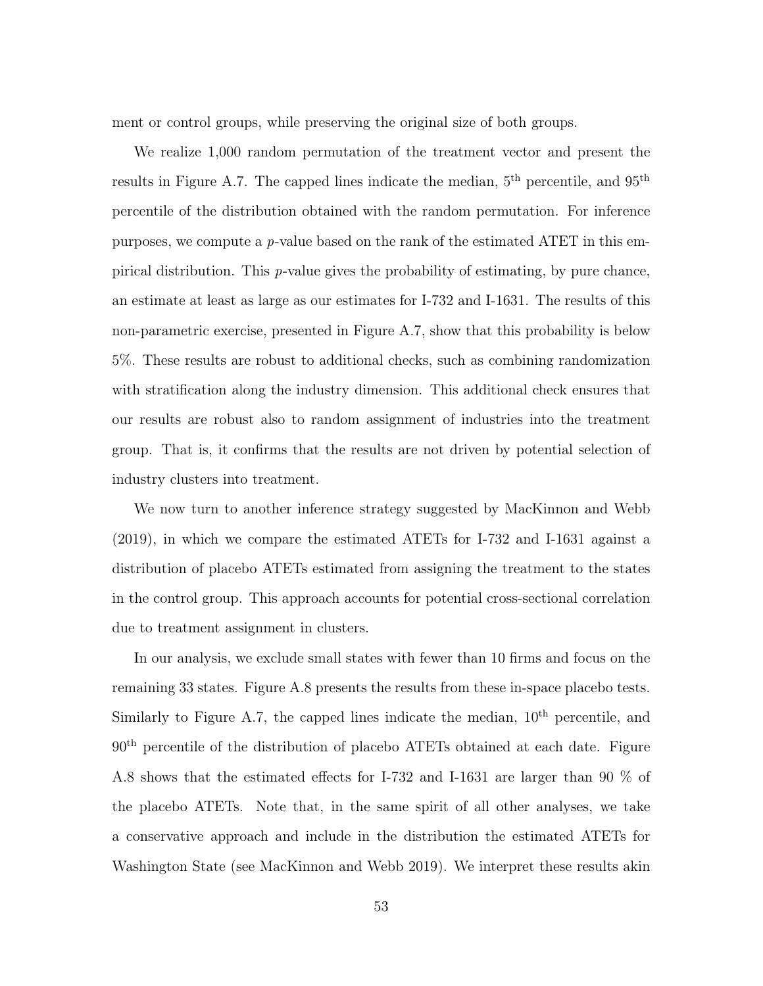ment or control groups, while preserving the original size of both groups.

We realize 1,000 random permutation of the treatment vector and present the results in Figure A.7. The capped lines indicate the median,  $5<sup>th</sup>$  percentile, and  $95<sup>th</sup>$ percentile of the distribution obtained with the random permutation. For inference purposes, we compute a p-value based on the rank of the estimated ATET in this empirical distribution. This p-value gives the probability of estimating, by pure chance, an estimate at least as large as our estimates for I-732 and I-1631. The results of this non-parametric exercise, presented in Figure A.7, show that this probability is below 5%. These results are robust to additional checks, such as combining randomization with stratification along the industry dimension. This additional check ensures that our results are robust also to random assignment of industries into the treatment group. That is, it confirms that the results are not driven by potential selection of industry clusters into treatment.

We now turn to another inference strategy suggested by MacKinnon and Webb (2019), in which we compare the estimated ATETs for I-732 and I-1631 against a distribution of placebo ATETs estimated from assigning the treatment to the states in the control group. This approach accounts for potential cross-sectional correlation due to treatment assignment in clusters.

In our analysis, we exclude small states with fewer than 10 firms and focus on the remaining 33 states. Figure A.8 presents the results from these in-space placebo tests. Similarly to Figure A.7, the capped lines indicate the median,  $10<sup>th</sup>$  percentile, and 90th percentile of the distribution of placebo ATETs obtained at each date. Figure A.8 shows that the estimated effects for I-732 and I-1631 are larger than 90 % of the placebo ATETs. Note that, in the same spirit of all other analyses, we take a conservative approach and include in the distribution the estimated ATETs for Washington State (see MacKinnon and Webb 2019). We interpret these results akin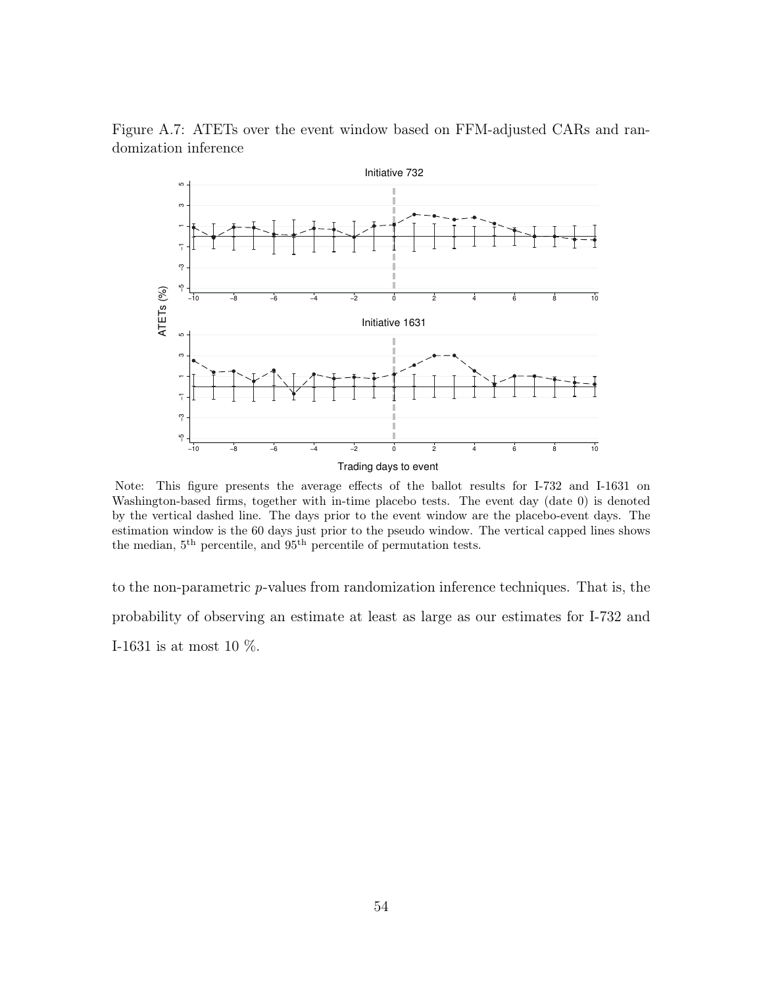

Figure A.7: ATETs over the event window based on FFM-adjusted CARs and randomization inference

Note: This figure presents the average effects of the ballot results for I-732 and I-1631 on Washington-based firms, together with in-time placebo tests. The event day (date 0) is denoted by the vertical dashed line. The days prior to the event window are the placebo-event days. The estimation window is the 60 days just prior to the pseudo window. The vertical capped lines shows the median, 5<sup>th</sup> percentile, and 95<sup>th</sup> percentile of permutation tests.

to the non-parametric p-values from randomization inference techniques. That is, the probability of observing an estimate at least as large as our estimates for I-732 and I-1631 is at most 10 %.